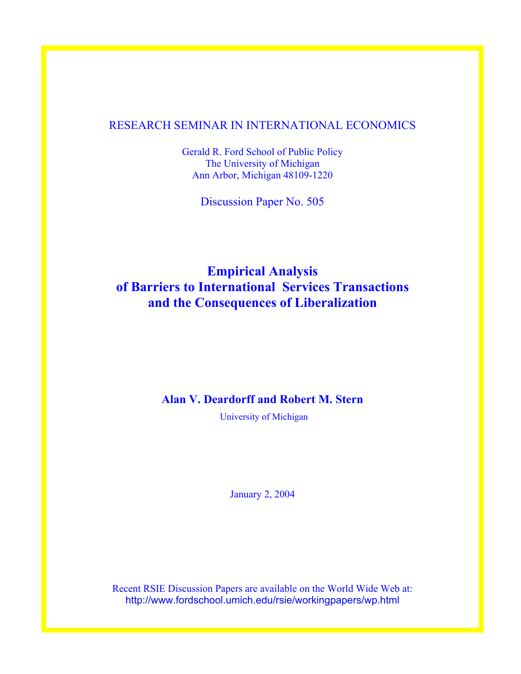## RESEARCH SEMINAR IN INTERNATIONAL ECONOMICS

Gerald R. Ford School of Public Policy The University of Michigan Ann Arbor, Michigan 48109-1220

Discussion Paper No. 505

# **Empirical Analysis of Barriers to International Services Transactions and the Consequences of Liberalization**

## **Alan V. Deardorff and Robert M. Stern**

University of Michigan

January 2, 2004

Recent RSIE Discussion Papers are available on the World Wide Web at: http://www.fordschool.umich.edu/rsie/workingpapers/wp.html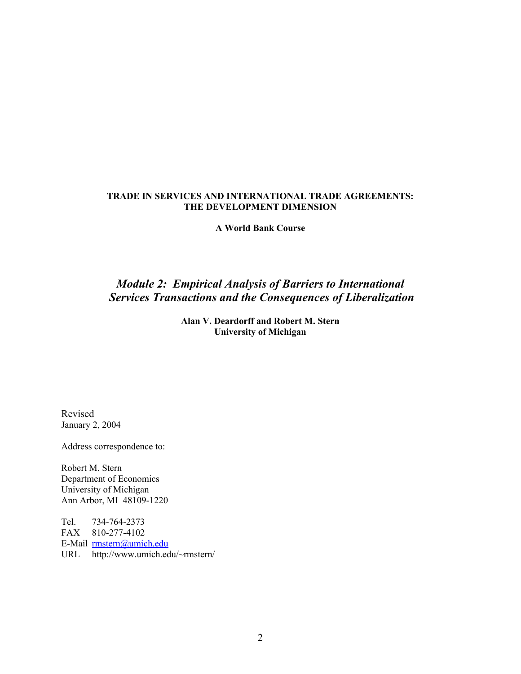### **TRADE IN SERVICES AND INTERNATIONAL TRADE AGREEMENTS: THE DEVELOPMENT DIMENSION**

**A World Bank Course** 

## *Module 2: Empirical Analysis of Barriers to International Services Transactions and the Consequences of Liberalization*

**Alan V. Deardorff and Robert M. Stern University of Michigan** 

Revised January 2, 2004

Address correspondence to:

Robert M. Stern Department of Economics University of Michigan Ann Arbor, MI 48109-1220

Tel. 734-764-2373 FAX 810-277-4102 E-Mail rmstern@umich.edu URL http://www.umich.edu/~rmstern/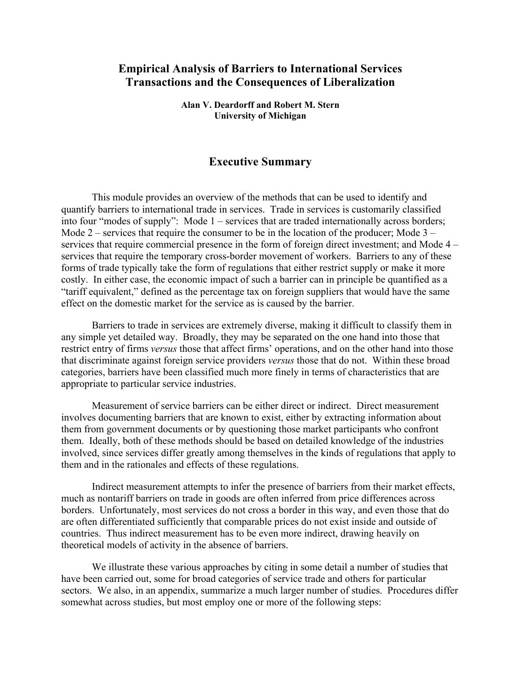## **Empirical Analysis of Barriers to International Services Transactions and the Consequences of Liberalization**

**Alan V. Deardorff and Robert M. Stern University of Michigan** 

## **Executive Summary**

This module provides an overview of the methods that can be used to identify and quantify barriers to international trade in services. Trade in services is customarily classified into four "modes of supply": Mode 1 – services that are traded internationally across borders; Mode  $2$  – services that require the consumer to be in the location of the producer; Mode  $3$  – services that require commercial presence in the form of foreign direct investment; and Mode 4 – services that require the temporary cross-border movement of workers. Barriers to any of these forms of trade typically take the form of regulations that either restrict supply or make it more costly. In either case, the economic impact of such a barrier can in principle be quantified as a "tariff equivalent," defined as the percentage tax on foreign suppliers that would have the same effect on the domestic market for the service as is caused by the barrier.

Barriers to trade in services are extremely diverse, making it difficult to classify them in any simple yet detailed way. Broadly, they may be separated on the one hand into those that restrict entry of firms *versus* those that affect firms' operations, and on the other hand into those that discriminate against foreign service providers *versus* those that do not. Within these broad categories, barriers have been classified much more finely in terms of characteristics that are appropriate to particular service industries.

Measurement of service barriers can be either direct or indirect. Direct measurement involves documenting barriers that are known to exist, either by extracting information about them from government documents or by questioning those market participants who confront them. Ideally, both of these methods should be based on detailed knowledge of the industries involved, since services differ greatly among themselves in the kinds of regulations that apply to them and in the rationales and effects of these regulations.

Indirect measurement attempts to infer the presence of barriers from their market effects, much as nontariff barriers on trade in goods are often inferred from price differences across borders. Unfortunately, most services do not cross a border in this way, and even those that do are often differentiated sufficiently that comparable prices do not exist inside and outside of countries. Thus indirect measurement has to be even more indirect, drawing heavily on theoretical models of activity in the absence of barriers.

We illustrate these various approaches by citing in some detail a number of studies that have been carried out, some for broad categories of service trade and others for particular sectors. We also, in an appendix, summarize a much larger number of studies. Procedures differ somewhat across studies, but most employ one or more of the following steps: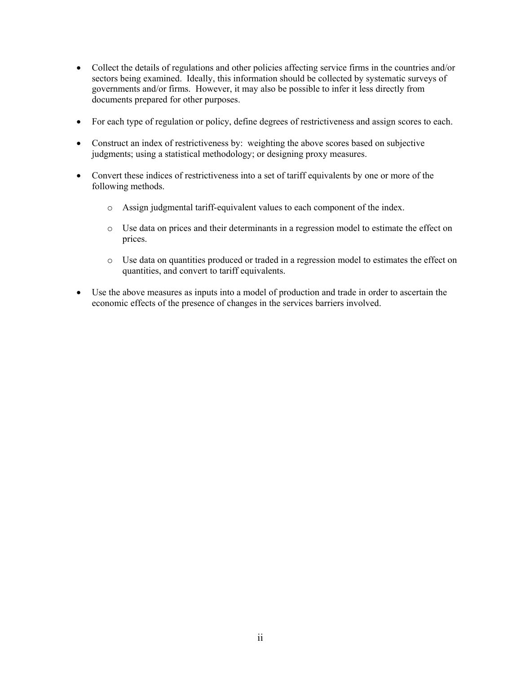- Collect the details of regulations and other policies affecting service firms in the countries and/or sectors being examined. Ideally, this information should be collected by systematic surveys of governments and/or firms. However, it may also be possible to infer it less directly from documents prepared for other purposes.
- For each type of regulation or policy, define degrees of restrictiveness and assign scores to each.
- Construct an index of restrictiveness by: weighting the above scores based on subjective judgments; using a statistical methodology; or designing proxy measures.
- Convert these indices of restrictiveness into a set of tariff equivalents by one or more of the following methods.
	- o Assign judgmental tariff-equivalent values to each component of the index.
	- o Use data on prices and their determinants in a regression model to estimate the effect on prices.
	- o Use data on quantities produced or traded in a regression model to estimates the effect on quantities, and convert to tariff equivalents.
- Use the above measures as inputs into a model of production and trade in order to ascertain the economic effects of the presence of changes in the services barriers involved.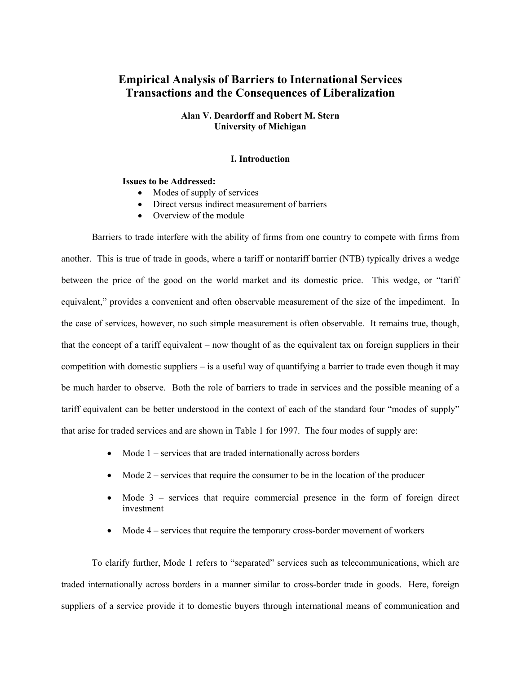## **Empirical Analysis of Barriers to International Services Transactions and the Consequences of Liberalization**

**Alan V. Deardorff and Robert M. Stern University of Michigan** 

#### **I. Introduction**

#### **Issues to be Addressed:**

- Modes of supply of services
- Direct versus indirect measurement of barriers
- Overview of the module

Barriers to trade interfere with the ability of firms from one country to compete with firms from another. This is true of trade in goods, where a tariff or nontariff barrier (NTB) typically drives a wedge between the price of the good on the world market and its domestic price. This wedge, or "tariff equivalent," provides a convenient and often observable measurement of the size of the impediment. In the case of services, however, no such simple measurement is often observable. It remains true, though, that the concept of a tariff equivalent – now thought of as the equivalent tax on foreign suppliers in their competition with domestic suppliers – is a useful way of quantifying a barrier to trade even though it may be much harder to observe. Both the role of barriers to trade in services and the possible meaning of a tariff equivalent can be better understood in the context of each of the standard four "modes of supply" that arise for traded services and are shown in Table 1 for 1997. The four modes of supply are:

- Mode 1 services that are traded internationally across borders
- Mode  $2$  services that require the consumer to be in the location of the producer
- Mode 3 services that require commercial presence in the form of foreign direct investment
- Mode 4 services that require the temporary cross-border movement of workers

To clarify further, Mode 1 refers to "separated" services such as telecommunications, which are traded internationally across borders in a manner similar to cross-border trade in goods. Here, foreign suppliers of a service provide it to domestic buyers through international means of communication and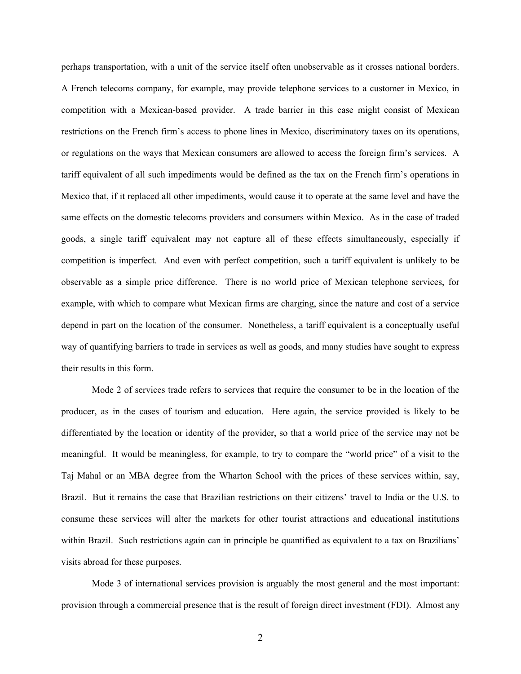perhaps transportation, with a unit of the service itself often unobservable as it crosses national borders. A French telecoms company, for example, may provide telephone services to a customer in Mexico, in competition with a Mexican-based provider. A trade barrier in this case might consist of Mexican restrictions on the French firm's access to phone lines in Mexico, discriminatory taxes on its operations, or regulations on the ways that Mexican consumers are allowed to access the foreign firm's services. A tariff equivalent of all such impediments would be defined as the tax on the French firm's operations in Mexico that, if it replaced all other impediments, would cause it to operate at the same level and have the same effects on the domestic telecoms providers and consumers within Mexico. As in the case of traded goods, a single tariff equivalent may not capture all of these effects simultaneously, especially if competition is imperfect. And even with perfect competition, such a tariff equivalent is unlikely to be observable as a simple price difference. There is no world price of Mexican telephone services, for example, with which to compare what Mexican firms are charging, since the nature and cost of a service depend in part on the location of the consumer. Nonetheless, a tariff equivalent is a conceptually useful way of quantifying barriers to trade in services as well as goods, and many studies have sought to express their results in this form.

Mode 2 of services trade refers to services that require the consumer to be in the location of the producer, as in the cases of tourism and education. Here again, the service provided is likely to be differentiated by the location or identity of the provider, so that a world price of the service may not be meaningful. It would be meaningless, for example, to try to compare the "world price" of a visit to the Taj Mahal or an MBA degree from the Wharton School with the prices of these services within, say, Brazil. But it remains the case that Brazilian restrictions on their citizens' travel to India or the U.S. to consume these services will alter the markets for other tourist attractions and educational institutions within Brazil. Such restrictions again can in principle be quantified as equivalent to a tax on Brazilians' visits abroad for these purposes.

Mode 3 of international services provision is arguably the most general and the most important: provision through a commercial presence that is the result of foreign direct investment (FDI). Almost any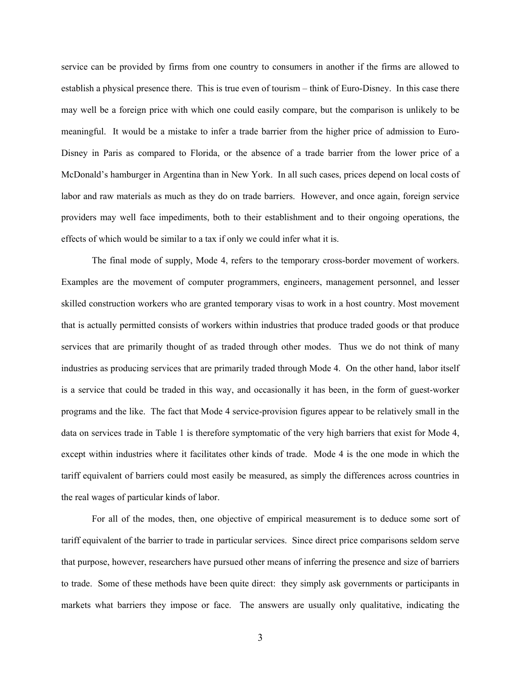service can be provided by firms from one country to consumers in another if the firms are allowed to establish a physical presence there. This is true even of tourism – think of Euro-Disney. In this case there may well be a foreign price with which one could easily compare, but the comparison is unlikely to be meaningful. It would be a mistake to infer a trade barrier from the higher price of admission to Euro-Disney in Paris as compared to Florida, or the absence of a trade barrier from the lower price of a McDonald's hamburger in Argentina than in New York. In all such cases, prices depend on local costs of labor and raw materials as much as they do on trade barriers. However, and once again, foreign service providers may well face impediments, both to their establishment and to their ongoing operations, the effects of which would be similar to a tax if only we could infer what it is.

The final mode of supply, Mode 4, refers to the temporary cross-border movement of workers. Examples are the movement of computer programmers, engineers, management personnel, and lesser skilled construction workers who are granted temporary visas to work in a host country. Most movement that is actually permitted consists of workers within industries that produce traded goods or that produce services that are primarily thought of as traded through other modes. Thus we do not think of many industries as producing services that are primarily traded through Mode 4. On the other hand, labor itself is a service that could be traded in this way, and occasionally it has been, in the form of guest-worker programs and the like. The fact that Mode 4 service-provision figures appear to be relatively small in the data on services trade in Table 1 is therefore symptomatic of the very high barriers that exist for Mode 4, except within industries where it facilitates other kinds of trade. Mode 4 is the one mode in which the tariff equivalent of barriers could most easily be measured, as simply the differences across countries in the real wages of particular kinds of labor.

For all of the modes, then, one objective of empirical measurement is to deduce some sort of tariff equivalent of the barrier to trade in particular services. Since direct price comparisons seldom serve that purpose, however, researchers have pursued other means of inferring the presence and size of barriers to trade. Some of these methods have been quite direct: they simply ask governments or participants in markets what barriers they impose or face. The answers are usually only qualitative, indicating the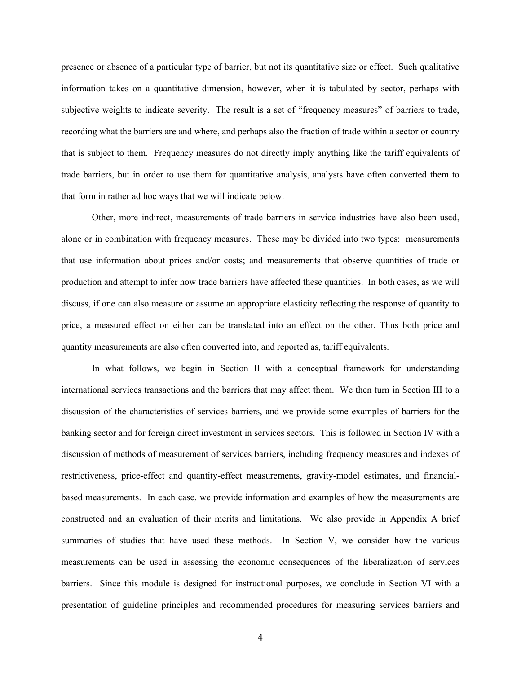presence or absence of a particular type of barrier, but not its quantitative size or effect. Such qualitative information takes on a quantitative dimension, however, when it is tabulated by sector, perhaps with subjective weights to indicate severity. The result is a set of "frequency measures" of barriers to trade, recording what the barriers are and where, and perhaps also the fraction of trade within a sector or country that is subject to them. Frequency measures do not directly imply anything like the tariff equivalents of trade barriers, but in order to use them for quantitative analysis, analysts have often converted them to that form in rather ad hoc ways that we will indicate below.

Other, more indirect, measurements of trade barriers in service industries have also been used, alone or in combination with frequency measures. These may be divided into two types: measurements that use information about prices and/or costs; and measurements that observe quantities of trade or production and attempt to infer how trade barriers have affected these quantities. In both cases, as we will discuss, if one can also measure or assume an appropriate elasticity reflecting the response of quantity to price, a measured effect on either can be translated into an effect on the other. Thus both price and quantity measurements are also often converted into, and reported as, tariff equivalents.

In what follows, we begin in Section II with a conceptual framework for understanding international services transactions and the barriers that may affect them. We then turn in Section III to a discussion of the characteristics of services barriers, and we provide some examples of barriers for the banking sector and for foreign direct investment in services sectors. This is followed in Section IV with a discussion of methods of measurement of services barriers, including frequency measures and indexes of restrictiveness, price-effect and quantity-effect measurements, gravity-model estimates, and financialbased measurements. In each case, we provide information and examples of how the measurements are constructed and an evaluation of their merits and limitations. We also provide in Appendix A brief summaries of studies that have used these methods. In Section V, we consider how the various measurements can be used in assessing the economic consequences of the liberalization of services barriers. Since this module is designed for instructional purposes, we conclude in Section VI with a presentation of guideline principles and recommended procedures for measuring services barriers and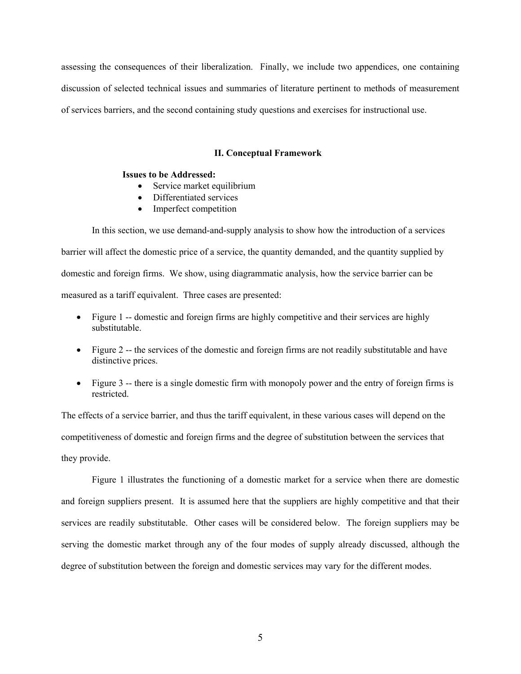assessing the consequences of their liberalization. Finally, we include two appendices, one containing discussion of selected technical issues and summaries of literature pertinent to methods of measurement of services barriers, and the second containing study questions and exercises for instructional use.

#### **II. Conceptual Framework**

#### **Issues to be Addressed:**

- Service market equilibrium
- Differentiated services
- Imperfect competition

In this section, we use demand-and-supply analysis to show how the introduction of a services barrier will affect the domestic price of a service, the quantity demanded, and the quantity supplied by domestic and foreign firms. We show, using diagrammatic analysis, how the service barrier can be measured as a tariff equivalent. Three cases are presented:

- Figure 1 -- domestic and foreign firms are highly competitive and their services are highly substitutable.
- Figure 2 -- the services of the domestic and foreign firms are not readily substitutable and have distinctive prices.
- Figure 3 -- there is a single domestic firm with monopoly power and the entry of foreign firms is restricted.

The effects of a service barrier, and thus the tariff equivalent, in these various cases will depend on the competitiveness of domestic and foreign firms and the degree of substitution between the services that they provide.

Figure 1 illustrates the functioning of a domestic market for a service when there are domestic and foreign suppliers present. It is assumed here that the suppliers are highly competitive and that their services are readily substitutable. Other cases will be considered below. The foreign suppliers may be serving the domestic market through any of the four modes of supply already discussed, although the degree of substitution between the foreign and domestic services may vary for the different modes.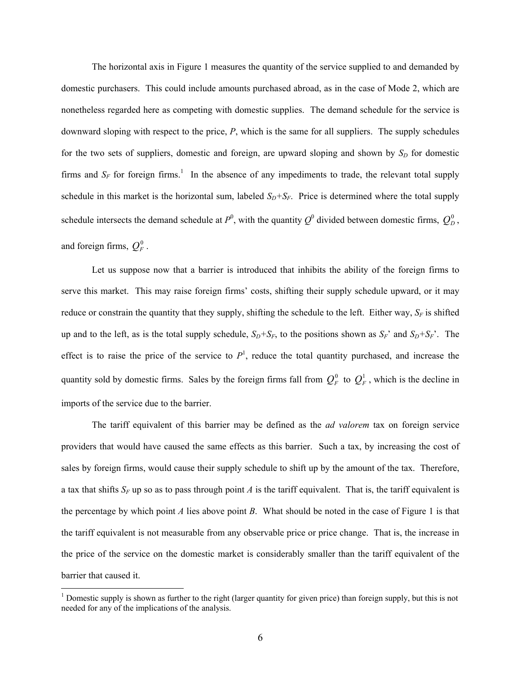The horizontal axis in Figure 1 measures the quantity of the service supplied to and demanded by domestic purchasers. This could include amounts purchased abroad, as in the case of Mode 2, which are nonetheless regarded here as competing with domestic supplies. The demand schedule for the service is downward sloping with respect to the price, *P*, which is the same for all suppliers. The supply schedules for the two sets of suppliers, domestic and foreign, are upward sloping and shown by  $S_D$  for domestic firms and  $S_F$  for foreign firms.<sup>1</sup> In the absence of any impediments to trade, the relevant total supply schedule in this market is the horizontal sum, labeled  $S_D + S_F$ . Price is determined where the total supply schedule intersects the demand schedule at  $P^0$ , with the quantity  $Q^0$  divided between domestic firms,  $Q_D^0$ , and foreign firms,  $Q_F^0$  .

Let us suppose now that a barrier is introduced that inhibits the ability of the foreign firms to serve this market. This may raise foreign firms' costs, shifting their supply schedule upward, or it may reduce or constrain the quantity that they supply, shifting the schedule to the left. Either way,  $S_F$  is shifted up and to the left, as is the total supply schedule,  $S_D + S_F$ , to the positions shown as  $S_F$ ' and  $S_D + S_F$ '. The effect is to raise the price of the service to  $P<sup>1</sup>$ , reduce the total quantity purchased, and increase the quantity sold by domestic firms. Sales by the foreign firms fall from  $Q_F^0$  to  $Q_F^1$ , which is the decline in imports of the service due to the barrier.

The tariff equivalent of this barrier may be defined as the *ad valorem* tax on foreign service providers that would have caused the same effects as this barrier. Such a tax, by increasing the cost of sales by foreign firms, would cause their supply schedule to shift up by the amount of the tax. Therefore, a tax that shifts  $S_F$  up so as to pass through point A is the tariff equivalent. That is, the tariff equivalent is the percentage by which point *A* lies above point *B*. What should be noted in the case of Figure 1 is that the tariff equivalent is not measurable from any observable price or price change. That is, the increase in the price of the service on the domestic market is considerably smaller than the tariff equivalent of the barrier that caused it.

<sup>&</sup>lt;sup>1</sup> Domestic supply is shown as further to the right (larger quantity for given price) than foreign supply, but this is not needed for any of the implications of the analysis.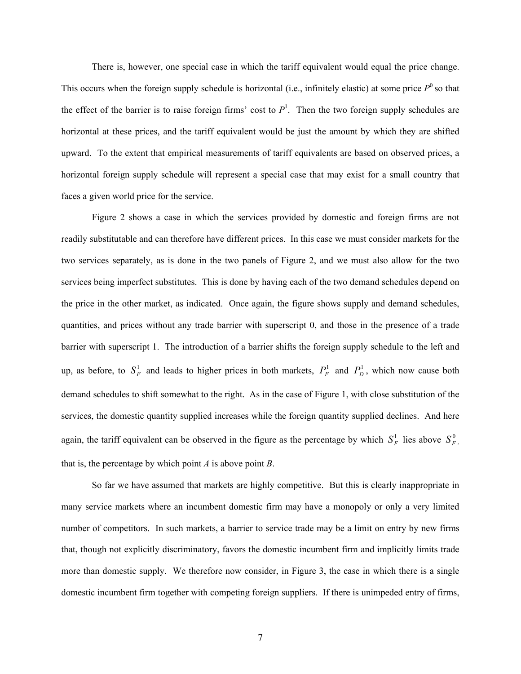There is, however, one special case in which the tariff equivalent would equal the price change. This occurs when the foreign supply schedule is horizontal (i.e., infinitely elastic) at some price  $P^0$  so that the effect of the barrier is to raise foreign firms' cost to  $P<sup>1</sup>$ . Then the two foreign supply schedules are horizontal at these prices, and the tariff equivalent would be just the amount by which they are shifted upward. To the extent that empirical measurements of tariff equivalents are based on observed prices, a horizontal foreign supply schedule will represent a special case that may exist for a small country that faces a given world price for the service.

Figure 2 shows a case in which the services provided by domestic and foreign firms are not readily substitutable and can therefore have different prices. In this case we must consider markets for the two services separately, as is done in the two panels of Figure 2, and we must also allow for the two services being imperfect substitutes. This is done by having each of the two demand schedules depend on the price in the other market, as indicated. Once again, the figure shows supply and demand schedules, quantities, and prices without any trade barrier with superscript 0, and those in the presence of a trade barrier with superscript 1. The introduction of a barrier shifts the foreign supply schedule to the left and up, as before, to  $S_F^1$  and leads to higher prices in both markets,  $P_F^1$  and  $P_D^1$ , which now cause both demand schedules to shift somewhat to the right. As in the case of Figure 1, with close substitution of the services, the domestic quantity supplied increases while the foreign quantity supplied declines. And here again, the tariff equivalent can be observed in the figure as the percentage by which  $S_F^1$  lies above  $S_F^0$ , that is, the percentage by which point *A* is above point *B*.

So far we have assumed that markets are highly competitive. But this is clearly inappropriate in many service markets where an incumbent domestic firm may have a monopoly or only a very limited number of competitors. In such markets, a barrier to service trade may be a limit on entry by new firms that, though not explicitly discriminatory, favors the domestic incumbent firm and implicitly limits trade more than domestic supply. We therefore now consider, in Figure 3, the case in which there is a single domestic incumbent firm together with competing foreign suppliers. If there is unimpeded entry of firms,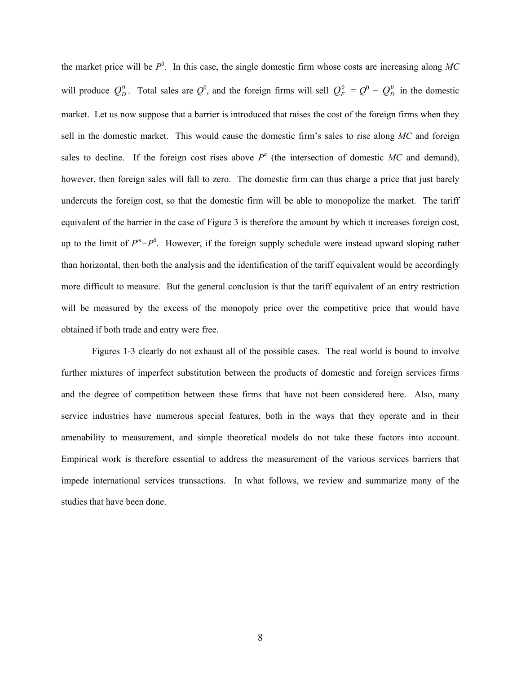the market price will be  $P^0$ . In this case, the single domestic firm whose costs are increasing along MC will produce  $Q_D^0$ . Total sales are  $Q^0$ , and the foreign firms will sell  $Q_F^0 = Q^0 - Q_D^0$  in the domestic market. Let us now suppose that a barrier is introduced that raises the cost of the foreign firms when they sell in the domestic market. This would cause the domestic firm's sales to rise along *MC* and foreign sales to decline. If the foreign cost rises above  $P^a$  (the intersection of domestic MC and demand), however, then foreign sales will fall to zero. The domestic firm can thus charge a price that just barely undercuts the foreign cost, so that the domestic firm will be able to monopolize the market. The tariff equivalent of the barrier in the case of Figure 3 is therefore the amount by which it increases foreign cost, up to the limit of *P<sup>m</sup>−P*<sup>0</sup> . However, if the foreign supply schedule were instead upward sloping rather than horizontal, then both the analysis and the identification of the tariff equivalent would be accordingly more difficult to measure. But the general conclusion is that the tariff equivalent of an entry restriction will be measured by the excess of the monopoly price over the competitive price that would have obtained if both trade and entry were free.

Figures 1-3 clearly do not exhaust all of the possible cases. The real world is bound to involve further mixtures of imperfect substitution between the products of domestic and foreign services firms and the degree of competition between these firms that have not been considered here. Also, many service industries have numerous special features, both in the ways that they operate and in their amenability to measurement, and simple theoretical models do not take these factors into account. Empirical work is therefore essential to address the measurement of the various services barriers that impede international services transactions. In what follows, we review and summarize many of the studies that have been done.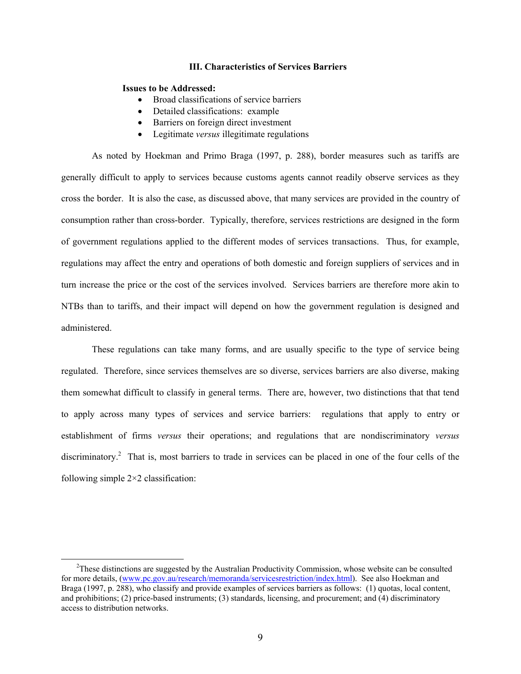#### **III. Characteristics of Services Barriers**

#### **Issues to be Addressed:**

- Broad classifications of service barriers
- Detailed classifications: example
- Barriers on foreign direct investment
- Legitimate *versus* illegitimate regulations

 As noted by Hoekman and Primo Braga (1997, p. 288), border measures such as tariffs are generally difficult to apply to services because customs agents cannot readily observe services as they cross the border. It is also the case, as discussed above, that many services are provided in the country of consumption rather than cross-border. Typically, therefore, services restrictions are designed in the form of government regulations applied to the different modes of services transactions. Thus, for example, regulations may affect the entry and operations of both domestic and foreign suppliers of services and in turn increase the price or the cost of the services involved. Services barriers are therefore more akin to NTBs than to tariffs, and their impact will depend on how the government regulation is designed and administered.

 These regulations can take many forms, and are usually specific to the type of service being regulated. Therefore, since services themselves are so diverse, services barriers are also diverse, making them somewhat difficult to classify in general terms. There are, however, two distinctions that that tend to apply across many types of services and service barriers: regulations that apply to entry or establishment of firms *versus* their operations; and regulations that are nondiscriminatory *versus* discriminatory.<sup>2</sup> That is, most barriers to trade in services can be placed in one of the four cells of the following simple  $2\times 2$  classification:

 $\frac{1}{2}$  $T$ hese distinctions are suggested by the Australian Productivity Commission, whose website can be consulted for more details, (www.pc.gov.au/research/memoranda/servicesrestriction/index.html). See also Hoekman and Braga (1997, p. 288), who classify and provide examples of services barriers as follows: (1) quotas, local content, and prohibitions; (2) price-based instruments; (3) standards, licensing, and procurement; and (4) discriminatory access to distribution networks.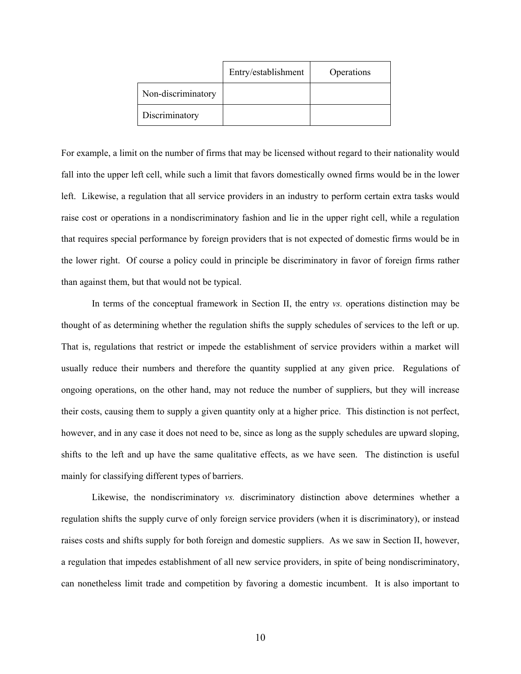|                    | Entry/establishment | Operations |
|--------------------|---------------------|------------|
| Non-discriminatory |                     |            |
| Discriminatory     |                     |            |

For example, a limit on the number of firms that may be licensed without regard to their nationality would fall into the upper left cell, while such a limit that favors domestically owned firms would be in the lower left. Likewise, a regulation that all service providers in an industry to perform certain extra tasks would raise cost or operations in a nondiscriminatory fashion and lie in the upper right cell, while a regulation that requires special performance by foreign providers that is not expected of domestic firms would be in the lower right. Of course a policy could in principle be discriminatory in favor of foreign firms rather than against them, but that would not be typical.

In terms of the conceptual framework in Section II, the entry *vs.* operations distinction may be thought of as determining whether the regulation shifts the supply schedules of services to the left or up. That is, regulations that restrict or impede the establishment of service providers within a market will usually reduce their numbers and therefore the quantity supplied at any given price. Regulations of ongoing operations, on the other hand, may not reduce the number of suppliers, but they will increase their costs, causing them to supply a given quantity only at a higher price. This distinction is not perfect, however, and in any case it does not need to be, since as long as the supply schedules are upward sloping, shifts to the left and up have the same qualitative effects, as we have seen. The distinction is useful mainly for classifying different types of barriers.

Likewise, the nondiscriminatory *vs.* discriminatory distinction above determines whether a regulation shifts the supply curve of only foreign service providers (when it is discriminatory), or instead raises costs and shifts supply for both foreign and domestic suppliers. As we saw in Section II, however, a regulation that impedes establishment of all new service providers, in spite of being nondiscriminatory, can nonetheless limit trade and competition by favoring a domestic incumbent. It is also important to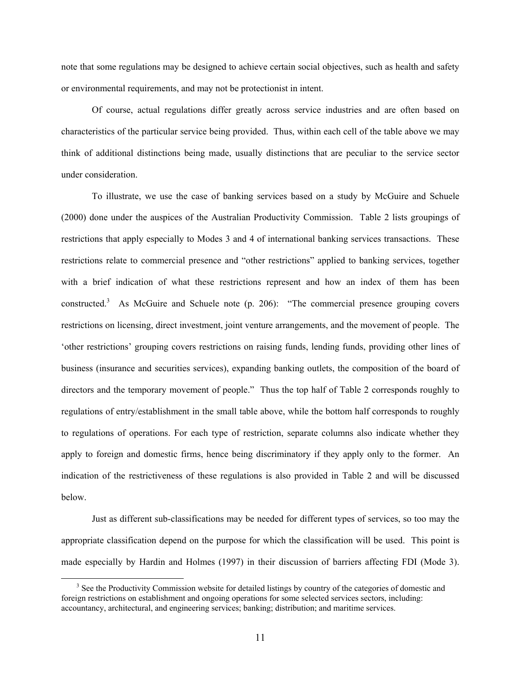note that some regulations may be designed to achieve certain social objectives, such as health and safety or environmental requirements, and may not be protectionist in intent.

Of course, actual regulations differ greatly across service industries and are often based on characteristics of the particular service being provided. Thus, within each cell of the table above we may think of additional distinctions being made, usually distinctions that are peculiar to the service sector under consideration.

To illustrate, we use the case of banking services based on a study by McGuire and Schuele (2000) done under the auspices of the Australian Productivity Commission. Table 2 lists groupings of restrictions that apply especially to Modes 3 and 4 of international banking services transactions. These restrictions relate to commercial presence and "other restrictions" applied to banking services, together with a brief indication of what these restrictions represent and how an index of them has been constructed.<sup>3</sup> As McGuire and Schuele note (p. 206): "The commercial presence grouping covers restrictions on licensing, direct investment, joint venture arrangements, and the movement of people. The 'other restrictions' grouping covers restrictions on raising funds, lending funds, providing other lines of business (insurance and securities services), expanding banking outlets, the composition of the board of directors and the temporary movement of people." Thus the top half of Table 2 corresponds roughly to regulations of entry/establishment in the small table above, while the bottom half corresponds to roughly to regulations of operations. For each type of restriction, separate columns also indicate whether they apply to foreign and domestic firms, hence being discriminatory if they apply only to the former. An indication of the restrictiveness of these regulations is also provided in Table 2 and will be discussed below.

Just as different sub-classifications may be needed for different types of services, so too may the appropriate classification depend on the purpose for which the classification will be used. This point is made especially by Hardin and Holmes (1997) in their discussion of barriers affecting FDI (Mode 3).

 $\frac{1}{3}$  $3$  See the Productivity Commission website for detailed listings by country of the categories of domestic and foreign restrictions on establishment and ongoing operations for some selected services sectors, including: accountancy, architectural, and engineering services; banking; distribution; and maritime services.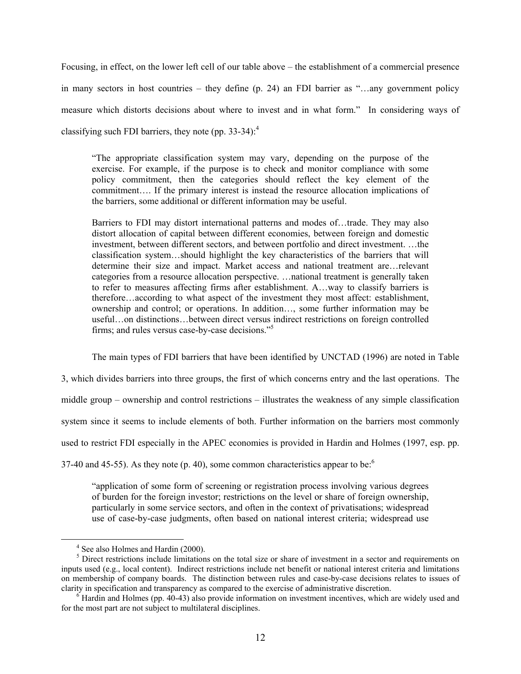Focusing, in effect, on the lower left cell of our table above – the establishment of a commercial presence in many sectors in host countries – they define (p. 24) an FDI barrier as "…any government policy measure which distorts decisions about where to invest and in what form." In considering ways of classifying such FDI barriers, they note (pp.  $33-34$ ):<sup>4</sup>

"The appropriate classification system may vary, depending on the purpose of the exercise. For example, if the purpose is to check and monitor compliance with some policy commitment, then the categories should reflect the key element of the commitment…. If the primary interest is instead the resource allocation implications of the barriers, some additional or different information may be useful.

Barriers to FDI may distort international patterns and modes of…trade. They may also distort allocation of capital between different economies, between foreign and domestic investment, between different sectors, and between portfolio and direct investment. …the classification system…should highlight the key characteristics of the barriers that will determine their size and impact. Market access and national treatment are…relevant categories from a resource allocation perspective. …national treatment is generally taken to refer to measures affecting firms after establishment. A…way to classify barriers is therefore…according to what aspect of the investment they most affect: establishment, ownership and control; or operations. In addition…, some further information may be useful…on distinctions…between direct versus indirect restrictions on foreign controlled firms; and rules versus case-by-case decisions."5

The main types of FDI barriers that have been identified by UNCTAD (1996) are noted in Table

3, which divides barriers into three groups, the first of which concerns entry and the last operations. The middle group – ownership and control restrictions – illustrates the weakness of any simple classification system since it seems to include elements of both. Further information on the barriers most commonly used to restrict FDI especially in the APEC economies is provided in Hardin and Holmes (1997, esp. pp. 37-40 and 45-55). As they note (p. 40), some common characteristics appear to be:<sup>6</sup>

"application of some form of screening or registration process involving various degrees of burden for the foreign investor; restrictions on the level or share of foreign ownership, particularly in some service sectors, and often in the context of privatisations; widespread use of case-by-case judgments, often based on national interest criteria; widespread use

 $\overline{4}$  $4$  See also Holmes and Hardin (2000).

<sup>&</sup>lt;sup>5</sup> Direct restrictions include limitations on the total size or share of investment in a sector and requirements on inputs used (e.g., local content). Indirect restrictions include net benefit or national interest criteria and limitations on membership of company boards. The distinction between rules and case-by-case decisions relates to issues of clarity in specification and transparency as compared to the exercise of administrative discretion.

<sup>&</sup>lt;sup>6</sup> Hardin and Holmes (pp. 40-43) also provide information on investment incentives, which are widely used and for the most part are not subject to multilateral disciplines.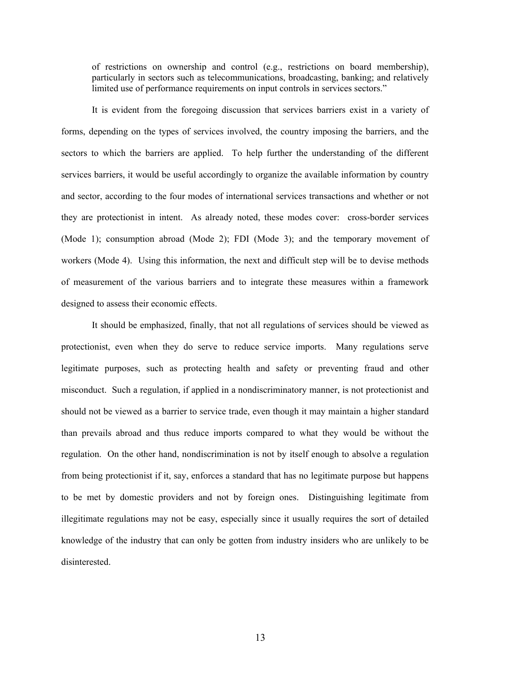of restrictions on ownership and control (e.g., restrictions on board membership), particularly in sectors such as telecommunications, broadcasting, banking; and relatively limited use of performance requirements on input controls in services sectors."

 It is evident from the foregoing discussion that services barriers exist in a variety of forms, depending on the types of services involved, the country imposing the barriers, and the sectors to which the barriers are applied. To help further the understanding of the different services barriers, it would be useful accordingly to organize the available information by country and sector, according to the four modes of international services transactions and whether or not they are protectionist in intent. As already noted, these modes cover: cross-border services (Mode 1); consumption abroad (Mode 2); FDI (Mode 3); and the temporary movement of workers (Mode 4). Using this information, the next and difficult step will be to devise methods of measurement of the various barriers and to integrate these measures within a framework designed to assess their economic effects.

 It should be emphasized, finally, that not all regulations of services should be viewed as protectionist, even when they do serve to reduce service imports. Many regulations serve legitimate purposes, such as protecting health and safety or preventing fraud and other misconduct. Such a regulation, if applied in a nondiscriminatory manner, is not protectionist and should not be viewed as a barrier to service trade, even though it may maintain a higher standard than prevails abroad and thus reduce imports compared to what they would be without the regulation. On the other hand, nondiscrimination is not by itself enough to absolve a regulation from being protectionist if it, say, enforces a standard that has no legitimate purpose but happens to be met by domestic providers and not by foreign ones. Distinguishing legitimate from illegitimate regulations may not be easy, especially since it usually requires the sort of detailed knowledge of the industry that can only be gotten from industry insiders who are unlikely to be disinterested.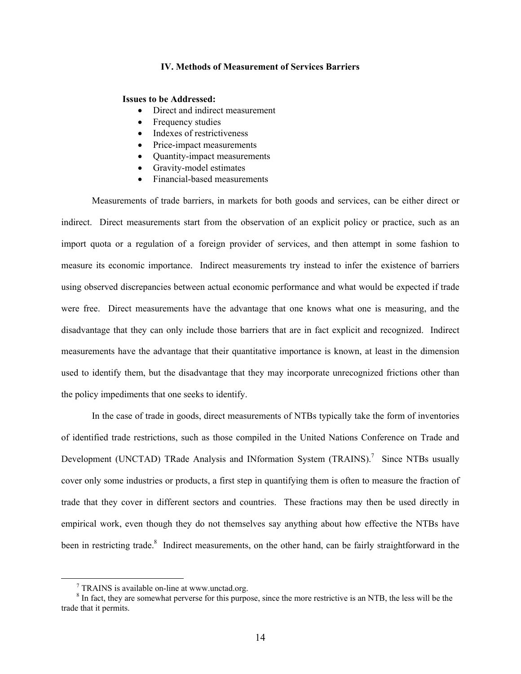#### **IV. Methods of Measurement of Services Barriers**

#### **Issues to be Addressed:**

- Direct and indirect measurement
- Frequency studies
- Indexes of restrictiveness
- Price-impact measurements
- Quantity-impact measurements
- Gravity-model estimates
- Financial-based measurements

Measurements of trade barriers, in markets for both goods and services, can be either direct or indirect. Direct measurements start from the observation of an explicit policy or practice, such as an import quota or a regulation of a foreign provider of services, and then attempt in some fashion to measure its economic importance. Indirect measurements try instead to infer the existence of barriers using observed discrepancies between actual economic performance and what would be expected if trade were free. Direct measurements have the advantage that one knows what one is measuring, and the disadvantage that they can only include those barriers that are in fact explicit and recognized. Indirect measurements have the advantage that their quantitative importance is known, at least in the dimension used to identify them, but the disadvantage that they may incorporate unrecognized frictions other than the policy impediments that one seeks to identify.

 In the case of trade in goods, direct measurements of NTBs typically take the form of inventories of identified trade restrictions, such as those compiled in the United Nations Conference on Trade and Development (UNCTAD) TRade Analysis and INformation System (TRAINS).<sup>7</sup> Since NTBs usually cover only some industries or products, a first step in quantifying them is often to measure the fraction of trade that they cover in different sectors and countries. These fractions may then be used directly in empirical work, even though they do not themselves say anything about how effective the NTBs have been in restricting trade.<sup>8</sup> Indirect measurements, on the other hand, can be fairly straightforward in the

 $\frac{1}{7}$  $\frac{7}{7}$  TRAINS is available on-line at www.unctad.org.

 ${}^8$  In fact, they are somewhat perverse for this purpose, since the more restrictive is an NTB, the less will be the trade that it permits.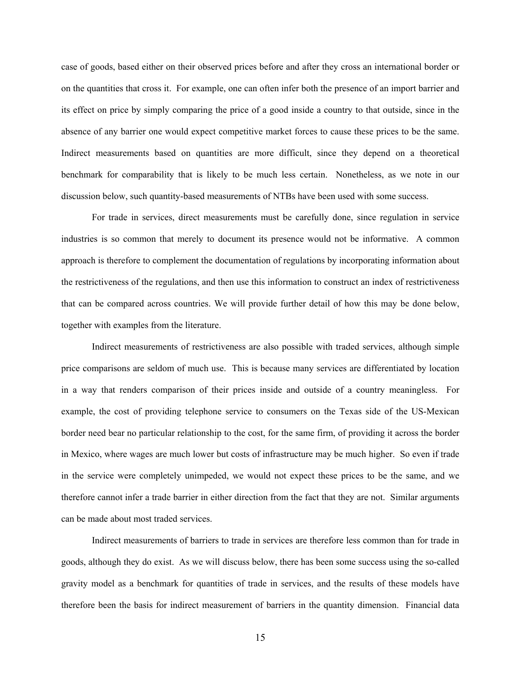case of goods, based either on their observed prices before and after they cross an international border or on the quantities that cross it. For example, one can often infer both the presence of an import barrier and its effect on price by simply comparing the price of a good inside a country to that outside, since in the absence of any barrier one would expect competitive market forces to cause these prices to be the same. Indirect measurements based on quantities are more difficult, since they depend on a theoretical benchmark for comparability that is likely to be much less certain. Nonetheless, as we note in our discussion below, such quantity-based measurements of NTBs have been used with some success.

 For trade in services, direct measurements must be carefully done, since regulation in service industries is so common that merely to document its presence would not be informative. A common approach is therefore to complement the documentation of regulations by incorporating information about the restrictiveness of the regulations, and then use this information to construct an index of restrictiveness that can be compared across countries. We will provide further detail of how this may be done below, together with examples from the literature.

 Indirect measurements of restrictiveness are also possible with traded services, although simple price comparisons are seldom of much use. This is because many services are differentiated by location in a way that renders comparison of their prices inside and outside of a country meaningless. For example, the cost of providing telephone service to consumers on the Texas side of the US-Mexican border need bear no particular relationship to the cost, for the same firm, of providing it across the border in Mexico, where wages are much lower but costs of infrastructure may be much higher. So even if trade in the service were completely unimpeded, we would not expect these prices to be the same, and we therefore cannot infer a trade barrier in either direction from the fact that they are not. Similar arguments can be made about most traded services.

 Indirect measurements of barriers to trade in services are therefore less common than for trade in goods, although they do exist. As we will discuss below, there has been some success using the so-called gravity model as a benchmark for quantities of trade in services, and the results of these models have therefore been the basis for indirect measurement of barriers in the quantity dimension. Financial data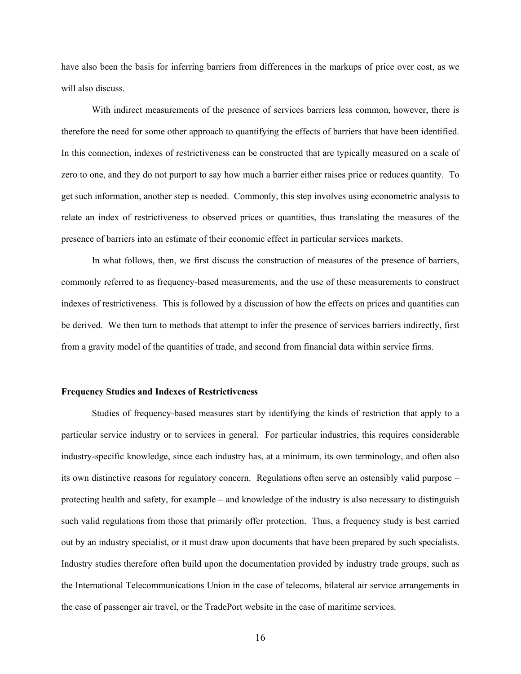have also been the basis for inferring barriers from differences in the markups of price over cost, as we will also discuss.

 With indirect measurements of the presence of services barriers less common, however, there is therefore the need for some other approach to quantifying the effects of barriers that have been identified. In this connection, indexes of restrictiveness can be constructed that are typically measured on a scale of zero to one, and they do not purport to say how much a barrier either raises price or reduces quantity. To get such information, another step is needed. Commonly, this step involves using econometric analysis to relate an index of restrictiveness to observed prices or quantities, thus translating the measures of the presence of barriers into an estimate of their economic effect in particular services markets.

 In what follows, then, we first discuss the construction of measures of the presence of barriers, commonly referred to as frequency-based measurements, and the use of these measurements to construct indexes of restrictiveness. This is followed by a discussion of how the effects on prices and quantities can be derived. We then turn to methods that attempt to infer the presence of services barriers indirectly, first from a gravity model of the quantities of trade, and second from financial data within service firms.

#### **Frequency Studies and Indexes of Restrictiveness**

 Studies of frequency-based measures start by identifying the kinds of restriction that apply to a particular service industry or to services in general. For particular industries, this requires considerable industry-specific knowledge, since each industry has, at a minimum, its own terminology, and often also its own distinctive reasons for regulatory concern. Regulations often serve an ostensibly valid purpose – protecting health and safety, for example – and knowledge of the industry is also necessary to distinguish such valid regulations from those that primarily offer protection. Thus, a frequency study is best carried out by an industry specialist, or it must draw upon documents that have been prepared by such specialists. Industry studies therefore often build upon the documentation provided by industry trade groups, such as the International Telecommunications Union in the case of telecoms, bilateral air service arrangements in the case of passenger air travel, or the TradePort website in the case of maritime services.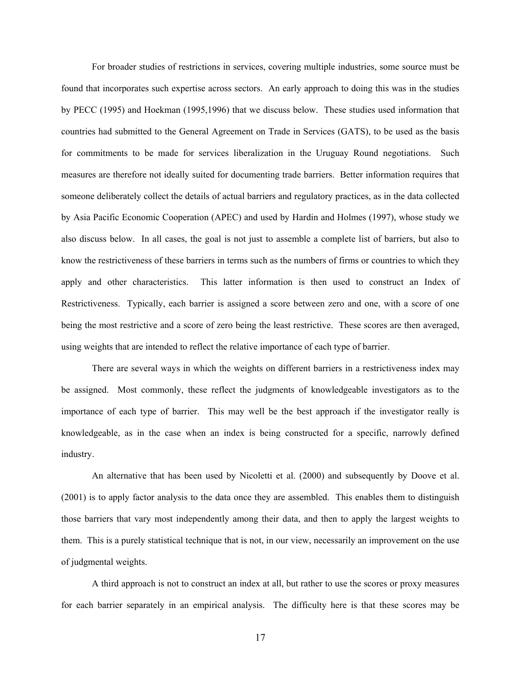For broader studies of restrictions in services, covering multiple industries, some source must be found that incorporates such expertise across sectors. An early approach to doing this was in the studies by PECC (1995) and Hoekman (1995,1996) that we discuss below. These studies used information that countries had submitted to the General Agreement on Trade in Services (GATS), to be used as the basis for commitments to be made for services liberalization in the Uruguay Round negotiations. Such measures are therefore not ideally suited for documenting trade barriers. Better information requires that someone deliberately collect the details of actual barriers and regulatory practices, as in the data collected by Asia Pacific Economic Cooperation (APEC) and used by Hardin and Holmes (1997), whose study we also discuss below. In all cases, the goal is not just to assemble a complete list of barriers, but also to know the restrictiveness of these barriers in terms such as the numbers of firms or countries to which they apply and other characteristics. This latter information is then used to construct an Index of Restrictiveness. Typically, each barrier is assigned a score between zero and one, with a score of one being the most restrictive and a score of zero being the least restrictive. These scores are then averaged, using weights that are intended to reflect the relative importance of each type of barrier.

 There are several ways in which the weights on different barriers in a restrictiveness index may be assigned. Most commonly, these reflect the judgments of knowledgeable investigators as to the importance of each type of barrier. This may well be the best approach if the investigator really is knowledgeable, as in the case when an index is being constructed for a specific, narrowly defined industry.

 An alternative that has been used by Nicoletti et al. (2000) and subsequently by Doove et al. (2001) is to apply factor analysis to the data once they are assembled. This enables them to distinguish those barriers that vary most independently among their data, and then to apply the largest weights to them. This is a purely statistical technique that is not, in our view, necessarily an improvement on the use of judgmental weights.

 A third approach is not to construct an index at all, but rather to use the scores or proxy measures for each barrier separately in an empirical analysis. The difficulty here is that these scores may be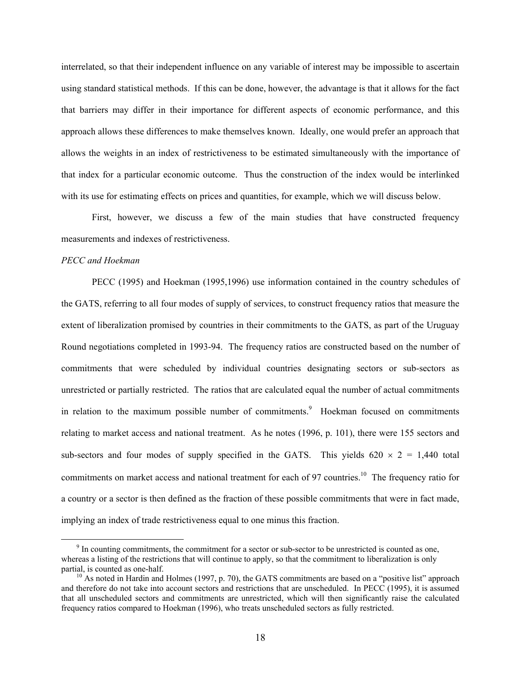interrelated, so that their independent influence on any variable of interest may be impossible to ascertain using standard statistical methods. If this can be done, however, the advantage is that it allows for the fact that barriers may differ in their importance for different aspects of economic performance, and this approach allows these differences to make themselves known. Ideally, one would prefer an approach that allows the weights in an index of restrictiveness to be estimated simultaneously with the importance of that index for a particular economic outcome. Thus the construction of the index would be interlinked with its use for estimating effects on prices and quantities, for example, which we will discuss below.

 First, however, we discuss a few of the main studies that have constructed frequency measurements and indexes of restrictiveness.

#### *PECC and Hoekman*

 PECC (1995) and Hoekman (1995,1996) use information contained in the country schedules of the GATS, referring to all four modes of supply of services, to construct frequency ratios that measure the extent of liberalization promised by countries in their commitments to the GATS, as part of the Uruguay Round negotiations completed in 1993-94. The frequency ratios are constructed based on the number of commitments that were scheduled by individual countries designating sectors or sub-sectors as unrestricted or partially restricted. The ratios that are calculated equal the number of actual commitments in relation to the maximum possible number of commitments.<sup>9</sup> Hoekman focused on commitments relating to market access and national treatment. As he notes (1996, p. 101), there were 155 sectors and sub-sectors and four modes of supply specified in the GATS. This yields  $620 \times 2 = 1,440$  total commitments on market access and national treatment for each of 97 countries.<sup>10</sup> The frequency ratio for a country or a sector is then defined as the fraction of these possible commitments that were in fact made, implying an index of trade restrictiveness equal to one minus this fraction.

 <sup>9</sup>  $\frac{9}{9}$  In counting commitments, the commitment for a sector or sub-sector to be unrestricted is counted as one, whereas a listing of the restrictions that will continue to apply, so that the commitment to liberalization is only partial, is counted as one-half.<br><sup>10</sup> As noted in Hardin and Holmes (1997, p. 70), the GATS commitments are based on a "positive list" approach

and therefore do not take into account sectors and restrictions that are unscheduled. In PECC (1995), it is assumed that all unscheduled sectors and commitments are unrestricted, which will then significantly raise the calculated frequency ratios compared to Hoekman (1996), who treats unscheduled sectors as fully restricted.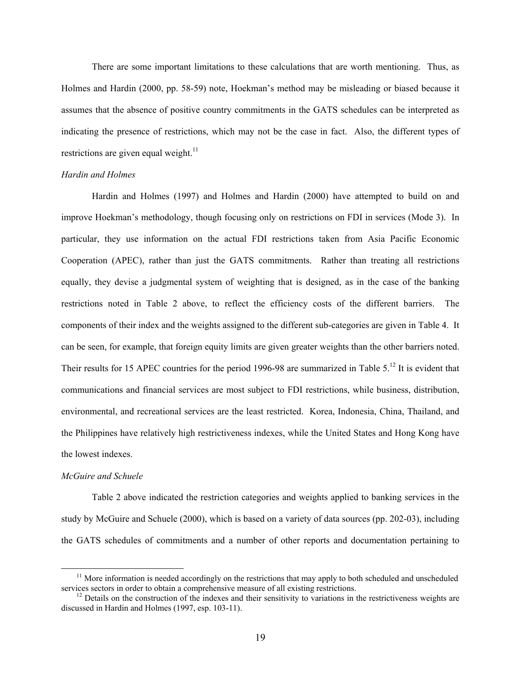There are some important limitations to these calculations that are worth mentioning. Thus, as Holmes and Hardin (2000, pp. 58-59) note, Hoekman's method may be misleading or biased because it assumes that the absence of positive country commitments in the GATS schedules can be interpreted as indicating the presence of restrictions, which may not be the case in fact. Also, the different types of restrictions are given equal weight.<sup>11</sup>

#### *Hardin and Holmes*

Hardin and Holmes (1997) and Holmes and Hardin (2000) have attempted to build on and improve Hoekman's methodology, though focusing only on restrictions on FDI in services (Mode 3). In particular, they use information on the actual FDI restrictions taken from Asia Pacific Economic Cooperation (APEC), rather than just the GATS commitments. Rather than treating all restrictions equally, they devise a judgmental system of weighting that is designed, as in the case of the banking restrictions noted in Table 2 above, to reflect the efficiency costs of the different barriers. The components of their index and the weights assigned to the different sub-categories are given in Table 4. It can be seen, for example, that foreign equity limits are given greater weights than the other barriers noted. Their results for 15 APEC countries for the period 1996-98 are summarized in Table 5.<sup>12</sup> It is evident that communications and financial services are most subject to FDI restrictions, while business, distribution, environmental, and recreational services are the least restricted. Korea, Indonesia, China, Thailand, and the Philippines have relatively high restrictiveness indexes, while the United States and Hong Kong have the lowest indexes.

#### *McGuire and Schuele*

 Table 2 above indicated the restriction categories and weights applied to banking services in the study by McGuire and Schuele (2000), which is based on a variety of data sources (pp. 202-03), including the GATS schedules of commitments and a number of other reports and documentation pertaining to

 $11$  More information is needed accordingly on the restrictions that may apply to both scheduled and unscheduled services sectors in order to obtain a comprehensive measure of all existing restrictions.

 $12$  Details on the construction of the indexes and their sensitivity to variations in the restrictiveness weights are discussed in Hardin and Holmes (1997, esp. 103-11).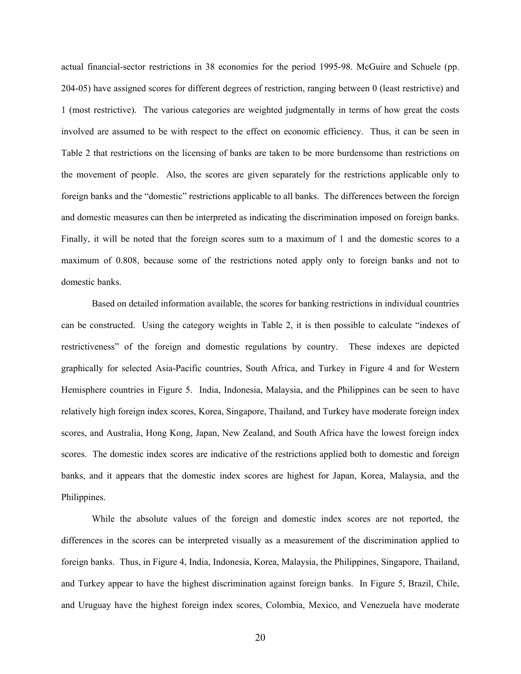actual financial-sector restrictions in 38 economies for the period 1995-98. McGuire and Schuele (pp. 204-05) have assigned scores for different degrees of restriction, ranging between 0 (least restrictive) and 1 (most restrictive). The various categories are weighted judgmentally in terms of how great the costs involved are assumed to be with respect to the effect on economic efficiency. Thus, it can be seen in Table 2 that restrictions on the licensing of banks are taken to be more burdensome than restrictions on the movement of people. Also, the scores are given separately for the restrictions applicable only to foreign banks and the "domestic" restrictions applicable to all banks. The differences between the foreign and domestic measures can then be interpreted as indicating the discrimination imposed on foreign banks. Finally, it will be noted that the foreign scores sum to a maximum of 1 and the domestic scores to a maximum of 0.808, because some of the restrictions noted apply only to foreign banks and not to domestic banks.

Based on detailed information available, the scores for banking restrictions in individual countries can be constructed. Using the category weights in Table 2, it is then possible to calculate "indexes of restrictiveness" of the foreign and domestic regulations by country. These indexes are depicted graphically for selected Asia-Pacific countries, South Africa, and Turkey in Figure 4 and for Western Hemisphere countries in Figure 5. India, Indonesia, Malaysia, and the Philippines can be seen to have relatively high foreign index scores, Korea, Singapore, Thailand, and Turkey have moderate foreign index scores, and Australia, Hong Kong, Japan, New Zealand, and South Africa have the lowest foreign index scores. The domestic index scores are indicative of the restrictions applied both to domestic and foreign banks, and it appears that the domestic index scores are highest for Japan, Korea, Malaysia, and the Philippines.

While the absolute values of the foreign and domestic index scores are not reported, the differences in the scores can be interpreted visually as a measurement of the discrimination applied to foreign banks. Thus, in Figure 4, India, Indonesia, Korea, Malaysia, the Philippines, Singapore, Thailand, and Turkey appear to have the highest discrimination against foreign banks. In Figure 5, Brazil, Chile, and Uruguay have the highest foreign index scores, Colombia, Mexico, and Venezuela have moderate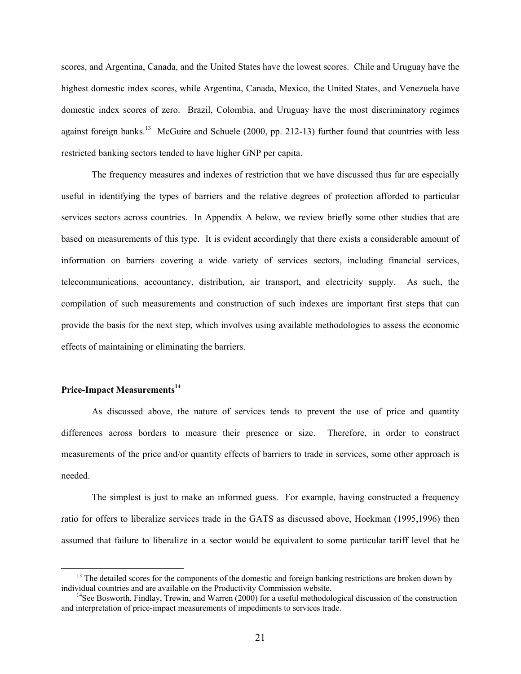scores, and Argentina, Canada, and the United States have the lowest scores. Chile and Uruguay have the highest domestic index scores, while Argentina, Canada, Mexico, the United States, and Venezuela have domestic index scores of zero. Brazil, Colombia, and Uruguay have the most discriminatory regimes against foreign banks.<sup>13</sup> McGuire and Schuele (2000, pp. 212-13) further found that countries with less restricted banking sectors tended to have higher GNP per capita.

 The frequency measures and indexes of restriction that we have discussed thus far are especially useful in identifying the types of barriers and the relative degrees of protection afforded to particular services sectors across countries. In Appendix A below, we review briefly some other studies that are based on measurements of this type. It is evident accordingly that there exists a considerable amount of information on barriers covering a wide variety of services sectors, including financial services, telecommunications, accountancy, distribution, air transport, and electricity supply. As such, the compilation of such measurements and construction of such indexes are important first steps that can provide the basis for the next step, which involves using available methodologies to assess the economic effects of maintaining or eliminating the barriers.

### **Price-Impact Measurements**<sup>14</sup>

 As discussed above, the nature of services tends to prevent the use of price and quantity differences across borders to measure their presence or size. Therefore, in order to construct measurements of the price and/or quantity effects of barriers to trade in services, some other approach is needed.

The simplest is just to make an informed guess. For example, having constructed a frequency ratio for offers to liberalize services trade in the GATS as discussed above, Hoekman (1995,1996) then assumed that failure to liberalize in a sector would be equivalent to some particular tariff level that he

<sup>&</sup>lt;sup>13</sup> The detailed scores for the components of the domestic and foreign banking restrictions are broken down by individual countries and are available on the Productivity Commission website.

<sup>&</sup>lt;sup>14</sup>See Bosworth, Findlay, Trewin, and Warren (2000) for a useful methodological discussion of the construction and interpretation of price-impact measurements of impediments to services trade.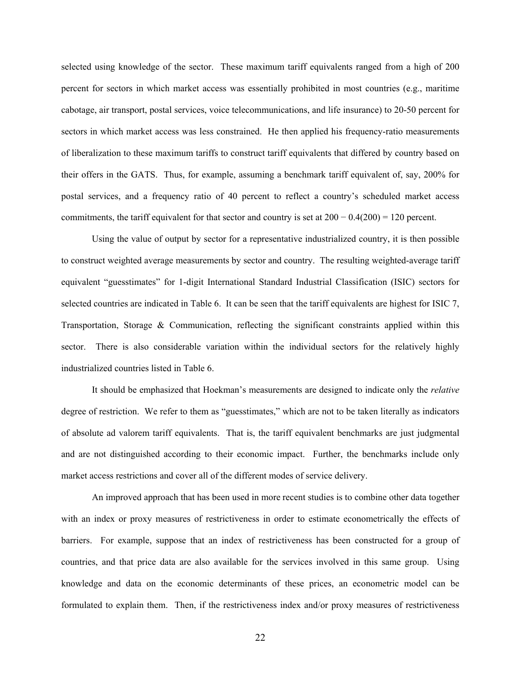selected using knowledge of the sector. These maximum tariff equivalents ranged from a high of 200 percent for sectors in which market access was essentially prohibited in most countries (e.g., maritime cabotage, air transport, postal services, voice telecommunications, and life insurance) to 20-50 percent for sectors in which market access was less constrained. He then applied his frequency-ratio measurements of liberalization to these maximum tariffs to construct tariff equivalents that differed by country based on their offers in the GATS. Thus, for example, assuming a benchmark tariff equivalent of, say, 200% for postal services, and a frequency ratio of 40 percent to reflect a country's scheduled market access commitments, the tariff equivalent for that sector and country is set at  $200 - 0.4(200) = 120$  percent.

Using the value of output by sector for a representative industrialized country, it is then possible to construct weighted average measurements by sector and country. The resulting weighted-average tariff equivalent "guesstimates" for 1-digit International Standard Industrial Classification (ISIC) sectors for selected countries are indicated in Table 6. It can be seen that the tariff equivalents are highest for ISIC 7, Transportation, Storage & Communication, reflecting the significant constraints applied within this sector. There is also considerable variation within the individual sectors for the relatively highly industrialized countries listed in Table 6.

It should be emphasized that Hoekman's measurements are designed to indicate only the *relative* degree of restriction. We refer to them as "guesstimates," which are not to be taken literally as indicators of absolute ad valorem tariff equivalents. That is, the tariff equivalent benchmarks are just judgmental and are not distinguished according to their economic impact. Further, the benchmarks include only market access restrictions and cover all of the different modes of service delivery.

An improved approach that has been used in more recent studies is to combine other data together with an index or proxy measures of restrictiveness in order to estimate econometrically the effects of barriers. For example, suppose that an index of restrictiveness has been constructed for a group of countries, and that price data are also available for the services involved in this same group. Using knowledge and data on the economic determinants of these prices, an econometric model can be formulated to explain them. Then, if the restrictiveness index and/or proxy measures of restrictiveness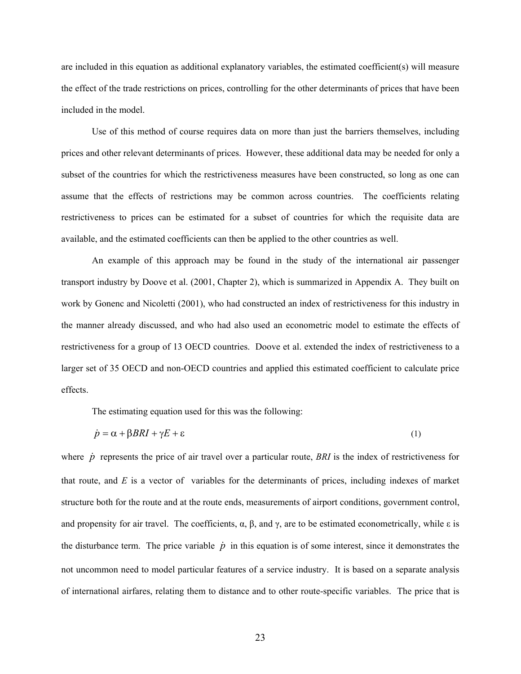are included in this equation as additional explanatory variables, the estimated coefficient(s) will measure the effect of the trade restrictions on prices, controlling for the other determinants of prices that have been included in the model.

Use of this method of course requires data on more than just the barriers themselves, including prices and other relevant determinants of prices. However, these additional data may be needed for only a subset of the countries for which the restrictiveness measures have been constructed, so long as one can assume that the effects of restrictions may be common across countries. The coefficients relating restrictiveness to prices can be estimated for a subset of countries for which the requisite data are available, and the estimated coefficients can then be applied to the other countries as well.

An example of this approach may be found in the study of the international air passenger transport industry by Doove et al. (2001, Chapter 2), which is summarized in Appendix A. They built on work by Gonenc and Nicoletti (2001), who had constructed an index of restrictiveness for this industry in the manner already discussed, and who had also used an econometric model to estimate the effects of restrictiveness for a group of 13 OECD countries. Doove et al. extended the index of restrictiveness to a larger set of 35 OECD and non-OECD countries and applied this estimated coefficient to calculate price effects.

The estimating equation used for this was the following:

$$
\dot{p} = \alpha + \beta BRI + \gamma E + \varepsilon \tag{1}
$$

where  $\dot{p}$  represents the price of air travel over a particular route, *BRI* is the index of restrictiveness for that route, and *E* is a vector of variables for the determinants of prices, including indexes of market structure both for the route and at the route ends, measurements of airport conditions, government control, and propensity for air travel. The coefficients,  $\alpha$ ,  $\beta$ , and  $\gamma$ , are to be estimated econometrically, while  $\varepsilon$  is the disturbance term. The price variable  $\dot{p}$  in this equation is of some interest, since it demonstrates the not uncommon need to model particular features of a service industry. It is based on a separate analysis of international airfares, relating them to distance and to other route-specific variables. The price that is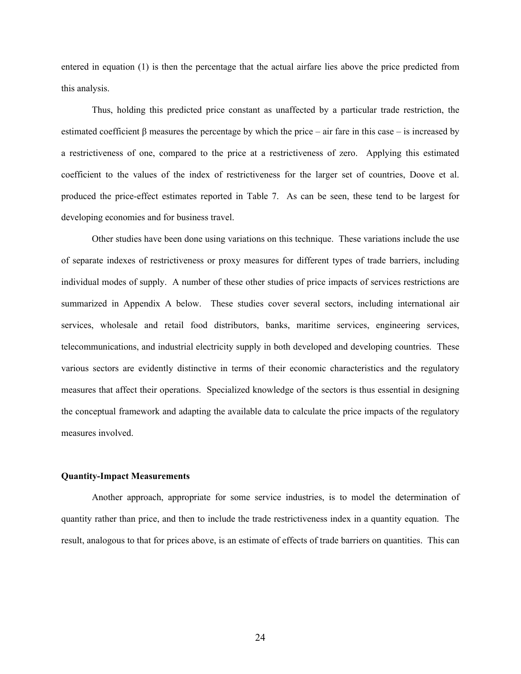entered in equation (1) is then the percentage that the actual airfare lies above the price predicted from this analysis.

Thus, holding this predicted price constant as unaffected by a particular trade restriction, the estimated coefficient  $\beta$  measures the percentage by which the price – air fare in this case – is increased by a restrictiveness of one, compared to the price at a restrictiveness of zero. Applying this estimated coefficient to the values of the index of restrictiveness for the larger set of countries, Doove et al. produced the price-effect estimates reported in Table 7. As can be seen, these tend to be largest for developing economies and for business travel.

Other studies have been done using variations on this technique. These variations include the use of separate indexes of restrictiveness or proxy measures for different types of trade barriers, including individual modes of supply. A number of these other studies of price impacts of services restrictions are summarized in Appendix A below. These studies cover several sectors, including international air services, wholesale and retail food distributors, banks, maritime services, engineering services, telecommunications, and industrial electricity supply in both developed and developing countries. These various sectors are evidently distinctive in terms of their economic characteristics and the regulatory measures that affect their operations. Specialized knowledge of the sectors is thus essential in designing the conceptual framework and adapting the available data to calculate the price impacts of the regulatory measures involved.

#### **Quantity-Impact Measurements**

Another approach, appropriate for some service industries, is to model the determination of quantity rather than price, and then to include the trade restrictiveness index in a quantity equation. The result, analogous to that for prices above, is an estimate of effects of trade barriers on quantities. This can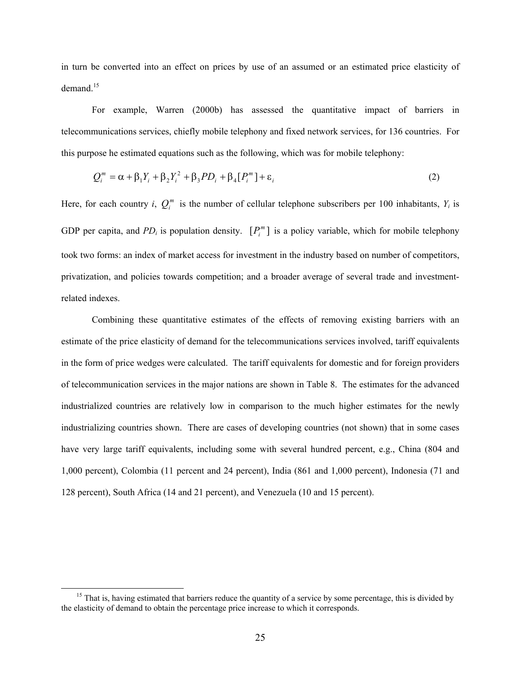in turn be converted into an effect on prices by use of an assumed or an estimated price elasticity of demand<sup>15</sup>

For example, Warren (2000b) has assessed the quantitative impact of barriers in telecommunications services, chiefly mobile telephony and fixed network services, for 136 countries. For this purpose he estimated equations such as the following, which was for mobile telephony:

$$
Q_i^m = \alpha + \beta_1 Y_i + \beta_2 Y_i^2 + \beta_3 P D_i + \beta_4 [P_i^m] + \varepsilon_i
$$
 (2)

Here, for each country *i*,  $Q_i^m$  is the number of cellular telephone subscribers per 100 inhabitants,  $Y_i$  is GDP per capita, and  $PD_i$  is population density.  $[P_i^m]$  is a policy variable, which for mobile telephony took two forms: an index of market access for investment in the industry based on number of competitors, privatization, and policies towards competition; and a broader average of several trade and investmentrelated indexes.

Combining these quantitative estimates of the effects of removing existing barriers with an estimate of the price elasticity of demand for the telecommunications services involved, tariff equivalents in the form of price wedges were calculated. The tariff equivalents for domestic and for foreign providers of telecommunication services in the major nations are shown in Table 8. The estimates for the advanced industrialized countries are relatively low in comparison to the much higher estimates for the newly industrializing countries shown. There are cases of developing countries (not shown) that in some cases have very large tariff equivalents, including some with several hundred percent, e.g., China (804 and 1,000 percent), Colombia (11 percent and 24 percent), India (861 and 1,000 percent), Indonesia (71 and 128 percent), South Africa (14 and 21 percent), and Venezuela (10 and 15 percent).

<sup>&</sup>lt;sup>15</sup> That is, having estimated that barriers reduce the quantity of a service by some percentage, this is divided by the elasticity of demand to obtain the percentage price increase to which it corresponds.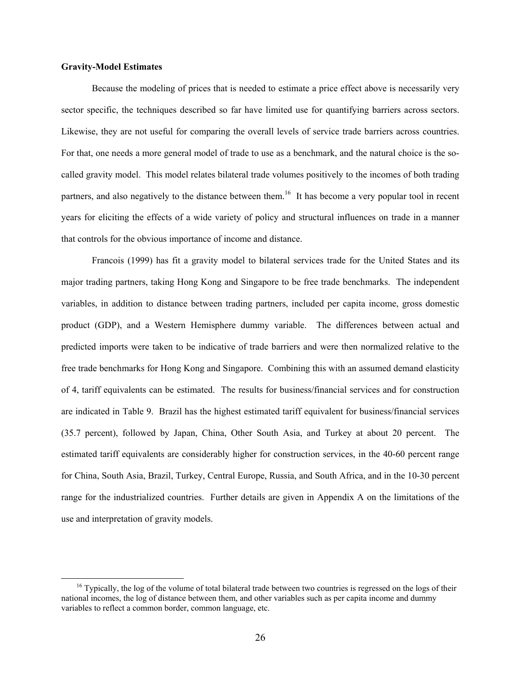#### **Gravity-Model Estimates**

 Because the modeling of prices that is needed to estimate a price effect above is necessarily very sector specific, the techniques described so far have limited use for quantifying barriers across sectors. Likewise, they are not useful for comparing the overall levels of service trade barriers across countries. For that, one needs a more general model of trade to use as a benchmark, and the natural choice is the socalled gravity model. This model relates bilateral trade volumes positively to the incomes of both trading partners, and also negatively to the distance between them.<sup>16</sup> It has become a very popular tool in recent years for eliciting the effects of a wide variety of policy and structural influences on trade in a manner that controls for the obvious importance of income and distance.

 Francois (1999) has fit a gravity model to bilateral services trade for the United States and its major trading partners, taking Hong Kong and Singapore to be free trade benchmarks. The independent variables, in addition to distance between trading partners, included per capita income, gross domestic product (GDP), and a Western Hemisphere dummy variable. The differences between actual and predicted imports were taken to be indicative of trade barriers and were then normalized relative to the free trade benchmarks for Hong Kong and Singapore. Combining this with an assumed demand elasticity of 4, tariff equivalents can be estimated. The results for business/financial services and for construction are indicated in Table 9. Brazil has the highest estimated tariff equivalent for business/financial services (35.7 percent), followed by Japan, China, Other South Asia, and Turkey at about 20 percent. The estimated tariff equivalents are considerably higher for construction services, in the 40-60 percent range for China, South Asia, Brazil, Turkey, Central Europe, Russia, and South Africa, and in the 10-30 percent range for the industrialized countries. Further details are given in Appendix A on the limitations of the use and interpretation of gravity models.

 $16$  Typically, the log of the volume of total bilateral trade between two countries is regressed on the logs of their national incomes, the log of distance between them, and other variables such as per capita income and dummy variables to reflect a common border, common language, etc.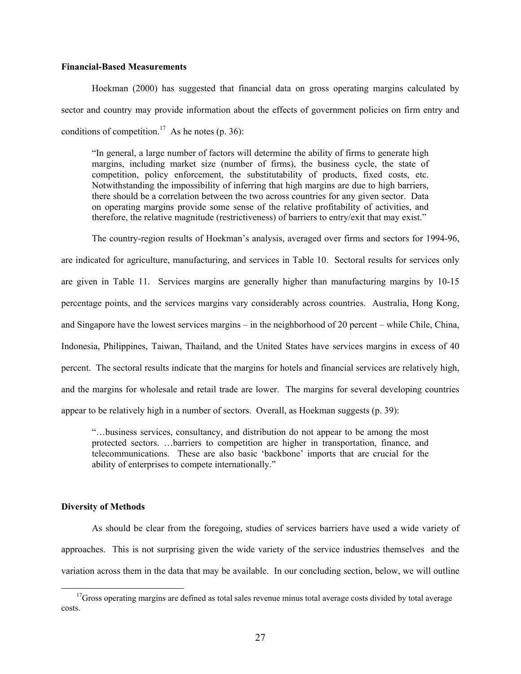#### **Financial-Based Measurements**

 Hoekman (2000) has suggested that financial data on gross operating margins calculated by sector and country may provide information about the effects of government policies on firm entry and conditions of competition.<sup>17</sup> As he notes (p. 36):

"In general, a large number of factors will determine the ability of firms to generate high margins, including market size (number of firms), the business cycle, the state of competition, policy enforcement, the substitutability of products, fixed costs, etc. Notwithstanding the impossibility of inferring that high margins are due to high barriers, there should be a correlation between the two across countries for any given sector. Data on operating margins provide some sense of the relative profitability of activities, and therefore, the relative magnitude (restrictiveness) of barriers to entry/exit that may exist."

The country-region results of Hoekman's analysis, averaged over firms and sectors for 1994-96,

are indicated for agriculture, manufacturing, and services in Table 10. Sectoral results for services only are given in Table 11. Services margins are generally higher than manufacturing margins by 10-15 percentage points, and the services margins vary considerably across countries. Australia, Hong Kong, and Singapore have the lowest services margins – in the neighborhood of 20 percent – while Chile, China, Indonesia, Philippines, Taiwan, Thailand, and the United States have services margins in excess of 40 percent. The sectoral results indicate that the margins for hotels and financial services are relatively high, and the margins for wholesale and retail trade are lower. The margins for several developing countries appear to be relatively high in a number of sectors. Overall, as Hoekman suggests (p. 39):

"…business services, consultancy, and distribution do not appear to be among the most protected sectors. …barriers to competition are higher in transportation, finance, and telecommunications. These are also basic 'backbone' imports that are crucial for the ability of enterprises to compete internationally."

#### **Diversity of Methods**

As should be clear from the foregoing, studies of services barriers have used a wide variety of approaches. This is not surprising given the wide variety of the service industries themselves and the variation across them in the data that may be available. In our concluding section, below, we will outline

<sup>&</sup>lt;sup>17</sup>Gross operating margins are defined as total sales revenue minus total average costs divided by total average costs.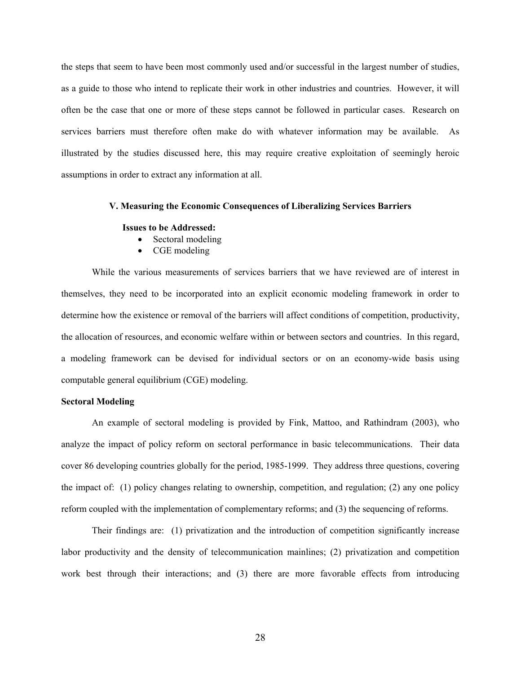the steps that seem to have been most commonly used and/or successful in the largest number of studies, as a guide to those who intend to replicate their work in other industries and countries. However, it will often be the case that one or more of these steps cannot be followed in particular cases. Research on services barriers must therefore often make do with whatever information may be available. As illustrated by the studies discussed here, this may require creative exploitation of seemingly heroic assumptions in order to extract any information at all.

### **V. Measuring the Economic Consequences of Liberalizing Services Barriers**

#### **Issues to be Addressed:**

- Sectoral modeling
- CGE modeling

While the various measurements of services barriers that we have reviewed are of interest in themselves, they need to be incorporated into an explicit economic modeling framework in order to determine how the existence or removal of the barriers will affect conditions of competition, productivity, the allocation of resources, and economic welfare within or between sectors and countries. In this regard, a modeling framework can be devised for individual sectors or on an economy-wide basis using computable general equilibrium (CGE) modeling.

#### **Sectoral Modeling**

An example of sectoral modeling is provided by Fink, Mattoo, and Rathindram (2003), who analyze the impact of policy reform on sectoral performance in basic telecommunications. Their data cover 86 developing countries globally for the period, 1985-1999. They address three questions, covering the impact of: (1) policy changes relating to ownership, competition, and regulation; (2) any one policy reform coupled with the implementation of complementary reforms; and (3) the sequencing of reforms.

 Their findings are: (1) privatization and the introduction of competition significantly increase labor productivity and the density of telecommunication mainlines; (2) privatization and competition work best through their interactions; and (3) there are more favorable effects from introducing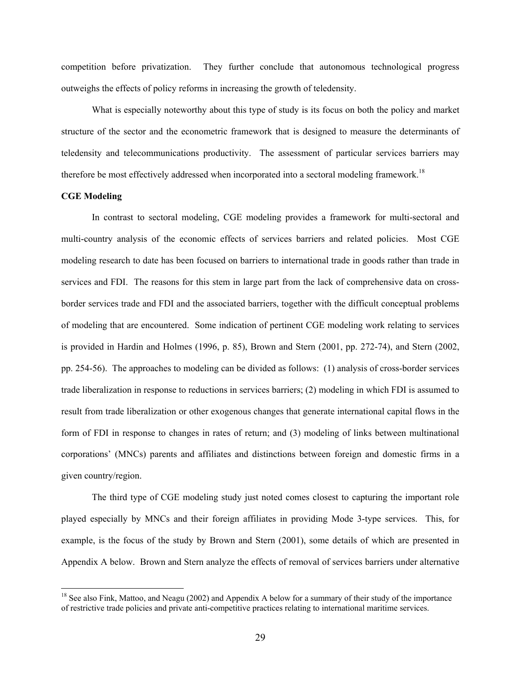competition before privatization. They further conclude that autonomous technological progress outweighs the effects of policy reforms in increasing the growth of teledensity.

 What is especially noteworthy about this type of study is its focus on both the policy and market structure of the sector and the econometric framework that is designed to measure the determinants of teledensity and telecommunications productivity. The assessment of particular services barriers may therefore be most effectively addressed when incorporated into a sectoral modeling framework.<sup>18</sup>

### **CGE Modeling**

 $\overline{a}$ 

In contrast to sectoral modeling, CGE modeling provides a framework for multi-sectoral and multi-country analysis of the economic effects of services barriers and related policies. Most CGE modeling research to date has been focused on barriers to international trade in goods rather than trade in services and FDI. The reasons for this stem in large part from the lack of comprehensive data on crossborder services trade and FDI and the associated barriers, together with the difficult conceptual problems of modeling that are encountered. Some indication of pertinent CGE modeling work relating to services is provided in Hardin and Holmes (1996, p. 85), Brown and Stern (2001, pp. 272-74), and Stern (2002, pp. 254-56). The approaches to modeling can be divided as follows: (1) analysis of cross-border services trade liberalization in response to reductions in services barriers; (2) modeling in which FDI is assumed to result from trade liberalization or other exogenous changes that generate international capital flows in the form of FDI in response to changes in rates of return; and (3) modeling of links between multinational corporations' (MNCs) parents and affiliates and distinctions between foreign and domestic firms in a given country/region.

The third type of CGE modeling study just noted comes closest to capturing the important role played especially by MNCs and their foreign affiliates in providing Mode 3-type services. This, for example, is the focus of the study by Brown and Stern (2001), some details of which are presented in Appendix A below. Brown and Stern analyze the effects of removal of services barriers under alternative

<sup>&</sup>lt;sup>18</sup> See also Fink, Mattoo, and Neagu (2002) and Appendix A below for a summary of their study of the importance of restrictive trade policies and private anti-competitive practices relating to international maritime services.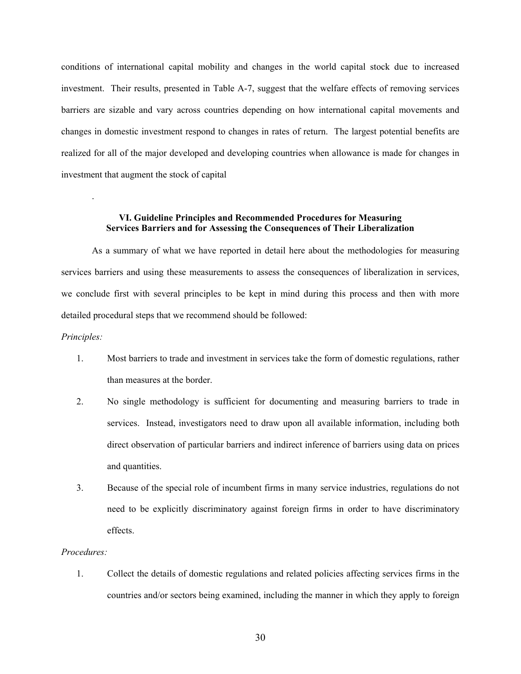conditions of international capital mobility and changes in the world capital stock due to increased investment. Their results, presented in Table A-7, suggest that the welfare effects of removing services barriers are sizable and vary across countries depending on how international capital movements and changes in domestic investment respond to changes in rates of return. The largest potential benefits are realized for all of the major developed and developing countries when allowance is made for changes in investment that augment the stock of capital

#### **VI. Guideline Principles and Recommended Procedures for Measuring Services Barriers and for Assessing the Consequences of Their Liberalization**

As a summary of what we have reported in detail here about the methodologies for measuring services barriers and using these measurements to assess the consequences of liberalization in services, we conclude first with several principles to be kept in mind during this process and then with more detailed procedural steps that we recommend should be followed:

#### *Principles:*

.

- 1. Most barriers to trade and investment in services take the form of domestic regulations, rather than measures at the border.
- 2. No single methodology is sufficient for documenting and measuring barriers to trade in services. Instead, investigators need to draw upon all available information, including both direct observation of particular barriers and indirect inference of barriers using data on prices and quantities.
- 3. Because of the special role of incumbent firms in many service industries, regulations do not need to be explicitly discriminatory against foreign firms in order to have discriminatory effects.

### *Procedures:*

1. Collect the details of domestic regulations and related policies affecting services firms in the countries and/or sectors being examined, including the manner in which they apply to foreign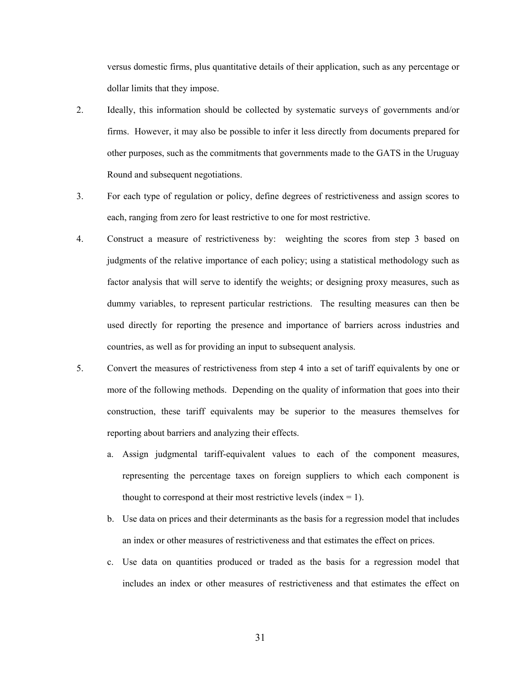versus domestic firms, plus quantitative details of their application, such as any percentage or dollar limits that they impose.

- 2. Ideally, this information should be collected by systematic surveys of governments and/or firms. However, it may also be possible to infer it less directly from documents prepared for other purposes, such as the commitments that governments made to the GATS in the Uruguay Round and subsequent negotiations.
- 3. For each type of regulation or policy, define degrees of restrictiveness and assign scores to each, ranging from zero for least restrictive to one for most restrictive.
- 4. Construct a measure of restrictiveness by: weighting the scores from step 3 based on judgments of the relative importance of each policy; using a statistical methodology such as factor analysis that will serve to identify the weights; or designing proxy measures, such as dummy variables, to represent particular restrictions. The resulting measures can then be used directly for reporting the presence and importance of barriers across industries and countries, as well as for providing an input to subsequent analysis.
- 5. Convert the measures of restrictiveness from step 4 into a set of tariff equivalents by one or more of the following methods. Depending on the quality of information that goes into their construction, these tariff equivalents may be superior to the measures themselves for reporting about barriers and analyzing their effects.
	- a. Assign judgmental tariff-equivalent values to each of the component measures, representing the percentage taxes on foreign suppliers to which each component is thought to correspond at their most restrictive levels (index  $= 1$ ).
	- b. Use data on prices and their determinants as the basis for a regression model that includes an index or other measures of restrictiveness and that estimates the effect on prices.
	- c. Use data on quantities produced or traded as the basis for a regression model that includes an index or other measures of restrictiveness and that estimates the effect on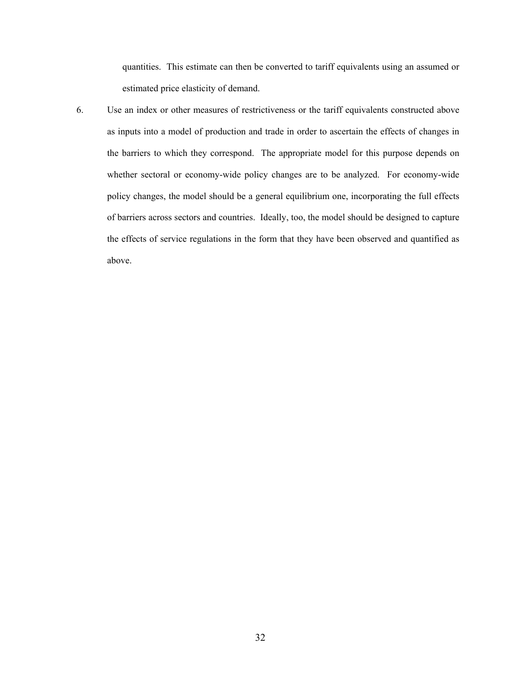quantities. This estimate can then be converted to tariff equivalents using an assumed or estimated price elasticity of demand.

6. Use an index or other measures of restrictiveness or the tariff equivalents constructed above as inputs into a model of production and trade in order to ascertain the effects of changes in the barriers to which they correspond. The appropriate model for this purpose depends on whether sectoral or economy-wide policy changes are to be analyzed. For economy-wide policy changes, the model should be a general equilibrium one, incorporating the full effects of barriers across sectors and countries. Ideally, too, the model should be designed to capture the effects of service regulations in the form that they have been observed and quantified as above.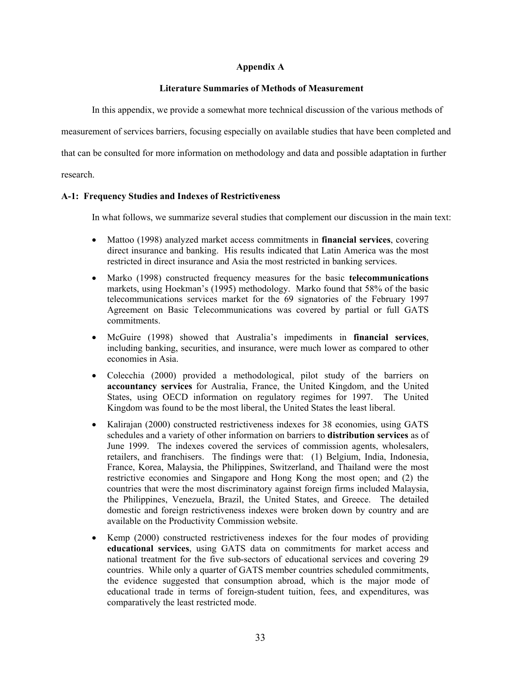#### **Appendix A**

#### **Literature Summaries of Methods of Measurement**

In this appendix, we provide a somewhat more technical discussion of the various methods of

measurement of services barriers, focusing especially on available studies that have been completed and

that can be consulted for more information on methodology and data and possible adaptation in further

research.

#### **A-1: Frequency Studies and Indexes of Restrictiveness**

In what follows, we summarize several studies that complement our discussion in the main text:

- Mattoo (1998) analyzed market access commitments in **financial services**, covering direct insurance and banking. His results indicated that Latin America was the most restricted in direct insurance and Asia the most restricted in banking services.
- Marko (1998) constructed frequency measures for the basic **telecommunications** markets, using Hoekman's (1995) methodology. Marko found that 58% of the basic telecommunications services market for the 69 signatories of the February 1997 Agreement on Basic Telecommunications was covered by partial or full GATS commitments.
- McGuire (1998) showed that Australia's impediments in **financial services**, including banking, securities, and insurance, were much lower as compared to other economies in Asia.
- Colecchia (2000) provided a methodological, pilot study of the barriers on **accountancy services** for Australia, France, the United Kingdom, and the United States, using OECD information on regulatory regimes for 1997. The United Kingdom was found to be the most liberal, the United States the least liberal.
- Kalirajan (2000) constructed restrictiveness indexes for 38 economies, using GATS schedules and a variety of other information on barriers to **distribution services** as of June 1999. The indexes covered the services of commission agents, wholesalers, retailers, and franchisers. The findings were that: (1) Belgium, India, Indonesia, France, Korea, Malaysia, the Philippines, Switzerland, and Thailand were the most restrictive economies and Singapore and Hong Kong the most open; and (2) the countries that were the most discriminatory against foreign firms included Malaysia, the Philippines, Venezuela, Brazil, the United States, and Greece. The detailed domestic and foreign restrictiveness indexes were broken down by country and are available on the Productivity Commission website.
- Kemp (2000) constructed restrictiveness indexes for the four modes of providing **educational services**, using GATS data on commitments for market access and national treatment for the five sub-sectors of educational services and covering 29 countries. While only a quarter of GATS member countries scheduled commitments, the evidence suggested that consumption abroad, which is the major mode of educational trade in terms of foreign-student tuition, fees, and expenditures, was comparatively the least restricted mode.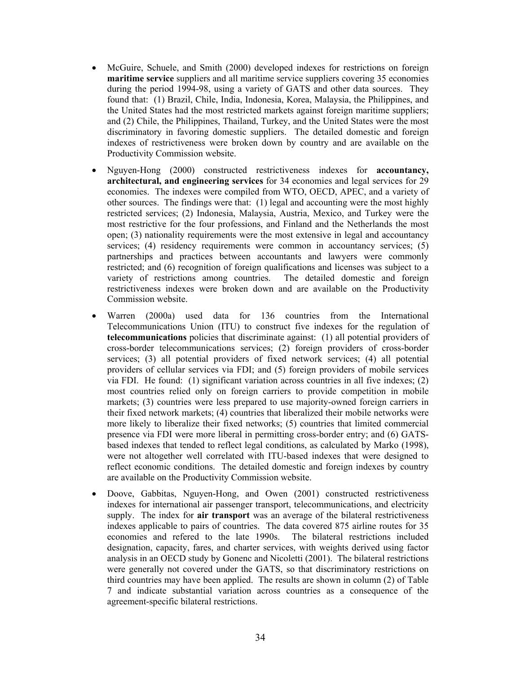- McGuire, Schuele, and Smith (2000) developed indexes for restrictions on foreign **maritime service** suppliers and all maritime service suppliers covering 35 economies during the period 1994-98, using a variety of GATS and other data sources. They found that: (1) Brazil, Chile, India, Indonesia, Korea, Malaysia, the Philippines, and the United States had the most restricted markets against foreign maritime suppliers; and (2) Chile, the Philippines, Thailand, Turkey, and the United States were the most discriminatory in favoring domestic suppliers. The detailed domestic and foreign indexes of restrictiveness were broken down by country and are available on the Productivity Commission website.
- Nguyen-Hong (2000) constructed restrictiveness indexes for **accountancy, architectural, and engineering services** for 34 economies and legal services for 29 economies. The indexes were compiled from WTO, OECD, APEC, and a variety of other sources. The findings were that: (1) legal and accounting were the most highly restricted services; (2) Indonesia, Malaysia, Austria, Mexico, and Turkey were the most restrictive for the four professions, and Finland and the Netherlands the most open; (3) nationality requirements were the most extensive in legal and accountancy services; (4) residency requirements were common in accountancy services; (5) partnerships and practices between accountants and lawyers were commonly restricted; and (6) recognition of foreign qualifications and licenses was subject to a variety of restrictions among countries. The detailed domestic and foreign restrictiveness indexes were broken down and are available on the Productivity Commission website.
- Warren (2000a) used data for 136 countries from the International Telecommunications Union (ITU) to construct five indexes for the regulation of **telecommunications** policies that discriminate against: (1) all potential providers of cross-border telecommunications services; (2) foreign providers of cross-border services; (3) all potential providers of fixed network services; (4) all potential providers of cellular services via FDI; and (5) foreign providers of mobile services via FDI. He found: (1) significant variation across countries in all five indexes; (2) most countries relied only on foreign carriers to provide competition in mobile markets; (3) countries were less prepared to use majority-owned foreign carriers in their fixed network markets; (4) countries that liberalized their mobile networks were more likely to liberalize their fixed networks; (5) countries that limited commercial presence via FDI were more liberal in permitting cross-border entry; and (6) GATSbased indexes that tended to reflect legal conditions, as calculated by Marko (1998), were not altogether well correlated with ITU-based indexes that were designed to reflect economic conditions. The detailed domestic and foreign indexes by country are available on the Productivity Commission website.
- Doove, Gabbitas, Nguyen-Hong, and Owen (2001) constructed restrictiveness indexes for international air passenger transport, telecommunications, and electricity supply. The index for **air transport** was an average of the bilateral restrictiveness indexes applicable to pairs of countries. The data covered 875 airline routes for 35 economies and refered to the late 1990s. The bilateral restrictions included designation, capacity, fares, and charter services, with weights derived using factor analysis in an OECD study by Gonenc and Nicoletti (2001). The bilateral restrictions were generally not covered under the GATS, so that discriminatory restrictions on third countries may have been applied. The results are shown in column (2) of Table 7 and indicate substantial variation across countries as a consequence of the agreement-specific bilateral restrictions.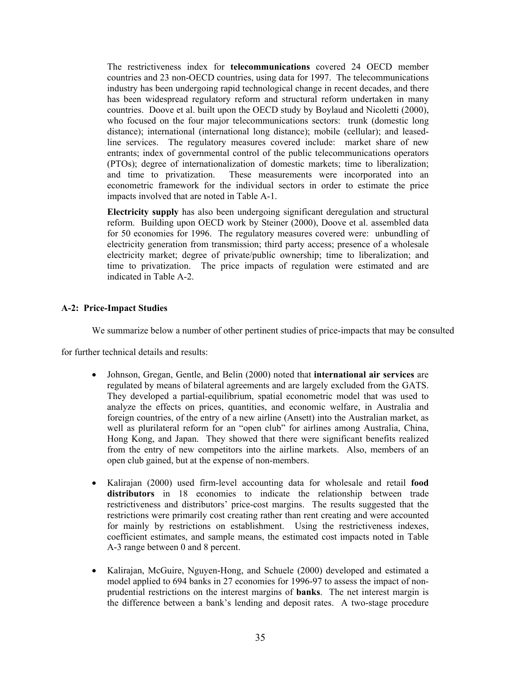The restrictiveness index for **telecommunications** covered 24 OECD member countries and 23 non-OECD countries, using data for 1997. The telecommunications industry has been undergoing rapid technological change in recent decades, and there has been widespread regulatory reform and structural reform undertaken in many countries. Doove et al. built upon the OECD study by Boylaud and Nicoletti (2000), who focused on the four major telecommunications sectors: trunk (domestic long distance); international (international long distance); mobile (cellular); and leasedline services. The regulatory measures covered include: market share of new entrants; index of governmental control of the public telecommunications operators (PTOs); degree of internationalization of domestic markets; time to liberalization; and time to privatization. These measurements were incorporated into an econometric framework for the individual sectors in order to estimate the price impacts involved that are noted in Table A-1.

**Electricity supply** has also been undergoing significant deregulation and structural reform. Building upon OECD work by Steiner (2000), Doove et al. assembled data for 50 economies for 1996. The regulatory measures covered were: unbundling of electricity generation from transmission; third party access; presence of a wholesale electricity market; degree of private/public ownership; time to liberalization; and time to privatization. The price impacts of regulation were estimated and are indicated in Table A-2.

### **A-2: Price-Impact Studies**

We summarize below a number of other pertinent studies of price-impacts that may be consulted

for further technical details and results:

- Johnson, Gregan, Gentle, and Belin (2000) noted that **international air services** are regulated by means of bilateral agreements and are largely excluded from the GATS. They developed a partial-equilibrium, spatial econometric model that was used to analyze the effects on prices, quantities, and economic welfare, in Australia and foreign countries, of the entry of a new airline (Ansett) into the Australian market, as well as plurilateral reform for an "open club" for airlines among Australia, China, Hong Kong, and Japan. They showed that there were significant benefits realized from the entry of new competitors into the airline markets. Also, members of an open club gained, but at the expense of non-members.
- Kalirajan (2000) used firm-level accounting data for wholesale and retail **food distributors** in 18 economies to indicate the relationship between trade restrictiveness and distributors' price-cost margins. The results suggested that the restrictions were primarily cost creating rather than rent creating and were accounted for mainly by restrictions on establishment. Using the restrictiveness indexes, coefficient estimates, and sample means, the estimated cost impacts noted in Table A-3 range between 0 and 8 percent.
- Kalirajan, McGuire, Nguyen-Hong, and Schuele (2000) developed and estimated a model applied to 694 banks in 27 economies for 1996-97 to assess the impact of nonprudential restrictions on the interest margins of **banks**. The net interest margin is the difference between a bank's lending and deposit rates. A two-stage procedure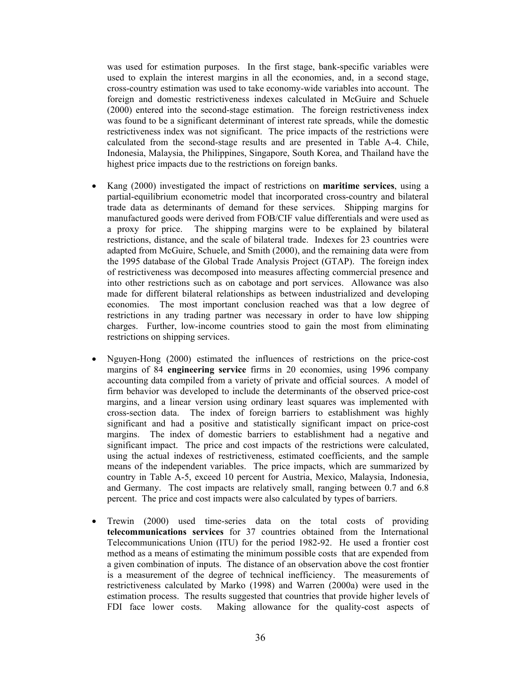was used for estimation purposes. In the first stage, bank-specific variables were used to explain the interest margins in all the economies, and, in a second stage, cross-country estimation was used to take economy-wide variables into account. The foreign and domestic restrictiveness indexes calculated in McGuire and Schuele (2000) entered into the second-stage estimation. The foreign restrictiveness index was found to be a significant determinant of interest rate spreads, while the domestic restrictiveness index was not significant. The price impacts of the restrictions were calculated from the second-stage results and are presented in Table A-4. Chile, Indonesia, Malaysia, the Philippines, Singapore, South Korea, and Thailand have the highest price impacts due to the restrictions on foreign banks.

- Kang (2000) investigated the impact of restrictions on **maritime services**, using a partial-equilibrium econometric model that incorporated cross-country and bilateral trade data as determinants of demand for these services. Shipping margins for manufactured goods were derived from FOB/CIF value differentials and were used as a proxy for price. The shipping margins were to be explained by bilateral restrictions, distance, and the scale of bilateral trade. Indexes for 23 countries were adapted from McGuire, Schuele, and Smith (2000), and the remaining data were from the 1995 database of the Global Trade Analysis Project (GTAP). The foreign index of restrictiveness was decomposed into measures affecting commercial presence and into other restrictions such as on cabotage and port services. Allowance was also made for different bilateral relationships as between industrialized and developing economies. The most important conclusion reached was that a low degree of restrictions in any trading partner was necessary in order to have low shipping charges. Further, low-income countries stood to gain the most from eliminating restrictions on shipping services.
- Nguyen-Hong (2000) estimated the influences of restrictions on the price-cost margins of 84 **engineering service** firms in 20 economies, using 1996 company accounting data compiled from a variety of private and official sources. A model of firm behavior was developed to include the determinants of the observed price-cost margins, and a linear version using ordinary least squares was implemented with cross-section data. The index of foreign barriers to establishment was highly significant and had a positive and statistically significant impact on price-cost margins. The index of domestic barriers to establishment had a negative and significant impact. The price and cost impacts of the restrictions were calculated, using the actual indexes of restrictiveness, estimated coefficients, and the sample means of the independent variables. The price impacts, which are summarized by country in Table A-5, exceed 10 percent for Austria, Mexico, Malaysia, Indonesia, and Germany. The cost impacts are relatively small, ranging between 0.7 and 6.8 percent. The price and cost impacts were also calculated by types of barriers.
- Trewin (2000) used time-series data on the total costs of providing **telecommunications services** for 37 countries obtained from the International Telecommunications Union (ITU) for the period 1982-92. He used a frontier cost method as a means of estimating the minimum possible costs that are expended from a given combination of inputs. The distance of an observation above the cost frontier is a measurement of the degree of technical inefficiency. The measurements of restrictiveness calculated by Marko (1998) and Warren (2000a) were used in the estimation process. The results suggested that countries that provide higher levels of FDI face lower costs. Making allowance for the quality-cost aspects of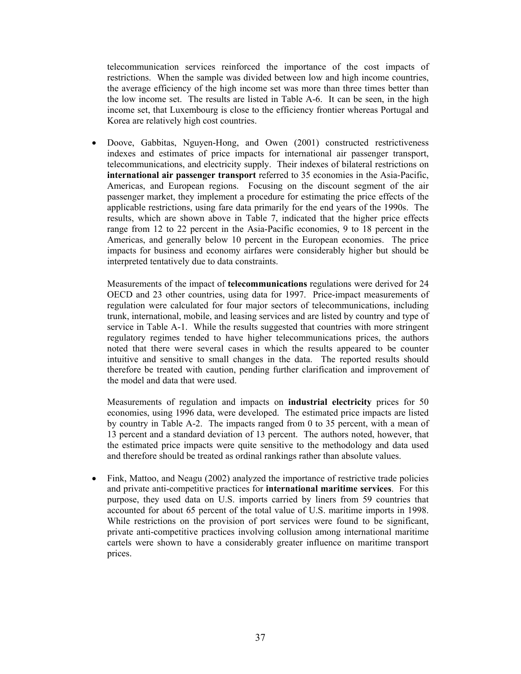telecommunication services reinforced the importance of the cost impacts of restrictions. When the sample was divided between low and high income countries, the average efficiency of the high income set was more than three times better than the low income set. The results are listed in Table A-6. It can be seen, in the high income set, that Luxembourg is close to the efficiency frontier whereas Portugal and Korea are relatively high cost countries.

• Doove, Gabbitas, Nguyen-Hong, and Owen (2001) constructed restrictiveness indexes and estimates of price impacts for international air passenger transport, telecommunications, and electricity supply. Their indexes of bilateral restrictions on **international air passenger transport** referred to 35 economies in the Asia-Pacific, Americas, and European regions. Focusing on the discount segment of the air passenger market, they implement a procedure for estimating the price effects of the applicable restrictions, using fare data primarily for the end years of the 1990s. The results, which are shown above in Table 7, indicated that the higher price effects range from 12 to 22 percent in the Asia-Pacific economies, 9 to 18 percent in the Americas, and generally below 10 percent in the European economies. The price impacts for business and economy airfares were considerably higher but should be interpreted tentatively due to data constraints.

Measurements of the impact of **telecommunications** regulations were derived for 24 OECD and 23 other countries, using data for 1997. Price-impact measurements of regulation were calculated for four major sectors of telecommunications, including trunk, international, mobile, and leasing services and are listed by country and type of service in Table A-1. While the results suggested that countries with more stringent regulatory regimes tended to have higher telecommunications prices, the authors noted that there were several cases in which the results appeared to be counter intuitive and sensitive to small changes in the data. The reported results should therefore be treated with caution, pending further clarification and improvement of the model and data that were used.

Measurements of regulation and impacts on **industrial electricity** prices for 50 economies, using 1996 data, were developed. The estimated price impacts are listed by country in Table A-2. The impacts ranged from 0 to 35 percent, with a mean of 13 percent and a standard deviation of 13 percent. The authors noted, however, that the estimated price impacts were quite sensitive to the methodology and data used and therefore should be treated as ordinal rankings rather than absolute values.

• Fink, Mattoo, and Neagu (2002) analyzed the importance of restrictive trade policies and private anti-competitive practices for **international maritime services**. For this purpose, they used data on U.S. imports carried by liners from 59 countries that accounted for about 65 percent of the total value of U.S. maritime imports in 1998. While restrictions on the provision of port services were found to be significant, private anti-competitive practices involving collusion among international maritime cartels were shown to have a considerably greater influence on maritime transport prices.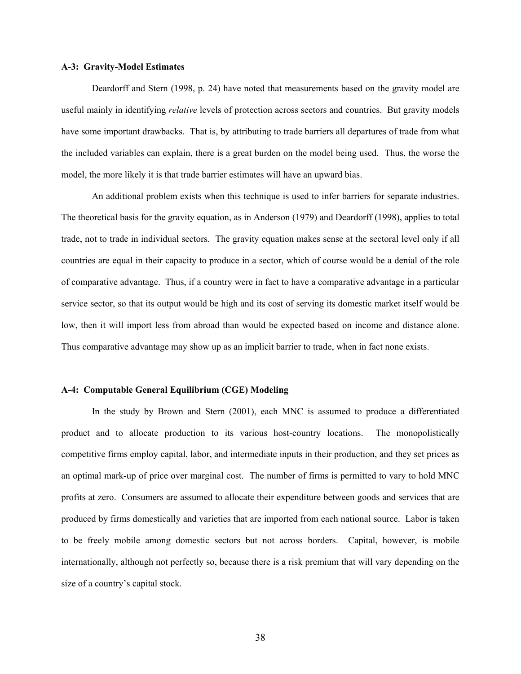#### **A-3: Gravity-Model Estimates**

Deardorff and Stern (1998, p. 24) have noted that measurements based on the gravity model are useful mainly in identifying *relative* levels of protection across sectors and countries. But gravity models have some important drawbacks. That is, by attributing to trade barriers all departures of trade from what the included variables can explain, there is a great burden on the model being used. Thus, the worse the model, the more likely it is that trade barrier estimates will have an upward bias.

An additional problem exists when this technique is used to infer barriers for separate industries. The theoretical basis for the gravity equation, as in Anderson (1979) and Deardorff (1998), applies to total trade, not to trade in individual sectors. The gravity equation makes sense at the sectoral level only if all countries are equal in their capacity to produce in a sector, which of course would be a denial of the role of comparative advantage. Thus, if a country were in fact to have a comparative advantage in a particular service sector, so that its output would be high and its cost of serving its domestic market itself would be low, then it will import less from abroad than would be expected based on income and distance alone. Thus comparative advantage may show up as an implicit barrier to trade, when in fact none exists.

#### **A-4: Computable General Equilibrium (CGE) Modeling**

In the study by Brown and Stern (2001), each MNC is assumed to produce a differentiated product and to allocate production to its various host-country locations. The monopolistically competitive firms employ capital, labor, and intermediate inputs in their production, and they set prices as an optimal mark-up of price over marginal cost. The number of firms is permitted to vary to hold MNC profits at zero. Consumers are assumed to allocate their expenditure between goods and services that are produced by firms domestically and varieties that are imported from each national source. Labor is taken to be freely mobile among domestic sectors but not across borders. Capital, however, is mobile internationally, although not perfectly so, because there is a risk premium that will vary depending on the size of a country's capital stock.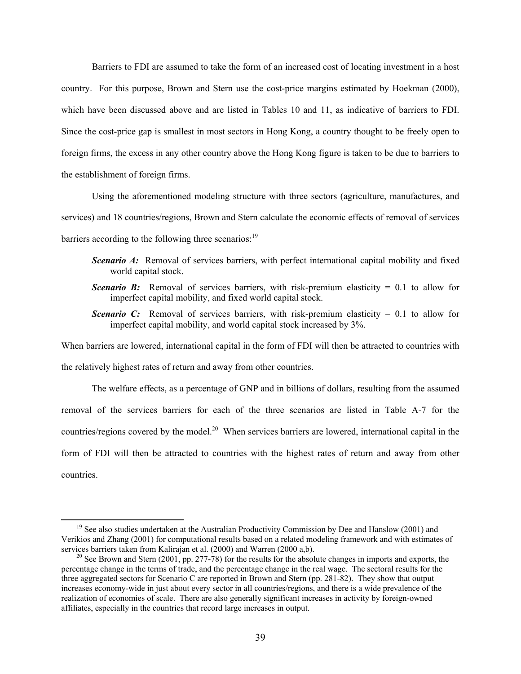Barriers to FDI are assumed to take the form of an increased cost of locating investment in a host country. For this purpose, Brown and Stern use the cost-price margins estimated by Hoekman (2000), which have been discussed above and are listed in Tables 10 and 11, as indicative of barriers to FDI. Since the cost-price gap is smallest in most sectors in Hong Kong, a country thought to be freely open to foreign firms, the excess in any other country above the Hong Kong figure is taken to be due to barriers to the establishment of foreign firms.

Using the aforementioned modeling structure with three sectors (agriculture, manufactures, and services) and 18 countries/regions, Brown and Stern calculate the economic effects of removal of services barriers according to the following three scenarios:<sup>19</sup>

- **Scenario A:** Removal of services barriers, with perfect international capital mobility and fixed world capital stock.
- *Scenario B:* Removal of services barriers, with risk-premium elasticity  $= 0.1$  to allow for imperfect capital mobility, and fixed world capital stock.
- *Scenario C:* Removal of services barriers, with risk-premium elasticity  $= 0.1$  to allow for imperfect capital mobility, and world capital stock increased by 3%.

When barriers are lowered, international capital in the form of FDI will then be attracted to countries with

the relatively highest rates of return and away from other countries.

The welfare effects, as a percentage of GNP and in billions of dollars, resulting from the assumed removal of the services barriers for each of the three scenarios are listed in Table A-7 for the countries/regions covered by the model.<sup>20</sup> When services barriers are lowered, international capital in the form of FDI will then be attracted to countries with the highest rates of return and away from other countries.

<sup>&</sup>lt;sup>19</sup> See also studies undertaken at the Australian Productivity Commission by Dee and Hanslow (2001) and Verikios and Zhang (2001) for computational results based on a related modeling framework and with estimates of

<sup>&</sup>lt;sup>20</sup> See Brown and Stern (2001, pp. 277-78) for the results for the absolute changes in imports and exports, the percentage change in the terms of trade, and the percentage change in the real wage. The sectoral results for the three aggregated sectors for Scenario C are reported in Brown and Stern (pp. 281-82). They show that output increases economy-wide in just about every sector in all countries/regions, and there is a wide prevalence of the realization of economies of scale. There are also generally significant increases in activity by foreign-owned affiliates, especially in the countries that record large increases in output.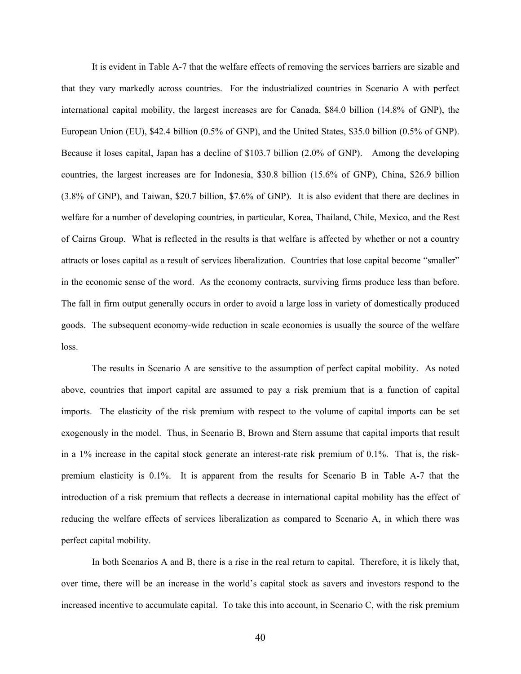It is evident in Table A-7 that the welfare effects of removing the services barriers are sizable and that they vary markedly across countries. For the industrialized countries in Scenario A with perfect international capital mobility, the largest increases are for Canada, \$84.0 billion (14.8% of GNP), the European Union (EU), \$42.4 billion (0.5% of GNP), and the United States, \$35.0 billion (0.5% of GNP). Because it loses capital, Japan has a decline of \$103.7 billion (2.0% of GNP). Among the developing countries, the largest increases are for Indonesia, \$30.8 billion (15.6% of GNP), China, \$26.9 billion (3.8% of GNP), and Taiwan, \$20.7 billion, \$7.6% of GNP). It is also evident that there are declines in welfare for a number of developing countries, in particular, Korea, Thailand, Chile, Mexico, and the Rest of Cairns Group. What is reflected in the results is that welfare is affected by whether or not a country attracts or loses capital as a result of services liberalization. Countries that lose capital become "smaller" in the economic sense of the word. As the economy contracts, surviving firms produce less than before. The fall in firm output generally occurs in order to avoid a large loss in variety of domestically produced goods. The subsequent economy-wide reduction in scale economies is usually the source of the welfare loss.

 The results in Scenario A are sensitive to the assumption of perfect capital mobility. As noted above, countries that import capital are assumed to pay a risk premium that is a function of capital imports. The elasticity of the risk premium with respect to the volume of capital imports can be set exogenously in the model. Thus, in Scenario B, Brown and Stern assume that capital imports that result in a 1% increase in the capital stock generate an interest-rate risk premium of 0.1%. That is, the riskpremium elasticity is 0.1%. It is apparent from the results for Scenario B in Table A-7 that the introduction of a risk premium that reflects a decrease in international capital mobility has the effect of reducing the welfare effects of services liberalization as compared to Scenario A, in which there was perfect capital mobility.

 In both Scenarios A and B, there is a rise in the real return to capital. Therefore, it is likely that, over time, there will be an increase in the world's capital stock as savers and investors respond to the increased incentive to accumulate capital. To take this into account, in Scenario C, with the risk premium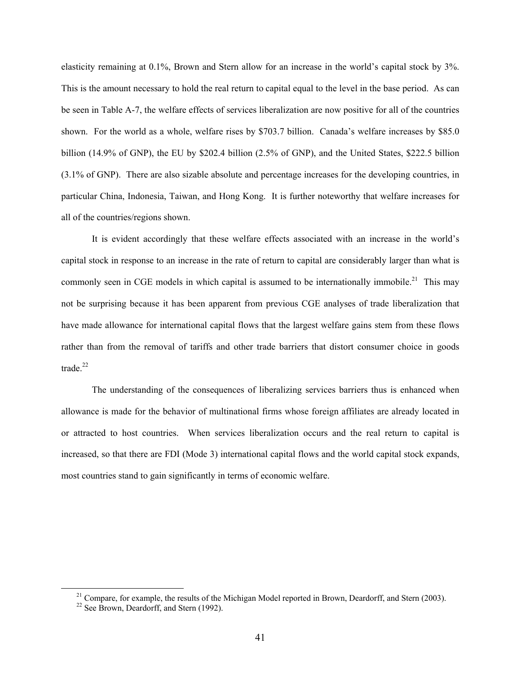elasticity remaining at 0.1%, Brown and Stern allow for an increase in the world's capital stock by 3%. This is the amount necessary to hold the real return to capital equal to the level in the base period. As can be seen in Table A-7, the welfare effects of services liberalization are now positive for all of the countries shown. For the world as a whole, welfare rises by \$703.7 billion. Canada's welfare increases by \$85.0 billion (14.9% of GNP), the EU by \$202.4 billion (2.5% of GNP), and the United States, \$222.5 billion (3.1% of GNP). There are also sizable absolute and percentage increases for the developing countries, in particular China, Indonesia, Taiwan, and Hong Kong. It is further noteworthy that welfare increases for all of the countries/regions shown.

It is evident accordingly that these welfare effects associated with an increase in the world's capital stock in response to an increase in the rate of return to capital are considerably larger than what is commonly seen in CGE models in which capital is assumed to be internationally immobile.<sup>21</sup> This may not be surprising because it has been apparent from previous CGE analyses of trade liberalization that have made allowance for international capital flows that the largest welfare gains stem from these flows rather than from the removal of tariffs and other trade barriers that distort consumer choice in goods trade. $22$ 

The understanding of the consequences of liberalizing services barriers thus is enhanced when allowance is made for the behavior of multinational firms whose foreign affiliates are already located in or attracted to host countries. When services liberalization occurs and the real return to capital is increased, so that there are FDI (Mode 3) international capital flows and the world capital stock expands, most countries stand to gain significantly in terms of economic welfare.

<sup>&</sup>lt;sup>21</sup> Compare, for example, the results of the Michigan Model reported in Brown, Deardorff, and Stern (2003). <sup>22</sup> See Brown, Deardorff, and Stern (1992).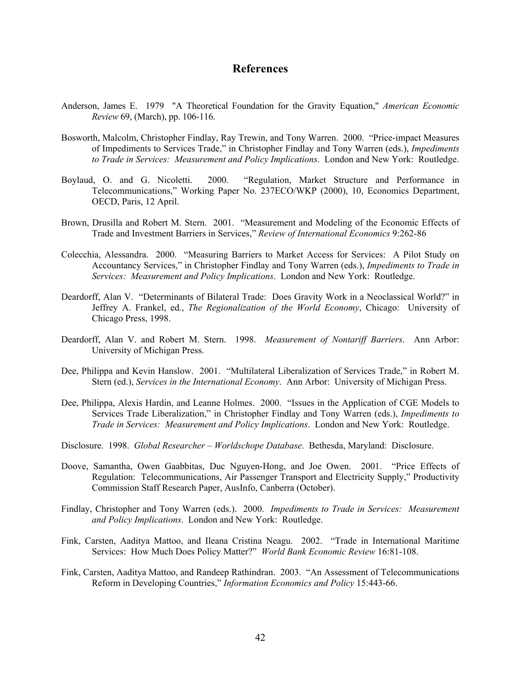# **References**

- Anderson, James E. 1979 "A Theoretical Foundation for the Gravity Equation," *American Economic Review* 69, (March), pp. 106-116.
- Bosworth, Malcolm, Christopher Findlay, Ray Trewin, and Tony Warren. 2000. "Price-impact Measures of Impediments to Services Trade," in Christopher Findlay and Tony Warren (eds.), *Impediments to Trade in Services: Measurement and Policy Implications*. London and New York: Routledge.
- Boylaud, O. and G. Nicoletti. 2000. "Regulation, Market Structure and Performance in Telecommunications," Working Paper No. 237ECO/WKP (2000), 10, Economics Department, OECD, Paris, 12 April.
- Brown, Drusilla and Robert M. Stern. 2001. "Measurement and Modeling of the Economic Effects of Trade and Investment Barriers in Services," *Review of International Economics* 9:262-86
- Colecchia, Alessandra. 2000. "Measuring Barriers to Market Access for Services: A Pilot Study on Accountancy Services," in Christopher Findlay and Tony Warren (eds.), *Impediments to Trade in Services: Measurement and Policy Implications*. London and New York: Routledge.
- Deardorff, Alan V. "Determinants of Bilateral Trade: Does Gravity Work in a Neoclassical World?" in Jeffrey A. Frankel, ed., *The Regionalization of the World Economy*, Chicago: University of Chicago Press, 1998.
- Deardorff, Alan V. and Robert M. Stern. 1998. *Measurement of Nontariff Barriers*. Ann Arbor: University of Michigan Press.
- Dee, Philippa and Kevin Hanslow. 2001. "Multilateral Liberalization of Services Trade," in Robert M. Stern (ed.), *Services in the International Economy*. Ann Arbor: University of Michigan Press.
- Dee, Philippa, Alexis Hardin, and Leanne Holmes. 2000. "Issues in the Application of CGE Models to Services Trade Liberalization," in Christopher Findlay and Tony Warren (eds.), *Impediments to Trade in Services: Measurement and Policy Implications*. London and New York: Routledge.
- Disclosure. 1998. *Global Researcher Worldschope Database*. Bethesda, Maryland: Disclosure.
- Doove, Samantha, Owen Gaabbitas, Duc Nguyen-Hong, and Joe Owen. 2001. "Price Effects of Regulation: Telecommunications, Air Passenger Transport and Electricity Supply," Productivity Commission Staff Research Paper, AusInfo, Canberra (October).
- Findlay, Christopher and Tony Warren (eds.). 2000. *Impediments to Trade in Services: Measurement and Policy Implications*. London and New York: Routledge.
- Fink, Carsten, Aaditya Mattoo, and Ileana Cristina Neagu. 2002. "Trade in International Maritime Services: How Much Does Policy Matter?" *World Bank Economic Review* 16:81-108.
- Fink, Carsten, Aaditya Mattoo, and Randeep Rathindran. 2003. "An Assessment of Telecommunications Reform in Developing Countries," *Information Economics and Policy* 15:443-66.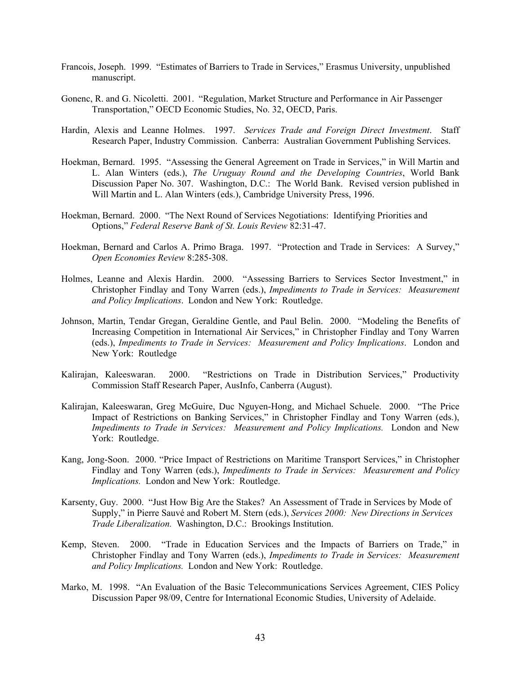- Francois, Joseph. 1999. "Estimates of Barriers to Trade in Services," Erasmus University, unpublished manuscript.
- Gonenc, R. and G. Nicoletti. 2001. "Regulation, Market Structure and Performance in Air Passenger Transportation," OECD Economic Studies, No. 32, OECD, Paris.
- Hardin, Alexis and Leanne Holmes. 1997. *Services Trade and Foreign Direct Investment*. Staff Research Paper, Industry Commission. Canberra: Australian Government Publishing Services.
- Hoekman, Bernard. 1995. "Assessing the General Agreement on Trade in Services," in Will Martin and L. Alan Winters (eds.), *The Uruguay Round and the Developing Countries*, World Bank Discussion Paper No. 307. Washington, D.C.: The World Bank. Revised version published in Will Martin and L. Alan Winters (eds.), Cambridge University Press, 1996.
- Hoekman, Bernard. 2000. "The Next Round of Services Negotiations: Identifying Priorities and Options," *Federal Reserve Bank of St. Louis Review* 82:31-47.
- Hoekman, Bernard and Carlos A. Primo Braga. 1997. "Protection and Trade in Services: A Survey," *Open Economies Review* 8:285-308.
- Holmes, Leanne and Alexis Hardin. 2000. "Assessing Barriers to Services Sector Investment," in Christopher Findlay and Tony Warren (eds.), *Impediments to Trade in Services: Measurement and Policy Implications*. London and New York: Routledge.
- Johnson, Martin, Tendar Gregan, Geraldine Gentle, and Paul Belin. 2000. "Modeling the Benefits of Increasing Competition in International Air Services," in Christopher Findlay and Tony Warren (eds.), *Impediments to Trade in Services: Measurement and Policy Implications*. London and New York: Routledge
- Kalirajan, Kaleeswaran. 2000. "Restrictions on Trade in Distribution Services," Productivity Commission Staff Research Paper, AusInfo, Canberra (August).
- Kalirajan, Kaleeswaran, Greg McGuire, Duc Nguyen-Hong, and Michael Schuele. 2000. "The Price Impact of Restrictions on Banking Services," in Christopher Findlay and Tony Warren (eds.), *Impediments to Trade in Services: Measurement and Policy Implications.* London and New York: Routledge.
- Kang, Jong-Soon. 2000. "Price Impact of Restrictions on Maritime Transport Services," in Christopher Findlay and Tony Warren (eds.), *Impediments to Trade in Services: Measurement and Policy Implications.* London and New York: Routledge.
- Karsenty, Guy. 2000. "Just How Big Are the Stakes? An Assessment of Trade in Services by Mode of Supply," in Pierre Sauvé and Robert M. Stern (eds.), *Services 2000: New Directions in Services Trade Liberalization.* Washington, D.C.: Brookings Institution.
- Kemp, Steven. 2000. "Trade in Education Services and the Impacts of Barriers on Trade," in Christopher Findlay and Tony Warren (eds.), *Impediments to Trade in Services: Measurement and Policy Implications.* London and New York: Routledge.
- Marko, M. 1998. "An Evaluation of the Basic Telecommunications Services Agreement, CIES Policy Discussion Paper 98/09, Centre for International Economic Studies, University of Adelaide.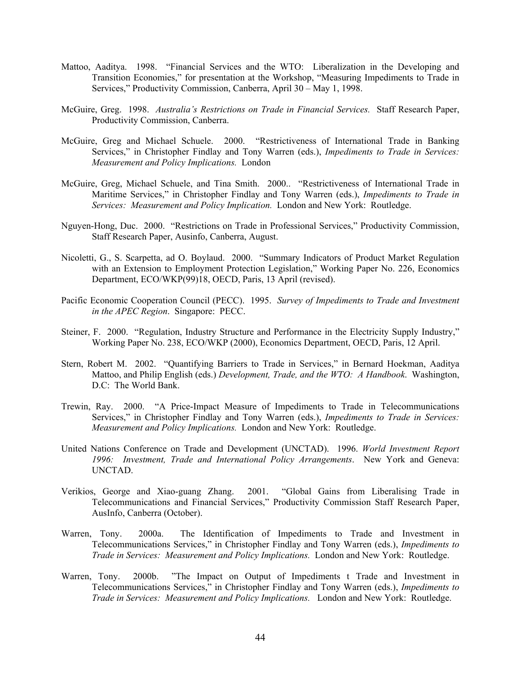- Mattoo, Aaditya. 1998. "Financial Services and the WTO: Liberalization in the Developing and Transition Economies," for presentation at the Workshop, "Measuring Impediments to Trade in Services," Productivity Commission, Canberra, April 30 – May 1, 1998.
- McGuire, Greg. 1998. *Australia's Restrictions on Trade in Financial Services.* Staff Research Paper, Productivity Commission, Canberra.
- McGuire, Greg and Michael Schuele. 2000. "Restrictiveness of International Trade in Banking Services," in Christopher Findlay and Tony Warren (eds.), *Impediments to Trade in Services: Measurement and Policy Implications.* London
- McGuire, Greg, Michael Schuele, and Tina Smith. 2000.. "Restrictiveness of International Trade in Maritime Services," in Christopher Findlay and Tony Warren (eds.), *Impediments to Trade in Services: Measurement and Policy Implication.* London and New York: Routledge.
- Nguyen-Hong, Duc. 2000. "Restrictions on Trade in Professional Services," Productivity Commission, Staff Research Paper, Ausinfo, Canberra, August.
- Nicoletti, G., S. Scarpetta, ad O. Boylaud. 2000. "Summary Indicators of Product Market Regulation with an Extension to Employment Protection Legislation," Working Paper No. 226, Economics Department, ECO/WKP(99)18, OECD, Paris, 13 April (revised).
- Pacific Economic Cooperation Council (PECC). 1995. *Survey of Impediments to Trade and Investment in the APEC Region*. Singapore: PECC.
- Steiner, F. 2000. "Regulation, Industry Structure and Performance in the Electricity Supply Industry," Working Paper No. 238, ECO/WKP (2000), Economics Department, OECD, Paris, 12 April.
- Stern, Robert M. 2002. "Quantifying Barriers to Trade in Services," in Bernard Hoekman, Aaditya Mattoo, and Philip English (eds.) *Development, Trade, and the WTO: A Handbook*. Washington, D.C: The World Bank.
- Trewin, Ray. 2000. "A Price-Impact Measure of Impediments to Trade in Telecommunications Services," in Christopher Findlay and Tony Warren (eds.), *Impediments to Trade in Services: Measurement and Policy Implications.* London and New York: Routledge.
- United Nations Conference on Trade and Development (UNCTAD). 1996. *World Investment Report 1996: Investment, Trade and International Policy Arrangements*. New York and Geneva: UNCTAD.
- Verikios, George and Xiao-guang Zhang. 2001. "Global Gains from Liberalising Trade in Telecommunications and Financial Services," Productivity Commission Staff Research Paper, AusInfo, Canberra (October).
- Warren, Tony. 2000a. The Identification of Impediments to Trade and Investment in Telecommunications Services," in Christopher Findlay and Tony Warren (eds.), *Impediments to Trade in Services: Measurement and Policy Implications.* London and New York: Routledge.
- Warren, Tony. 2000b. "The Impact on Output of Impediments t Trade and Investment in Telecommunications Services," in Christopher Findlay and Tony Warren (eds.), *Impediments to Trade in Services: Measurement and Policy Implications.* London and New York: Routledge.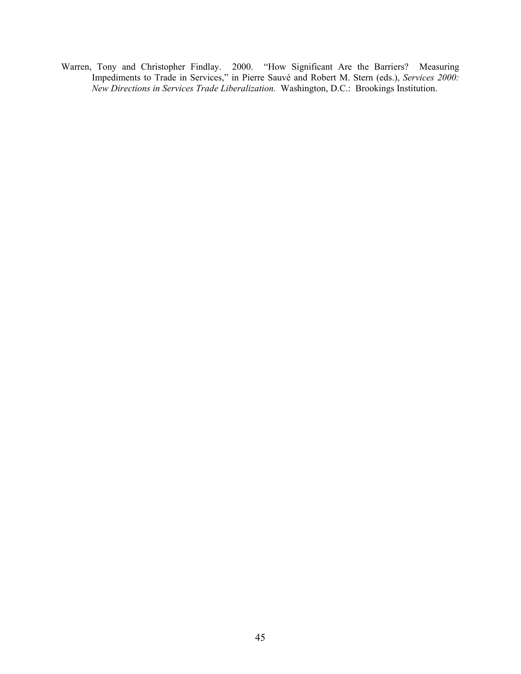Warren, Tony and Christopher Findlay. 2000. "How Significant Are the Barriers? Measuring Impediments to Trade in Services," in Pierre Sauvé and Robert M. Stern (eds.), *Services 2000: New Directions in Services Trade Liberalization.* Washington, D.C.: Brookings Institution.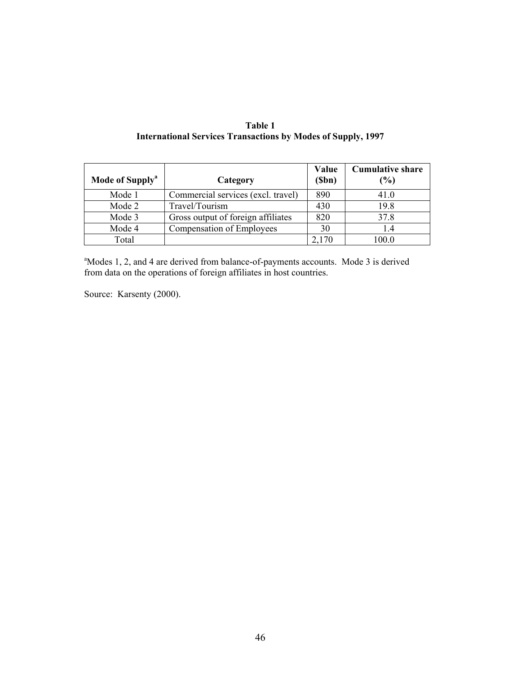| Table 1                                                             |  |
|---------------------------------------------------------------------|--|
| <b>International Services Transactions by Modes of Supply, 1997</b> |  |

|                             |                                    | Value | <b>Cumulative share</b> |
|-----------------------------|------------------------------------|-------|-------------------------|
| Mode of Supply <sup>a</sup> | Category                           | (Sbn) | $(\%)$                  |
| Mode 1                      | Commercial services (excl. travel) | 890   | 41.0                    |
| Mode 2                      | Travel/Tourism                     | 430   | 19.8                    |
| Mode 3                      | Gross output of foreign affiliates | 820   | 37.8                    |
| Mode 4                      | Compensation of Employees          | 30    | 1.4                     |
| Total                       |                                    | 2,170 | 100.0                   |

<sup>a</sup>Modes 1, 2, and 4 are derived from balance-of-payments accounts. Mode 3 is derived from data on the operations of foreign affiliates in host countries.

Source: Karsenty (2000).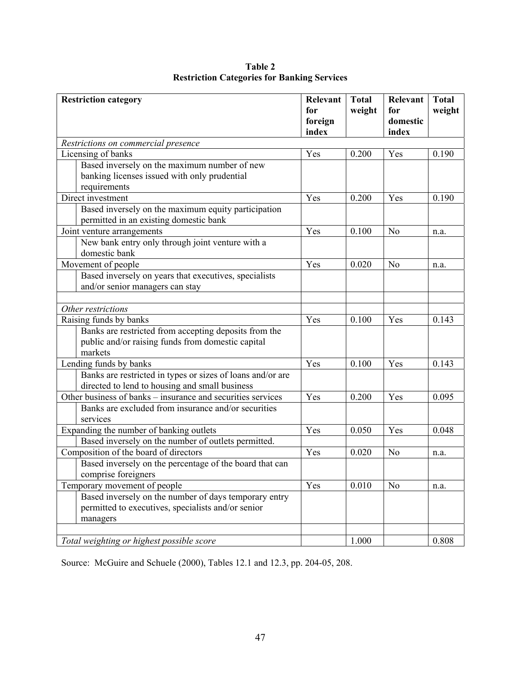| <b>Restriction category</b>                                                           | <b>Relevant</b><br>for<br>foreign<br>index | <b>Total</b><br>weight | <b>Relevant</b><br>for<br>domestic<br>index | <b>Total</b><br>weight |
|---------------------------------------------------------------------------------------|--------------------------------------------|------------------------|---------------------------------------------|------------------------|
| Restrictions on commercial presence                                                   |                                            |                        |                                             |                        |
| Licensing of banks                                                                    | Yes                                        | 0.200                  | Yes                                         | 0.190                  |
| Based inversely on the maximum number of new                                          |                                            |                        |                                             |                        |
| banking licenses issued with only prudential                                          |                                            |                        |                                             |                        |
| requirements                                                                          |                                            |                        |                                             |                        |
| Direct investment                                                                     | Yes                                        | 0.200                  | Yes                                         | 0.190                  |
| Based inversely on the maximum equity participation                                   |                                            |                        |                                             |                        |
| permitted in an existing domestic bank                                                |                                            |                        |                                             |                        |
| Joint venture arrangements                                                            | Yes                                        | 0.100                  | N <sub>o</sub>                              | n.a.                   |
| New bank entry only through joint venture with a                                      |                                            |                        |                                             |                        |
| domestic bank                                                                         |                                            |                        |                                             |                        |
| Movement of people                                                                    | Yes                                        | 0.020                  | N <sub>0</sub>                              | n.a.                   |
| Based inversely on years that executives, specialists                                 |                                            |                        |                                             |                        |
| and/or senior managers can stay                                                       |                                            |                        |                                             |                        |
|                                                                                       |                                            |                        |                                             |                        |
| Other restrictions                                                                    |                                            |                        |                                             |                        |
| Raising funds by banks                                                                | Yes                                        | 0.100                  | Yes                                         | 0.143                  |
| Banks are restricted from accepting deposits from the                                 |                                            |                        |                                             |                        |
| public and/or raising funds from domestic capital                                     |                                            |                        |                                             |                        |
| markets                                                                               |                                            |                        |                                             |                        |
| Lending funds by banks                                                                | Yes                                        | 0.100                  | Yes                                         | 0.143                  |
| Banks are restricted in types or sizes of loans and/or are                            |                                            |                        |                                             |                        |
| directed to lend to housing and small business                                        |                                            |                        |                                             |                        |
| Other business of banks – insurance and securities services                           | Yes                                        | 0.200                  | Yes                                         | 0.095                  |
| Banks are excluded from insurance and/or securities                                   |                                            |                        |                                             |                        |
| services                                                                              |                                            |                        |                                             |                        |
| Expanding the number of banking outlets                                               | Yes                                        | 0.050                  | Yes                                         | 0.048                  |
| Based inversely on the number of outlets permitted.                                   |                                            |                        |                                             |                        |
| Composition of the board of directors                                                 | Yes                                        | 0.020                  | $\rm No$                                    | n.a.                   |
| Based inversely on the percentage of the board that can                               |                                            |                        |                                             |                        |
| comprise foreigners                                                                   |                                            |                        |                                             |                        |
| Temporary movement of people<br>Based inversely on the number of days temporary entry | Yes                                        | 0.010                  | N <sub>o</sub>                              | n.a.                   |
| permitted to executives, specialists and/or senior                                    |                                            |                        |                                             |                        |
|                                                                                       |                                            |                        |                                             |                        |
| managers                                                                              |                                            |                        |                                             |                        |
| Total weighting or highest possible score                                             |                                            | 1.000                  |                                             | 0.808                  |

**Table 2 Restriction Categories for Banking Services** 

Source: McGuire and Schuele (2000), Tables 12.1 and 12.3, pp. 204-05, 208.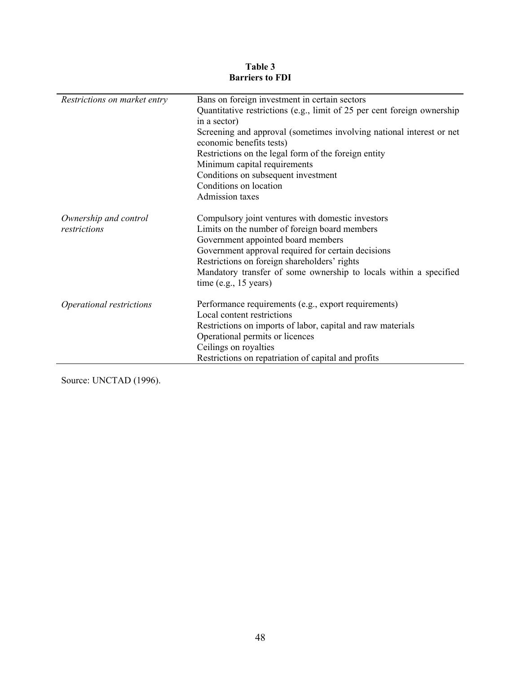| Restrictions on market entry | Bans on foreign investment in certain sectors                           |
|------------------------------|-------------------------------------------------------------------------|
|                              | Quantitative restrictions (e.g., limit of 25 per cent foreign ownership |
|                              | in a sector)                                                            |
|                              | Screening and approval (sometimes involving national interest or net    |
|                              | economic benefits tests)                                                |
|                              | Restrictions on the legal form of the foreign entity                    |
|                              | Minimum capital requirements                                            |
|                              | Conditions on subsequent investment                                     |
|                              | Conditions on location                                                  |
|                              | <b>Admission</b> taxes                                                  |
| Ownership and control        | Compulsory joint ventures with domestic investors                       |
| restrictions                 | Limits on the number of foreign board members                           |
|                              | Government appointed board members                                      |
|                              | Government approval required for certain decisions                      |
|                              | Restrictions on foreign shareholders' rights                            |
|                              | Mandatory transfer of some ownership to locals within a specified       |
|                              | time (e.g., 15 years)                                                   |
| Operational restrictions     | Performance requirements (e.g., export requirements)                    |
|                              | Local content restrictions                                              |
|                              | Restrictions on imports of labor, capital and raw materials             |
|                              | Operational permits or licences                                         |
|                              | Ceilings on royalties                                                   |
|                              | Restrictions on repatriation of capital and profits                     |

**Table 3 Barriers to FDI** 

Source: UNCTAD (1996).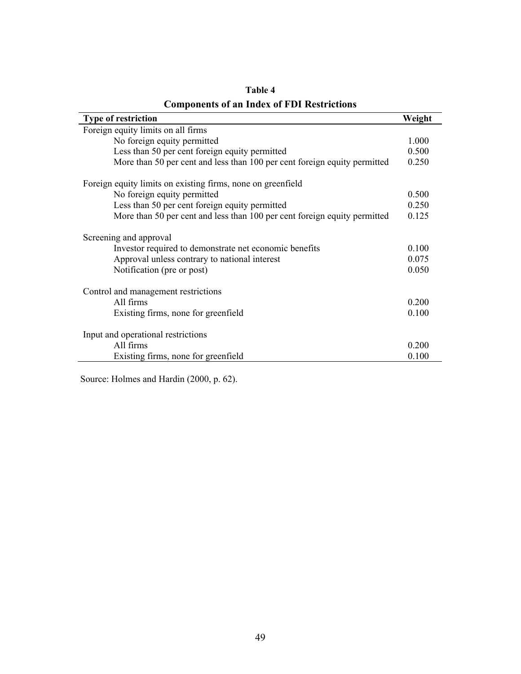| <b>Type of restriction</b>                                                | Weight |
|---------------------------------------------------------------------------|--------|
| Foreign equity limits on all firms                                        |        |
| No foreign equity permitted                                               | 1.000  |
| Less than 50 per cent foreign equity permitted                            | 0.500  |
| More than 50 per cent and less than 100 per cent foreign equity permitted | 0.250  |
| Foreign equity limits on existing firms, none on greenfield               |        |
| No foreign equity permitted                                               | 0.500  |
| Less than 50 per cent foreign equity permitted                            | 0.250  |
| More than 50 per cent and less than 100 per cent foreign equity permitted | 0.125  |
| Screening and approval                                                    |        |
| Investor required to demonstrate net economic benefits                    | 0.100  |
| Approval unless contrary to national interest                             | 0.075  |
| Notification (pre or post)                                                | 0.050  |
| Control and management restrictions                                       |        |
| All firms                                                                 | 0.200  |
| Existing firms, none for greenfield                                       | 0.100  |
| Input and operational restrictions                                        |        |
| All firms                                                                 | 0.200  |
| Existing firms, none for greenfield                                       | 0.100  |

**Table 4 Components of an Index of FDI Restrictions** 

Source: Holmes and Hardin (2000, p. 62).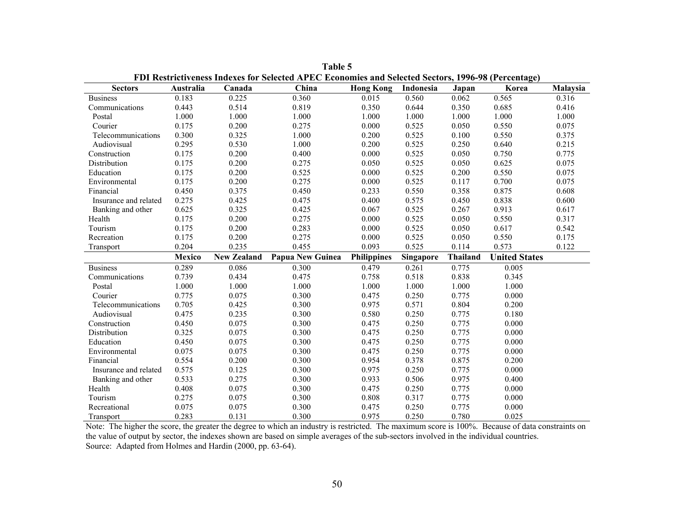| г вт компонтство насло юг эсксила Ат вся волючися ана эсксила эссиля, 1990-90 (т сголиадс) |                |                    |                  |                    |                |                 |                      |          |
|--------------------------------------------------------------------------------------------|----------------|--------------------|------------------|--------------------|----------------|-----------------|----------------------|----------|
| <b>Sectors</b>                                                                             | Australia      | Canada             | China            | <b>Hong Kong</b>   | Indonesia      | Japan           | Korea                | Malaysia |
| <b>Business</b>                                                                            | 0.183          | 0.225              | 0.360            | 0.015              | 0.560          | 0.062           | 0.565                | 0.316    |
| Communications                                                                             | 0.443          | 0.514              | 0.819            | 0.350              | 0.644          | 0.350           | 0.685                | 0.416    |
| Postal                                                                                     | 1.000          | 1.000              | 1.000            | 1.000              | 1.000          | 1.000           | 1.000                | 1.000    |
| Courier                                                                                    | 0.175          | 0.200              | 0.275            | 0.000              | 0.525          | 0.050           | 0.550                | 0.075    |
| Telecommunications                                                                         | 0.300          | 0.325              | 1.000            | 0.200              | 0.525          | 0.100           | 0.550                | 0.375    |
| Audiovisual                                                                                | 0.295          | 0.530              | 1.000            | 0.200              | 0.525          | 0.250           | 0.640                | 0.215    |
| Construction                                                                               | 0.175          | 0.200              | 0.400            | 0.000              | 0.525          | 0.050           | 0.750                | 0.775    |
| Distribution                                                                               | 0.175          | 0.200              | 0.275            | 0.050              | 0.525          | 0.050           | 0.625                | 0.075    |
| Education                                                                                  | 0.175          | 0.200              | 0.525            | 0.000              | 0.525          | 0.200           | 0.550                | 0.075    |
| Environmental                                                                              | 0.175          | 0.200              | 0.275            | 0.000              | 0.525          | 0.117           | 0.700                | 0.075    |
| Financial                                                                                  | 0.450          | 0.375              | 0.450            | 0.233              | 0.550          | 0.358           | 0.875                | 0.608    |
| Insurance and related                                                                      | 0.275          | 0.425              | 0.475            | 0.400              | 0.575          | 0.450           | 0.838                | 0.600    |
| Banking and other                                                                          | 0.625          | 0.325              | 0.425            | 0.067              | 0.525          | 0.267           | 0.913                | 0.617    |
| Health                                                                                     | 0.175          | 0.200              | 0.275            | 0.000              | 0.525          | 0.050           | 0.550                | 0.317    |
| Tourism                                                                                    | 0.175          | 0.200              | 0.283            | 0.000              | 0.525          | 0.050           | 0.617                | 0.542    |
| Recreation                                                                                 | 0.175          | 0.200              | 0.275            | 0.000              | 0.525          | 0.050           | 0.550                | 0.175    |
| Transport                                                                                  | 0.204          | 0.235              | 0.455            | 0.093              | 0.525          | 0.114           | 0.573                | 0.122    |
|                                                                                            | <b>Mexico</b>  | <b>New Zealand</b> | Papua New Guinea | <b>Philippines</b> | Singapore      | <b>Thailand</b> | <b>United States</b> |          |
|                                                                                            |                |                    |                  |                    |                |                 |                      |          |
| <b>Business</b>                                                                            | 0.289          | 0.086              | 0.300            | 0.479              | 0.261          | 0.775           | 0.005                |          |
| Communications                                                                             | 0.739          | 0.434              | 0.475            | 0.758              | 0.518          | 0.838           | 0.345                |          |
| Postal                                                                                     | 1.000          | 1.000              | 1.000            | 1.000              | 1.000          | 1.000           | 1.000                |          |
| Courier                                                                                    | 0.775          | 0.075              | 0.300            | 0.475              | 0.250          | 0.775           | 0.000                |          |
| Telecommunications                                                                         | 0.705          | 0.425              | 0.300            | 0.975              | 0.571          | 0.804           | 0.200                |          |
| Audiovisual                                                                                | 0.475          | 0.235              | 0.300            | 0.580              | 0.250          | 0.775           | 0.180                |          |
| Construction                                                                               | 0.450          | 0.075              | 0.300            | 0.475              | 0.250          | 0.775           | 0.000                |          |
| Distribution                                                                               |                | 0.075              | 0.300            | 0.475              | 0.250          | 0.775           | 0.000                |          |
| Education                                                                                  | 0.325          |                    |                  |                    |                |                 |                      |          |
|                                                                                            | 0.450          | 0.075              | 0.300<br>0.300   | 0.475<br>0.475     | 0.250          | 0.775           | 0.000<br>0.000       |          |
| Environmental                                                                              | 0.075          | 0.075              |                  |                    | 0.250          | 0.775           |                      |          |
| Financial                                                                                  | 0.554          | 0.200              | 0.300            | 0.954              | 0.378          | 0.875           | 0.200<br>0.000       |          |
| Insurance and related                                                                      | 0.575          | 0.125              | 0.300            | 0.975              | 0.250          | 0.775           |                      |          |
| Banking and other                                                                          | 0.533          | 0.275              | 0.300            | 0.933              | 0.506          | 0.975           | 0.400                |          |
| Health                                                                                     | 0.408          | 0.075              | 0.300            | 0.475              | 0.250          | 0.775           | 0.000                |          |
| Tourism<br>Recreational                                                                    | 0.275<br>0.075 | 0.075<br>0.075     | 0.300<br>0.300   | 0.808<br>0.475     | 0.317<br>0.250 | 0.775<br>0.775  | 0.000<br>0.000       |          |

**Table 5 FDI Restrictiveness Indexes for Selected APEC Economies and Selected Sectors, 1996-98 (Percentage)**

Note: The higher the score, the greater the degree to which an industry is restricted. The maximum score is 100%. Because of data constraints on the value of output by sector, the indexes shown are based on simple averages of the sub-sectors involved in the individual countries. Source: Adapted from Holmes and Hardin (2000, pp. 63-64).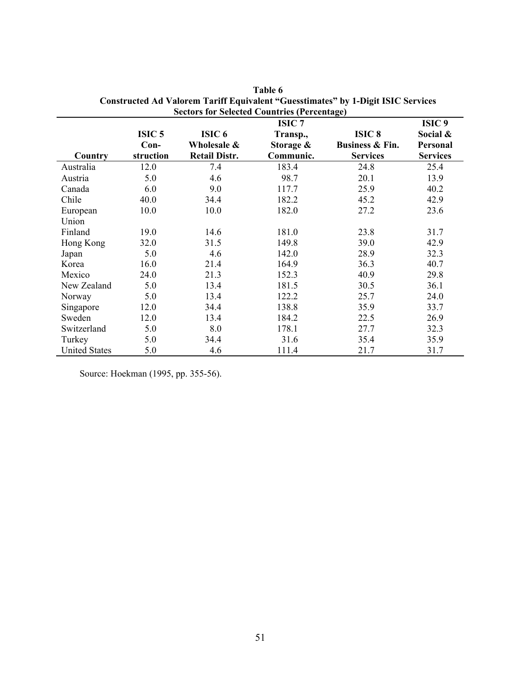|                      |                   |                      | ctors for senected countries (Ferecanage)<br>ISIC <sub>7</sub> |                   | ISIC <sub>9</sub> |
|----------------------|-------------------|----------------------|----------------------------------------------------------------|-------------------|-------------------|
|                      | ISIC <sub>5</sub> | ISIC <sub>6</sub>    | Transp.,                                                       | ISIC <sub>8</sub> | Social &          |
|                      | $Con-$            | Wholesale &          | Storage &                                                      | Business & Fin.   | Personal          |
| Country              | struction         | <b>Retail Distr.</b> | Communic.                                                      | <b>Services</b>   | <b>Services</b>   |
| Australia            | 12.0              | 7.4                  | 183.4                                                          | 24.8              | 25.4              |
| Austria              | 5.0               | 4.6                  | 98.7                                                           | 20.1              | 13.9              |
| Canada               | 6.0               | 9.0                  | 117.7                                                          | 25.9              | 40.2              |
| Chile                | 40.0              | 34.4                 | 182.2                                                          | 45.2              | 42.9              |
| European             | 10.0              | 10.0                 | 182.0                                                          | 27.2              | 23.6              |
| Union                |                   |                      |                                                                |                   |                   |
| Finland              | 19.0              | 14.6                 | 181.0                                                          | 23.8              | 31.7              |
| Hong Kong            | 32.0              | 31.5                 | 149.8                                                          | 39.0              | 42.9              |
| Japan                | 5.0               | 4.6                  | 142.0                                                          | 28.9              | 32.3              |
| Korea                | 16.0              | 21.4                 | 164.9                                                          | 36.3              | 40.7              |
| Mexico               | 24.0              | 21.3                 | 152.3                                                          | 40.9              | 29.8              |
| New Zealand          | 5.0               | 13.4                 | 181.5                                                          | 30.5              | 36.1              |
| Norway               | 5.0               | 13.4                 | 122.2                                                          | 25.7              | 24.0              |
| Singapore            | 12.0              | 34.4                 | 138.8                                                          | 35.9              | 33.7              |
| Sweden               | 12.0              | 13.4                 | 184.2                                                          | 22.5              | 26.9              |
| Switzerland          | 5.0               | 8.0                  | 178.1                                                          | 27.7              | 32.3              |
| Turkey               | 5.0               | 34.4                 | 31.6                                                           | 35.4              | 35.9              |
| <b>United States</b> | 5.0               | 4.6                  | 111.4                                                          | 21.7              | 31.7              |

**Table 6 Constructed Ad Valorem Tariff Equivalent "Guesstimates" by 1-Digit ISIC Services Sectors for Selected Countries (Percentage)** 

Source: Hoekman (1995, pp. 355-56).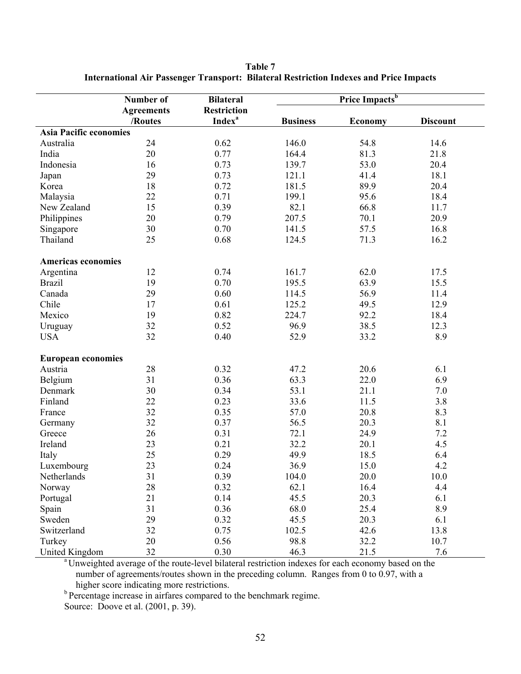**Table 7 International Air Passenger Transport: Bilateral Restriction Indexes and Price Impacts** 

|                               | <b>Number of</b>             | <b>Bilateral</b>                                |                 | Price Impacts <sup>b</sup> |                 |
|-------------------------------|------------------------------|-------------------------------------------------|-----------------|----------------------------|-----------------|
|                               | <b>Agreements</b><br>/Routes | <b>Restriction</b><br><b>Index</b> <sup>a</sup> | <b>Business</b> | <b>Economy</b>             | <b>Discount</b> |
| <b>Asia Pacific economies</b> |                              |                                                 |                 |                            |                 |
| Australia                     | 24                           | 0.62                                            | 146.0           | 54.8                       | 14.6            |
| India                         | 20                           | 0.77                                            | 164.4           | 81.3                       | 21.8            |
| Indonesia                     | 16                           | 0.73                                            | 139.7           | 53.0                       | 20.4            |
| Japan                         | 29                           | 0.73                                            | 121.1           | 41.4                       | 18.1            |
| Korea                         | 18                           | 0.72                                            | 181.5           | 89.9                       | 20.4            |
| Malaysia                      | 22                           | 0.71                                            | 199.1           | 95.6                       | 18.4            |
| New Zealand                   | 15                           | 0.39                                            | 82.1            | 66.8                       | 11.7            |
| Philippines                   | 20                           | 0.79                                            | 207.5           | 70.1                       | 20.9            |
| Singapore                     | 30                           | 0.70                                            | 141.5           | 57.5                       | 16.8            |
| Thailand                      | 25                           | 0.68                                            | 124.5           | 71.3                       | 16.2            |
| <b>Americas economies</b>     |                              |                                                 |                 |                            |                 |
| Argentina                     | 12                           | 0.74                                            | 161.7           | 62.0                       | 17.5            |
| <b>Brazil</b>                 | 19                           | 0.70                                            | 195.5           | 63.9                       | 15.5            |
| Canada                        | 29                           | 0.60                                            | 114.5           | 56.9                       | 11.4            |
| Chile                         | 17                           | 0.61                                            | 125.2           | 49.5                       | 12.9            |
| Mexico                        | 19                           | 0.82                                            | 224.7           | 92.2                       | 18.4            |
| Uruguay                       | 32                           | 0.52                                            | 96.9            | 38.5                       | 12.3            |
| <b>USA</b>                    | 32                           | 0.40                                            | 52.9            | 33.2                       | 8.9             |
|                               |                              |                                                 |                 |                            |                 |
| <b>European economies</b>     |                              |                                                 |                 |                            |                 |
| Austria                       | 28                           | 0.32                                            | 47.2            | 20.6                       | 6.1             |
| Belgium                       | 31                           | 0.36                                            | 63.3            | 22.0                       | 6.9             |
| Denmark                       | 30                           | 0.34                                            | 53.1            | 21.1                       | 7.0             |
| Finland                       | 22                           | 0.23                                            | 33.6            | 11.5                       | 3.8             |
| France                        | 32                           | 0.35                                            | 57.0            | 20.8                       | 8.3             |
| Germany                       | 32                           | 0.37                                            | 56.5            | 20.3                       | 8.1             |
| Greece                        | 26                           | 0.31                                            | 72.1            | 24.9                       | 7.2             |
| Ireland                       | 23                           | 0.21                                            | 32.2            | 20.1                       | 4.5             |
| Italy                         | 25                           | 0.29                                            | 49.9            | 18.5                       | 6.4             |
| Luxembourg                    | 23                           | 0.24                                            | 36.9            | 15.0                       | 4.2             |
| Netherlands                   | 31                           | 0.39                                            | 104.0           | 20.0                       | 10.0            |
| Norway                        | 28                           | 0.32                                            | 62.1            | 16.4                       | 4.4             |
| Portugal                      | 21                           | 0.14                                            | 45.5            | 20.3                       | 6.1             |
| Spain                         | 31                           | 0.36                                            | 68.0            | 25.4                       | 8.9             |
| Sweden                        | 29                           | 0.32                                            | 45.5            | 20.3                       | 6.1             |
| Switzerland                   | 32                           | 0.75                                            | 102.5           | 42.6                       | 13.8            |
| Turkey                        | 20                           | 0.56                                            | 98.8            | 32.2                       | 10.7            |
| United Kingdom                | 32                           | 0.30                                            | 46.3            | 21.5                       | 7.6             |

<sup>a</sup> Unweighted average of the route-level bilateral restriction indexes for each economy based on the number of agreements/routes shown in the preceding column. Ranges from 0 to 0.97, with a higher score indicating more restrictions.

b Percentage increase in airfares compared to the benchmark regime.

Source: Doove et al. (2001, p. 39).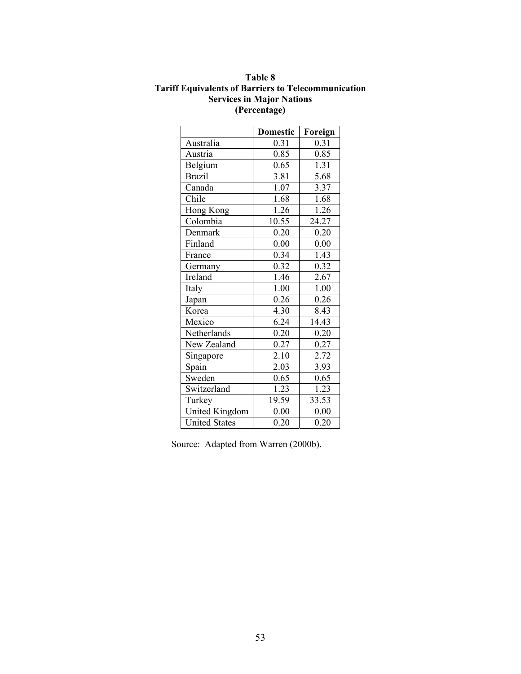## **Table 8 Tariff Equivalents of Barriers to Telecommunication Services in Major Nations (Percentage)**

|                       | <b>Domestic</b> | Foreign |
|-----------------------|-----------------|---------|
| Australia             | 0.31            | 0.31    |
| Austria               | 0.85            | 0.85    |
| Belgium               | 0.65            | 1.31    |
| <b>Brazil</b>         | 3.81            | 5.68    |
| Canada                | 1.07            | 3.37    |
| Chile                 | 1.68            | 1.68    |
| Hong Kong             | 1.26            | 1.26    |
| Colombia              | 10.55           | 24.27   |
| Denmark               | 0.20            | 0.20    |
| Finland               | 0.00            | 0.00    |
| France                | 0.34            | 1.43    |
| Germany               | 0.32            | 0.32    |
| Ireland               | 1.46            | 2.67    |
| Italy                 | 1.00            | 1.00    |
| Japan                 | 0.26            | 0.26    |
| Korea                 | 4.30            | 8.43    |
| Mexico                | 6.24            | 14.43   |
| Netherlands           | 0.20            | 0.20    |
| New Zealand           | 0.27            | 0.27    |
| Singapore             | 2.10            | 2.72    |
| Spain                 | 2.03            | 3.93    |
| Sweden                | 0.65            | 0.65    |
| Switzerland           | 1.23            | 1.23    |
| Turkey                | 19.59           | 33.53   |
| <b>United Kingdom</b> | 0.00            | 0.00    |
| <b>United States</b>  | 0.20            | 0.20    |

Source: Adapted from Warren (2000b).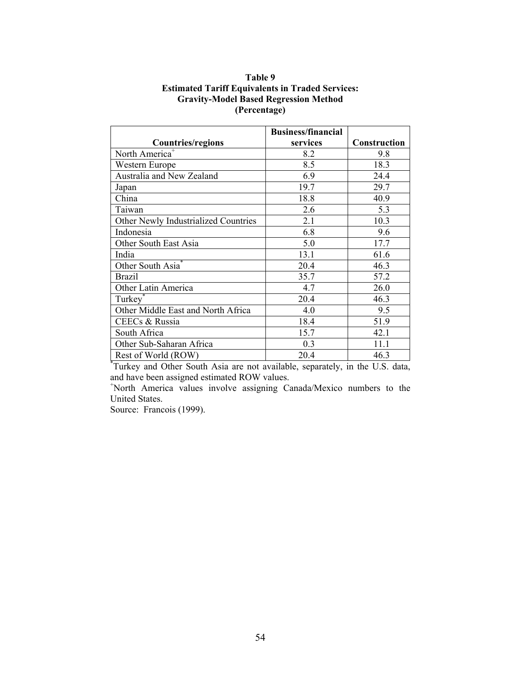| Table 9                                                 |
|---------------------------------------------------------|
| <b>Estimated Tariff Equivalents in Traded Services:</b> |
| <b>Gravity-Model Based Regression Method</b>            |
| (Percentage)                                            |

|                                             | <b>Business/financial</b> |              |
|---------------------------------------------|---------------------------|--------------|
| <b>Countries/regions</b>                    | services                  | Construction |
| North America <sup>-</sup>                  | 8.2                       | 9.8          |
| Western Europe                              | 8.5                       | 18.3         |
| Australia and New Zealand                   | 6.9                       | 24.4         |
| Japan                                       | 19.7                      | 29.7         |
| China                                       | 18.8                      | 40.9         |
| Taiwan                                      | 2.6                       | 5.3          |
| <b>Other Newly Industrialized Countries</b> | 2.1                       | 10.3         |
| Indonesia                                   | 6.8                       | 9.6          |
| Other South East Asia                       | 5.0                       | 17.7         |
| India                                       | 13.1                      | 61.6         |
| Other South Asia <sup>*</sup>               | 20.4                      | 46.3         |
| <b>Brazil</b>                               | 35.7                      | 57.2         |
| Other Latin America                         | 4.7                       | 26.0         |
| Turkey <sup>*</sup>                         | 20.4                      | 46.3         |
| Other Middle East and North Africa          | 4.0                       | 9.5          |
| CEECs & Russia                              | 18.4                      | 51.9         |
| South Africa                                | 15.7                      | 42.1         |
| Other Sub-Saharan Africa                    | 0.3                       | 11.1         |
| Rest of World (ROW)                         | 20.4                      | 46.3         |

**Rest of World (ROW)** 20.4 46.3 46.3 <sup>4</sup> Turkey and Other South Asia are not available, separately, in the U.S. data, and have been assigned estimated ROW values.

+ North America values involve assigning Canada/Mexico numbers to the United States.

Source: Francois (1999).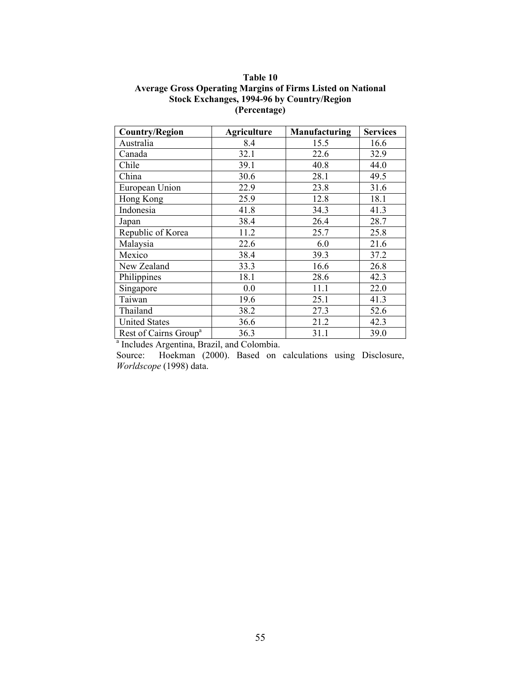## **Table 10 Average Gross Operating Margins of Firms Listed on National Stock Exchanges, 1994-96 by Country/Region (Percentage)**

| <b>Country/Region</b>                                  | <b>Agriculture</b> | Manufacturing | <b>Services</b> |
|--------------------------------------------------------|--------------------|---------------|-----------------|
| Australia                                              | 8.4                | 15.5          | 16.6            |
| Canada                                                 | 32.1               | 22.6          | 32.9            |
| Chile                                                  | 39.1               | 40.8          | 44.0            |
| China                                                  | 30.6               | 28.1          | 49.5            |
| European Union                                         | 22.9               | 23.8          | 31.6            |
| Hong Kong                                              | 25.9               | 12.8          | 18.1            |
| Indonesia                                              | 41.8               | 34.3          | 41.3            |
| Japan                                                  | 38.4               | 26.4          | 28.7            |
| Republic of Korea                                      | 11.2               | 25.7          | 25.8            |
| Malaysia                                               | 22.6               | 6.0           | 21.6            |
| Mexico                                                 | 38.4               | 39.3          | 37.2            |
| New Zealand                                            | 33.3               | 16.6          | 26.8            |
| Philippines                                            | 18.1               | 28.6          | 42.3            |
| Singapore                                              | 0.0                | 11.1          | 22.0            |
| Taiwan                                                 | 19.6               | 25.1          | 41.3            |
| Thailand                                               | 38.2               | 27.3          | 52.6            |
| <b>United States</b>                                   | 36.6               | 21.2          | 42.3            |
| Rest of Cairns Group <sup>a</sup>                      | 36.3               | 31.1          | 39.0            |
| <sup>a</sup> Includes Argentina, Brazil, and Colombia. |                    |               |                 |

Source: Hoekman (2000). Based on calculations using Disclosure, *Worldscope* (1998) data.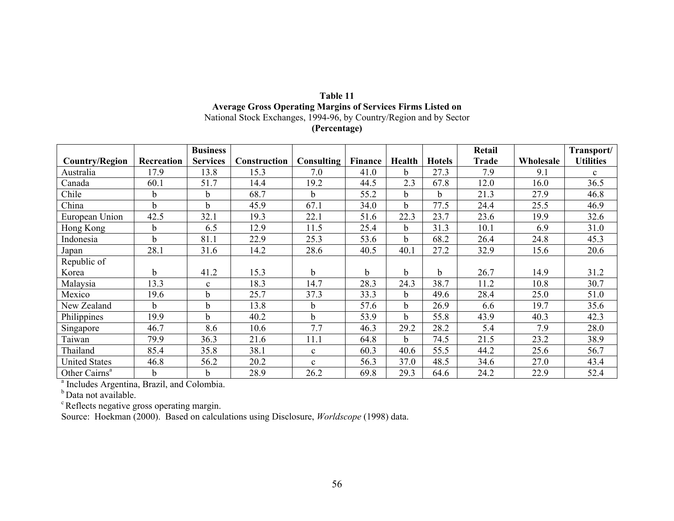### **Table 11 Average Gross Operating Margins of Services Firms Listed on**  National Stock Exchanges, 1994-96, by Country/Region and by Sector **(Percentage)**

|                           |             | <b>Business</b> |              |              |             |              |               | <b>Retail</b> |           | Transport/       |
|---------------------------|-------------|-----------------|--------------|--------------|-------------|--------------|---------------|---------------|-----------|------------------|
| <b>Country/Region</b>     | Recreation  | <b>Services</b> | Construction | Consulting   | Finance     | Health       | <b>Hotels</b> | <b>Trade</b>  | Wholesale | <b>Utilities</b> |
| Australia                 | 17.9        | 13.8            | 15.3         | 7.0          | 41.0        | $\mathbf{b}$ | 27.3          | 7.9           | 9.1       | $\mathbf{c}$     |
| Canada                    | 60.1        | 51.7            | 14.4         | 19.2         | 44.5        | 2.3          | 67.8          | 12.0          | 16.0      | 36.5             |
| Chile                     | $\mathbf b$ | b               | 68.7         | b            | 55.2        | $\mathbf b$  | $\mathbf b$   | 21.3          | 27.9      | 46.8             |
| China                     | b           | b               | 45.9         | 67.1         | 34.0        | $\mathbf b$  | 77.5          | 24.4          | 25.5      | 46.9             |
| European Union            | 42.5        | 32.1            | 19.3         | 22.1         | 51.6        | 22.3         | 23.7          | 23.6          | 19.9      | 32.6             |
| Hong Kong                 | b.          | 6.5             | 12.9         | 11.5         | 25.4        | <sub>b</sub> | 31.3          | 10.1          | 6.9       | 31.0             |
| Indonesia                 | h           | 81.1            | 22.9         | 25.3         | 53.6        | <sub>b</sub> | 68.2          | 26.4          | 24.8      | 45.3             |
| Japan                     | 28.1        | 31.6            | 14.2         | 28.6         | 40.5        | 40.1         | 27.2          | 32.9          | 15.6      | 20.6             |
| Republic of               |             |                 |              |              |             |              |               |               |           |                  |
| Korea                     | b           | 41.2            | 15.3         | $\mathbf b$  | $\mathbf b$ | b            | b             | 26.7          | 14.9      | 31.2             |
| Malaysia                  | 13.3        | $\mathbf c$     | 18.3         | 14.7         | 28.3        | 24.3         | 38.7          | 11.2          | 10.8      | 30.7             |
| Mexico                    | 19.6        | b               | 25.7         | 37.3         | 33.3        | $\mathbf b$  | 49.6          | 28.4          | 25.0      | 51.0             |
| New Zealand               | b.          | b               | 13.8         | $\mathbf b$  | 57.6        | $\mathbf b$  | 26.9          | 6.6           | 19.7      | 35.6             |
| Philippines               | 19.9        | b               | 40.2         | b            | 53.9        | $\mathbf b$  | 55.8          | 43.9          | 40.3      | 42.3             |
| Singapore                 | 46.7        | 8.6             | 10.6         | 7.7          | 46.3        | 29.2         | 28.2          | 5.4           | 7.9       | 28.0             |
| Taiwan                    | 79.9        | 36.3            | 21.6         | 11.1         | 64.8        | $\mathbf{b}$ | 74.5          | 21.5          | 23.2      | 38.9             |
| Thailand                  | 85.4        | 35.8            | 38.1         | $\mathbf{c}$ | 60.3        | 40.6         | 55.5          | 44.2          | 25.6      | 56.7             |
| <b>United States</b>      | 46.8        | 56.2            | 20.2         | $\mathbf{c}$ | 56.3        | 37.0         | 48.5          | 34.6          | 27.0      | 43.4             |
| Other Cairns <sup>a</sup> | $\mathbf b$ | $\mathbf b$     | 28.9         | 26.2         | 69.8        | 29.3         | 64.6          | 24.2          | 22.9      | 52.4             |

<sup>a</sup> Includes Argentina, Brazil, and Colombia.

<sup>b</sup> Data not available.

<sup>c</sup> Reflects negative gross operating margin.

Source: Hoekman (2000). Based on calculations using Disclosure, *Worldscope* (1998) data.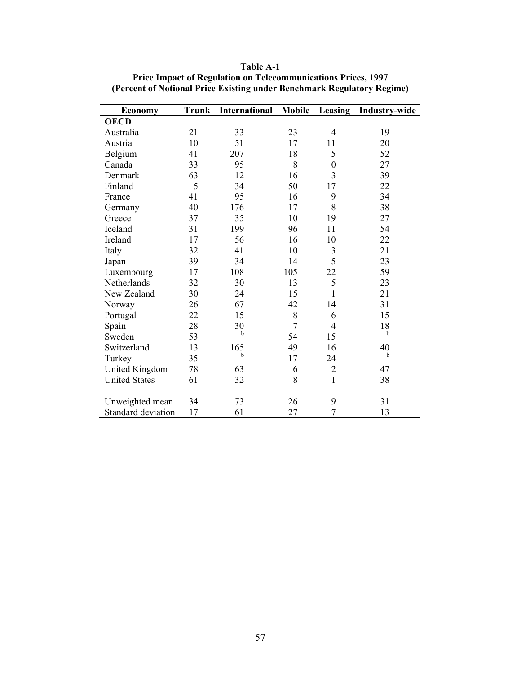| <b>Economy</b>       | <b>Trunk</b> | International | Mobile         | Leasing          | <b>Industry-wide</b> |
|----------------------|--------------|---------------|----------------|------------------|----------------------|
| <b>OECD</b>          |              |               |                |                  |                      |
| Australia            | 21           | 33            | 23             | $\overline{4}$   | 19                   |
| Austria              | 10           | 51            | 17             | 11               | 20                   |
| Belgium              | 41           | 207           | 18             | 5                | 52                   |
| Canada               | 33           | 95            | 8              | $\boldsymbol{0}$ | 27                   |
| Denmark              | 63           | 12            | 16             | $\overline{3}$   | 39                   |
| Finland              | 5            | 34            | 50             | 17               | 22                   |
| France               | 41           | 95            | 16             | 9                | 34                   |
| Germany              | 40           | 176           | 17             | 8                | 38                   |
| Greece               | 37           | 35            | 10             | 19               | 27                   |
| Iceland              | 31           | 199           | 96             | 11               | 54                   |
| Ireland              | 17           | 56            | 16             | 10               | 22                   |
| Italy                | 32           | 41            | 10             | $\overline{3}$   | 21                   |
| Japan                | 39           | 34            | 14             | 5                | 23                   |
| Luxembourg           | 17           | 108           | 105            | 22               | 59                   |
| Netherlands          | 32           | 30            | 13             | 5                | 23                   |
| New Zealand          | 30           | 24            | 15             | 1                | 21                   |
| Norway               | 26           | 67            | 42             | 14               | 31                   |
| Portugal             | 22           | 15            | 8              | 6                | 15                   |
| Spain                | 28           | 30            | $\overline{7}$ | $\overline{4}$   | 18                   |
| Sweden               | 53           | b             | 54             | 15               | b                    |
| Switzerland          | 13           | 165           | 49             | 16               | 40                   |
| Turkey               | 35           | b             | 17             | 24               | b                    |
| United Kingdom       | 78           | 63            | 6              | $\overline{2}$   | 47                   |
| <b>United States</b> | 61           | 32            | 8              | $\mathbf{1}$     | 38                   |
|                      |              |               |                |                  |                      |
| Unweighted mean      | 34           | 73            | 26             | 9                | 31                   |
| Standard deviation   | 17           | 61            | 27             | $\overline{7}$   | 13                   |

l,

**Table A-1 Price Impact of Regulation on Telecommunications Prices, 1997 (Percent of Notional Price Existing under Benchmark Regulatory Regime)**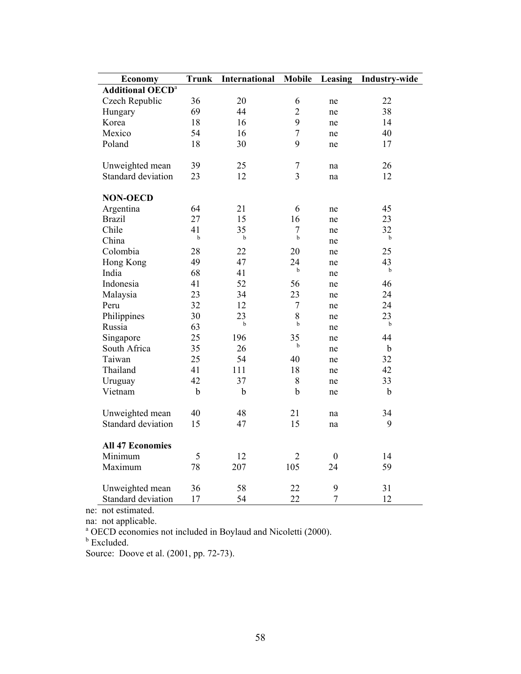| <b>Economy</b>                     | <b>Trunk</b> | <b>International</b> | <b>Mobile</b>    | Leasing          | <b>Industry-wide</b> |
|------------------------------------|--------------|----------------------|------------------|------------------|----------------------|
| <b>Additional OECD<sup>a</sup></b> |              |                      |                  |                  |                      |
| Czech Republic                     | 36           | 20                   | 6                | ne               | 22                   |
| Hungary                            | 69           | 44                   | $\overline{c}$   | ne               | 38                   |
| Korea                              | 18           | 16                   | 9                | ne               | 14                   |
| Mexico                             | 54           | 16                   | $\overline{7}$   | ne               | 40                   |
| Poland                             | 18           | 30                   | 9                | ne               | 17                   |
|                                    |              |                      |                  |                  |                      |
| Unweighted mean                    | 39           | 25                   | $\tau$           | na               | 26                   |
| Standard deviation                 | 23           | 12                   | $\overline{3}$   | na               | 12                   |
|                                    |              |                      |                  |                  |                      |
| <b>NON-OECD</b>                    |              |                      |                  |                  |                      |
| Argentina                          | 64           | 21                   | 6                | ne               | 45                   |
| <b>Brazil</b>                      | 27           | 15                   | 16               | ne               | 23                   |
| Chile                              | 41           | 35                   | $\overline{7}$   | ne               | 32                   |
| China                              | b            | b                    | $\mathbf b$      | ne               | $\mathbf b$          |
| Colombia                           | 28           | 22                   | 20               | ne               | 25                   |
| Hong Kong                          | 49           | 47                   | 24               | ne               | 43                   |
| India                              | 68           | 41                   | $\mathbf b$      | ne               | $\mathbf b$          |
| Indonesia                          | 41           | 52                   | 56               | ne               | 46                   |
| Malaysia                           | 23           | 34                   | 23               | ne               | 24                   |
| Peru                               | 32           | 12                   | $\boldsymbol{7}$ | ne               | 24                   |
| Philippines                        | 30           | 23                   | 8                | ne               | 23                   |
| Russia                             | 63           | b                    | $\mathbf b$      | ne               | $\mathbf b$          |
| Singapore                          | 25           | 196                  | 35               | ne               | 44                   |
| South Africa                       | 35           | 26                   | b                | ne               | $\mathbf b$          |
| Taiwan                             | 25           | 54                   | 40               | ne               | 32                   |
| Thailand                           | 41           | 111                  | 18               | ne               | 42                   |
| Uruguay                            | 42           | 37                   | 8                | ne               | 33                   |
| Vietnam                            | $\mathbf b$  | $\mathbf b$          | $\mathbf b$      | ne               | $\mathbf b$          |
|                                    |              |                      |                  |                  |                      |
| Unweighted mean                    | 40           | 48                   | 21               | na               | 34                   |
| Standard deviation                 | 15           | 47                   | 15               | na               | 9                    |
| <b>All 47 Economies</b>            |              |                      |                  |                  |                      |
|                                    |              |                      |                  |                  |                      |
| Minimum                            | 5            | 12                   | $\overline{2}$   | $\boldsymbol{0}$ | 14                   |
| Maximum                            | 78           | 207                  | 105              | 24               | 59                   |
| Unweighted mean                    | 36           | 58                   | 22               | 9                | 31                   |
| Standard deviation                 | 17           | 54                   | 22               | $\overline{7}$   | 12                   |

ne: not estimated.

na: not applicable.<br><sup>a</sup> OECD economies not included in Boylaud and Nicoletti (2000).<br><sup>b</sup> Excluded.

Source: Doove et al. (2001, pp. 72-73).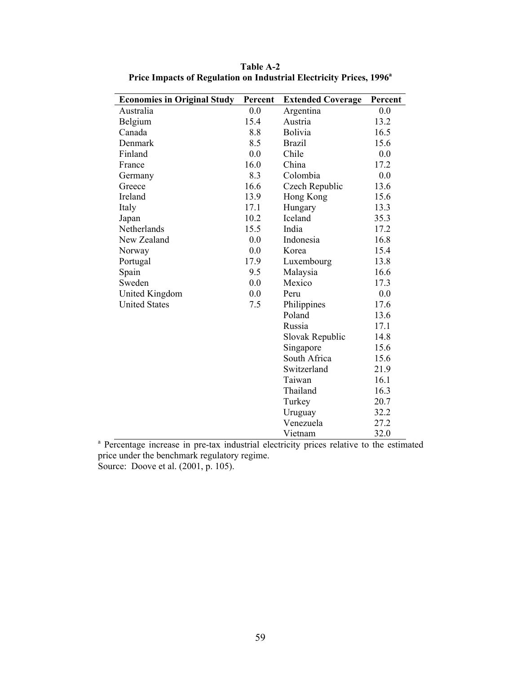| <b>Economies in Original Study</b> | Percent | <b>Extended Coverage</b> | Percent |
|------------------------------------|---------|--------------------------|---------|
| Australia                          | 0.0     | Argentina                | 0.0     |
| Belgium                            | 15.4    | Austria                  | 13.2    |
| Canada                             | 8.8     | Bolivia                  | 16.5    |
| Denmark                            | 8.5     | <b>Brazil</b>            | 15.6    |
| Finland                            | 0.0     | Chile                    | 0.0     |
| France                             | 16.0    | China                    | 17.2    |
| Germany                            | 8.3     | Colombia                 | 0.0     |
| Greece                             | 16.6    | Czech Republic           | 13.6    |
| Ireland                            | 13.9    | Hong Kong                | 15.6    |
| Italy                              | 17.1    | Hungary                  | 13.3    |
| Japan                              | 10.2    | Iceland                  | 35.3    |
| Netherlands                        | 15.5    | India                    | 17.2    |
| New Zealand                        | 0.0     | Indonesia                | 16.8    |
| Norway                             | 0.0     | Korea                    | 15.4    |
| Portugal                           | 17.9    | Luxembourg               | 13.8    |
| Spain                              | 9.5     | Malaysia                 | 16.6    |
| Sweden                             | 0.0     | Mexico                   | 17.3    |
| <b>United Kingdom</b>              | 0.0     | Peru                     | 0.0     |
| <b>United States</b>               | 7.5     | Philippines              | 17.6    |
|                                    |         | Poland                   | 13.6    |
|                                    |         | Russia                   | 17.1    |
|                                    |         | Slovak Republic          | 14.8    |
|                                    |         | Singapore                | 15.6    |
|                                    |         | South Africa             | 15.6    |
|                                    |         | Switzerland              | 21.9    |
|                                    |         | Taiwan                   | 16.1    |
|                                    |         | Thailand                 | 16.3    |
|                                    |         | Turkey                   | 20.7    |
|                                    |         | Uruguay                  | 32.2    |
|                                    |         | Venezuela                | 27.2    |
|                                    |         | Vietnam                  | 32.0    |

**Table A-2**  Price Impacts of Regulation on Industrial Electricity Prices, 1996<sup>a</sup>

price under the benchmark regulatory regime. Source: Doove et al. (2001, p. 105).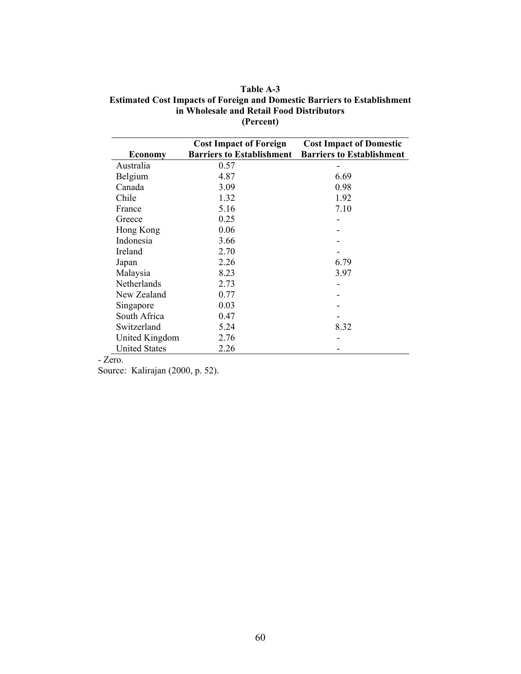### **Table A-3 Estimated Cost Impacts of Foreign and Domestic Barriers to Establishment in Wholesale and Retail Food Distributors (Percent)**

|                      | <b>Cost Impact of Foreign</b>    | <b>Cost Impact of Domestic</b>   |
|----------------------|----------------------------------|----------------------------------|
| <b>Economy</b>       | <b>Barriers to Establishment</b> | <b>Barriers to Establishment</b> |
| Australia            | 0.57                             |                                  |
| Belgium              | 4.87                             | 6.69                             |
| Canada               | 3.09                             | 0.98                             |
| Chile                | 1.32                             | 1.92                             |
| France               | 5.16                             | 7.10                             |
| Greece               | 0.25                             |                                  |
| Hong Kong            | 0.06                             |                                  |
| Indonesia            | 3.66                             |                                  |
| Ireland              | 2.70                             |                                  |
| Japan                | 2.26                             | 6.79                             |
| Malaysia             | 8.23                             | 3.97                             |
| Netherlands          | 2.73                             |                                  |
| New Zealand          | 0.77                             |                                  |
| Singapore            | 0.03                             |                                  |
| South Africa         | 0.47                             |                                  |
| Switzerland          | 5.24                             | 8.32                             |
| United Kingdom       | 2.76                             |                                  |
| <b>United States</b> | 2.26                             |                                  |

# - Zero.

Source: Kalirajan (2000, p. 52).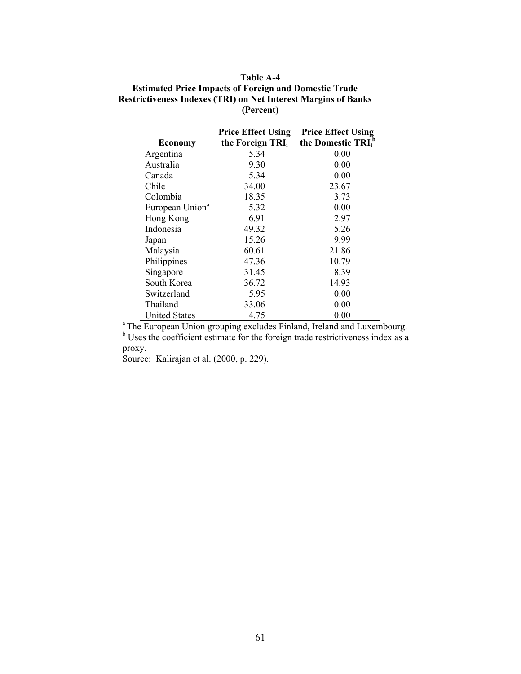### **Table A-4 Estimated Price Impacts of Foreign and Domestic Trade Restrictiveness Indexes (TRI) on Net Interest Margins of Banks (Percent)**

| Economy                     | <b>Price Effect Using</b><br>the Foreign TRI <sub>i</sub> | <b>Price Effect Using</b><br>the Domestic TRI <sub>i</sub> <sup>b</sup> |
|-----------------------------|-----------------------------------------------------------|-------------------------------------------------------------------------|
| Argentina                   | 5.34                                                      | 0.00                                                                    |
| Australia                   | 9.30                                                      | 0.00                                                                    |
| Canada                      | 5.34                                                      | 0.00                                                                    |
| Chile                       | 34.00                                                     | 23.67                                                                   |
| Colombia                    | 18.35                                                     | 3.73                                                                    |
| European Union <sup>a</sup> | 5.32                                                      | 0.00                                                                    |
| Hong Kong                   | 6.91                                                      | 2.97                                                                    |
| Indonesia                   | 49.32                                                     | 5.26                                                                    |
| Japan                       | 15.26                                                     | 9.99                                                                    |
| Malaysia                    | 60.61                                                     | 21.86                                                                   |
| Philippines                 | 47.36                                                     | 10.79                                                                   |
| Singapore                   | 31.45                                                     | 8.39                                                                    |
| South Korea                 | 36.72                                                     | 14.93                                                                   |
| Switzerland                 | 5.95                                                      | 0.00                                                                    |
| Thailand                    | 33.06                                                     | 0.00                                                                    |
| <b>United States</b>        | 4.75                                                      | 0.00                                                                    |

United States  $\frac{4.75}{\text{a}} \cdot \frac{0.00}{\text{b}}$ <br>
b Uses the coefficient estimate for the foreign trade restrictiveness index as a

proxy.

Source: Kalirajan et al. (2000, p. 229).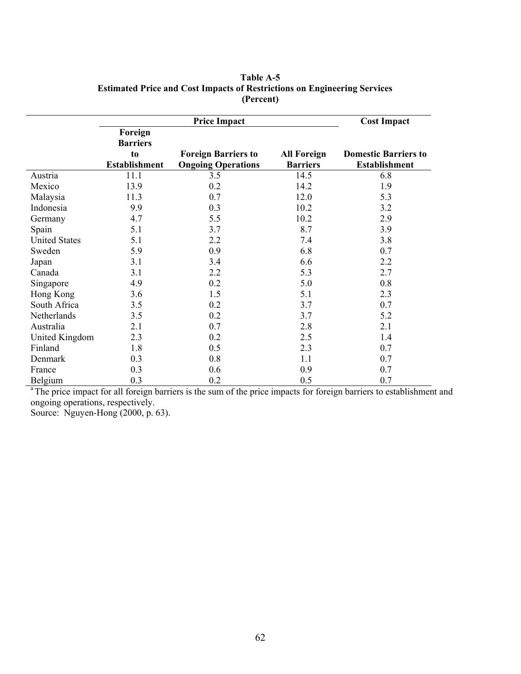|                      |                      | <b>Cost Impact</b>         |                    |                             |
|----------------------|----------------------|----------------------------|--------------------|-----------------------------|
|                      | Foreign              |                            |                    |                             |
|                      | <b>Barriers</b>      |                            |                    |                             |
|                      | to                   | <b>Foreign Barriers to</b> | <b>All Foreign</b> | <b>Domestic Barriers to</b> |
|                      | <b>Establishment</b> | <b>Ongoing Operations</b>  | <b>Barriers</b>    | <b>Establishment</b>        |
| Austria              | 11.1                 | 3.5                        | 14.5               | 6.8                         |
| Mexico               | 13.9                 | 0.2                        | 14.2               | 1.9                         |
| Malaysia             | 11.3                 | 0.7                        | 12.0               | 5.3                         |
| Indonesia            | 9.9                  | 0.3                        | 10.2               | 3.2                         |
| Germany              | 4.7                  | 5.5                        | 10.2               | 2.9                         |
| Spain                | 5.1                  | 3.7                        | 8.7                | 3.9                         |
| <b>United States</b> | 5.1                  | 2.2                        | 7.4                | 3.8                         |
| Sweden               | 5.9                  | 0.9                        | 6.8                | 0.7                         |
| Japan                | 3.1                  | 3.4                        | 6.6                | 2.2                         |
| Canada               | 3.1                  | 2.2                        | 5.3                | 2.7                         |
| Singapore            | 4.9                  | 0.2                        | 5.0                | 0.8                         |
| Hong Kong            | 3.6                  | 1.5                        | 5.1                | 2.3                         |
| South Africa         | 3.5                  | 0.2                        | 3.7                | 0.7                         |
| Netherlands          | 3.5                  | 0.2                        | 3.7                | 5.2                         |
| Australia            | 2.1                  | 0.7                        | 2.8                | 2.1                         |
| United Kingdom       | 2.3                  | 0.2                        | 2.5                | 1.4                         |
| Finland              | 1.8                  | 0.5                        | 2.3                | 0.7                         |
| Denmark              | 0.3                  | 0.8                        | 1.1                | 0.7                         |
| France               | 0.3                  | 0.6                        | 0.9                | 0.7                         |
| Belgium              | 0.3                  | 0.2                        | 0.5                | 0.7                         |

## **Table A-5 Estimated Price and Cost Impacts of Restrictions on Engineering Services (Percent)**

<sup>a</sup> The price impact for all foreign barriers is the sum of the price impacts for foreign barriers to establishment and ongoing operations, respectively.

Source: Nguyen-Hong (2000, p. 63).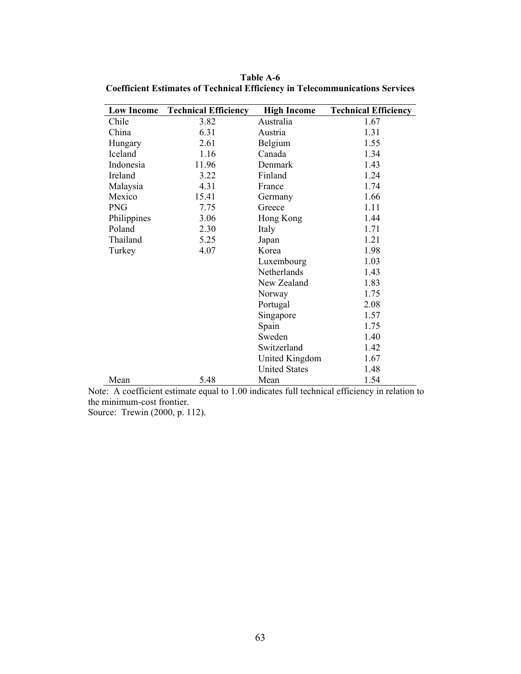| <b>Low Income</b> | <b>Technical Efficiency</b> | <b>High Income</b>   | <b>Technical Efficiency</b> |
|-------------------|-----------------------------|----------------------|-----------------------------|
| Chile             | 3.82                        | Australia            | 1.67                        |
| China             | 6.31                        | Austria              | 1.31                        |
| Hungary           | 2.61                        | Belgium              | 1.55                        |
| Iceland           | 1.16                        | Canada               | 1.34                        |
| Indonesia         | 11.96                       | Denmark              | 1.43                        |
| Ireland           | 3.22                        | Finland              | 1.24                        |
| Malaysia          | 4.31                        | France               | 1.74                        |
| Mexico            | 15.41                       | Germany              | 1.66                        |
| <b>PNG</b>        | 7.75                        | Greece               | 1.11                        |
| Philippines       | 3.06                        | Hong Kong            | 1.44                        |
| Poland            | 2.30                        | Italy                | 1.71                        |
| Thailand          | 5.25                        | Japan                | 1.21                        |
| Turkey            | 4.07                        | Korea                | 1.98                        |
|                   |                             | Luxembourg           | 1.03                        |
|                   |                             | Netherlands          | 1.43                        |
|                   |                             | New Zealand          | 1.83                        |
|                   |                             | Norway               | 1.75                        |
|                   |                             | Portugal             | 2.08                        |
|                   |                             | Singapore            | 1.57                        |
|                   |                             | Spain                | 1.75                        |
|                   |                             | Sweden               | 1.40                        |
|                   |                             | Switzerland          | 1.42                        |
|                   |                             | United Kingdom       | 1.67                        |
|                   |                             | <b>United States</b> | 1.48                        |
| Mean              | 5.48                        | Mean                 | 1.54                        |

**Table A-6 Coefficient Estimates of Technical Efficiency in Telecommunications Services** 

Note: A coefficient estimate equal to 1.00 indicates full technical efficiency in relation to the minimum-cost frontier.

Source: Trewin (2000, p. 112).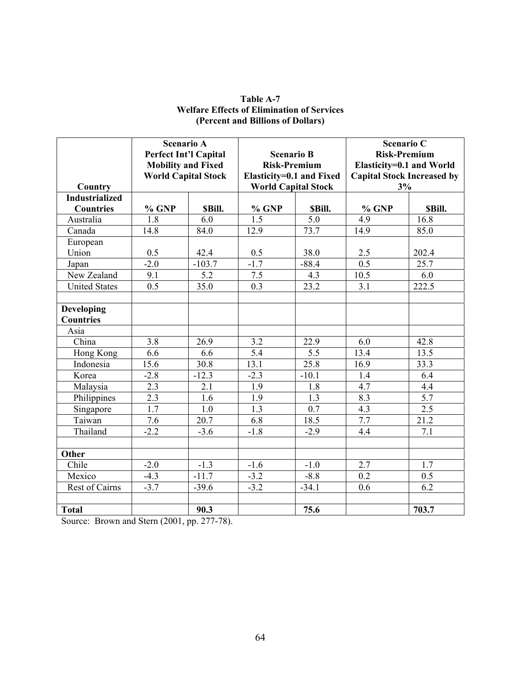|                                  | <b>Scenario A</b><br><b>Perfect Int'l Capital</b><br><b>Mobility and Fixed</b><br><b>World Capital Stock</b> |          | <b>Scenario B</b><br><b>Risk-Premium</b><br>Elasticity=0.1 and Fixed |                   | Scenario C<br><b>Risk-Premium</b><br>Elasticity=0.1 and World<br><b>Capital Stock Increased by</b> |        |
|----------------------------------|--------------------------------------------------------------------------------------------------------------|----------|----------------------------------------------------------------------|-------------------|----------------------------------------------------------------------------------------------------|--------|
| Country<br><b>Industrialized</b> |                                                                                                              |          | <b>World Capital Stock</b>                                           |                   | 3%                                                                                                 |        |
| <b>Countries</b>                 | % GNP                                                                                                        | SBill.   | % GNP                                                                | SBill.            | % GNP                                                                                              | SBill. |
|                                  |                                                                                                              |          |                                                                      |                   |                                                                                                    |        |
| Australia                        | 1.8                                                                                                          | 6.0      | 1.5                                                                  | 5.0               | 4.9                                                                                                | 16.8   |
| Canada                           | 14.8                                                                                                         | 84.0     | 12.9                                                                 | 73.7              | 14.9                                                                                               | 85.0   |
| European                         |                                                                                                              |          |                                                                      |                   |                                                                                                    |        |
| Union                            | 0.5                                                                                                          | 42.4     | 0.5                                                                  | 38.0              | 2.5                                                                                                | 202.4  |
| Japan                            | $-2.0$                                                                                                       | $-103.7$ | $-1.7$                                                               | $-88.4$           | 0.5                                                                                                | 25.7   |
| New Zealand                      | 9.1                                                                                                          | 5.2      | 7.5                                                                  | 4.3               | 10.5                                                                                               | 6.0    |
| <b>United States</b>             | $\overline{0.5}$                                                                                             | 35.0     | $\overline{0.3}$                                                     | $\overline{23.2}$ | 3.1                                                                                                | 222.5  |
|                                  |                                                                                                              |          |                                                                      |                   |                                                                                                    |        |
| <b>Developing</b>                |                                                                                                              |          |                                                                      |                   |                                                                                                    |        |
| <b>Countries</b>                 |                                                                                                              |          |                                                                      |                   |                                                                                                    |        |
| Asia                             |                                                                                                              |          |                                                                      |                   |                                                                                                    |        |
| China                            | 3.8                                                                                                          | 26.9     | 3.2                                                                  | 22.9              | 6.0                                                                                                | 42.8   |
| Hong Kong                        | 6.6                                                                                                          | 6.6      | 5.4                                                                  | $\overline{5.5}$  | 13.4                                                                                               | 13.5   |
| Indonesia                        | 15.6                                                                                                         | 30.8     | 13.1                                                                 | 25.8              | 16.9                                                                                               | 33.3   |
| Korea                            | $-2.8$                                                                                                       | $-12.3$  | $-2.3$                                                               | $-10.1$           | 1.4                                                                                                | 6.4    |
| Malaysia                         | 2.3                                                                                                          | 2.1      | 1.9                                                                  | 1.8               | 4.7                                                                                                | 4.4    |
| Philippines                      | 2.3                                                                                                          | 1.6      | 1.9                                                                  | 1.3               | 8.3                                                                                                | 5.7    |
| Singapore                        | 1.7                                                                                                          | 1.0      | $\overline{1.3}$                                                     | $\overline{0.7}$  | 4.3                                                                                                | 2.5    |
| Taiwan                           | 7.6                                                                                                          | 20.7     | 6.8                                                                  | 18.5              | 7.7                                                                                                | 21.2   |
| Thailand                         | $-2.2$                                                                                                       | $-3.6$   | $-1.8$                                                               | $-2.9$            | 4.4                                                                                                | 7.1    |
|                                  |                                                                                                              |          |                                                                      |                   |                                                                                                    |        |
| <b>Other</b>                     |                                                                                                              |          |                                                                      |                   |                                                                                                    |        |
| Chile                            | $-2.0$                                                                                                       | $-1.3$   | $-1.6$                                                               | $-1.0$            | 2.7                                                                                                | 1.7    |
| Mexico                           | $-4.3$                                                                                                       | $-11.7$  | $-3.2$                                                               | $-8.8$            | 0.2                                                                                                | 0.5    |
| <b>Rest of Cairns</b>            | $-3.7$                                                                                                       | $-39.6$  | $-3.2$                                                               | $-34.1$           | 0.6                                                                                                | 6.2    |
|                                  |                                                                                                              |          |                                                                      |                   |                                                                                                    |        |
| <b>Total</b>                     |                                                                                                              | 90.3     |                                                                      | 75.6              |                                                                                                    | 703.7  |

## **Table A-7 Welfare Effects of Elimination of Services (Percent and Billions of Dollars)**

Source: Brown and Stern (2001, pp. 277-78).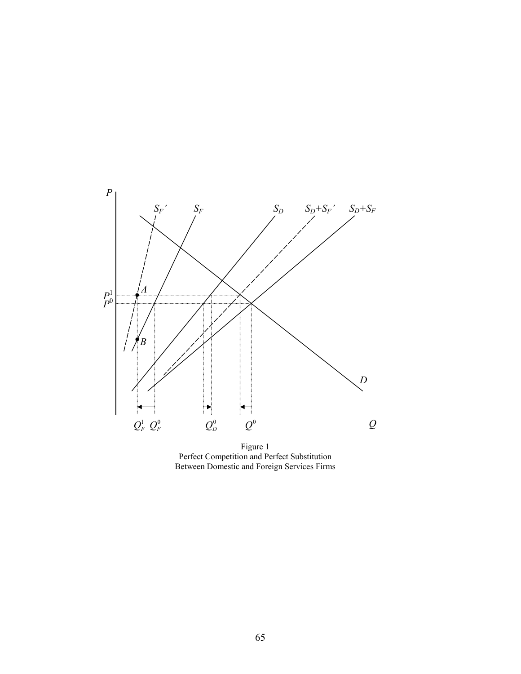

Perfect Competition and Perfect Substitution Between Domestic and Foreign Services Firms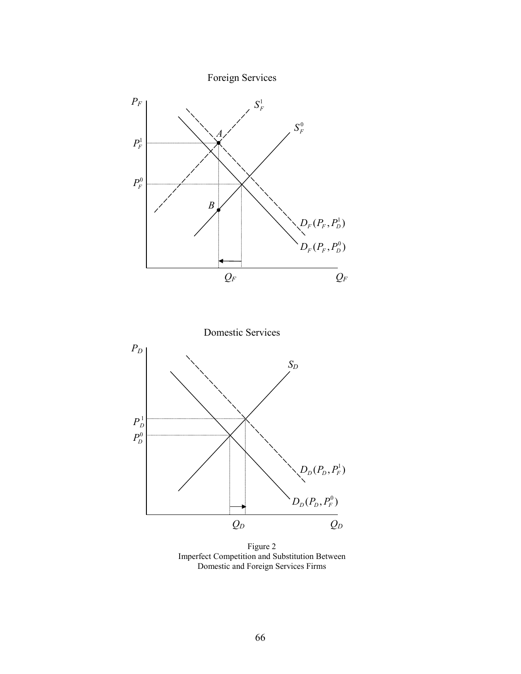



 $P_D$ 



Figure 2 Imperfect Competition and Substitution Between Domestic and Foreign Services Firms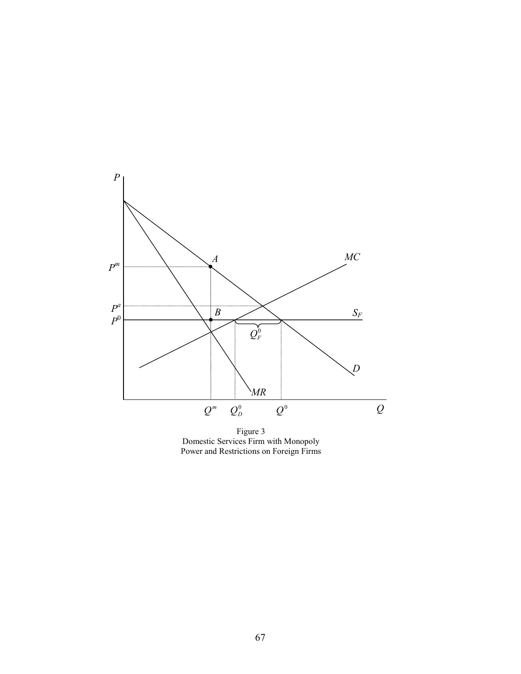

Figure 3 Domestic Services Firm with Monopoly Power and Restrictions on Foreign Firms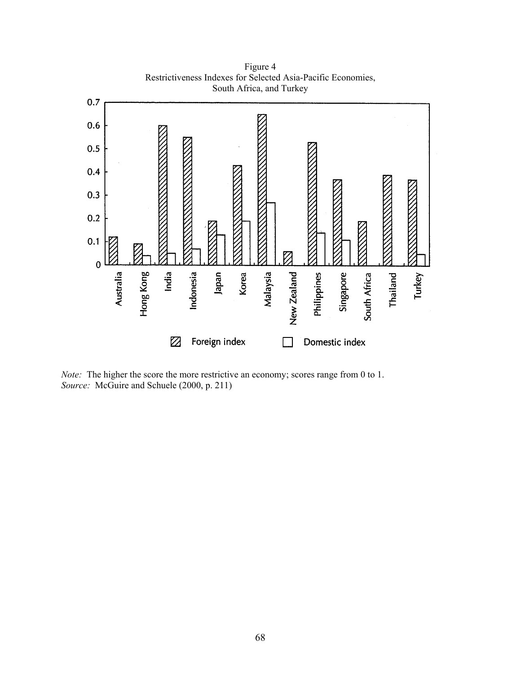

Figure 4 Restrictiveness Indexes for Selected Asia-Pacific Economies, South Africa, and Turkey

*Note:* The higher the score the more restrictive an economy; scores range from 0 to 1. *Source:* McGuire and Schuele (2000, p. 211)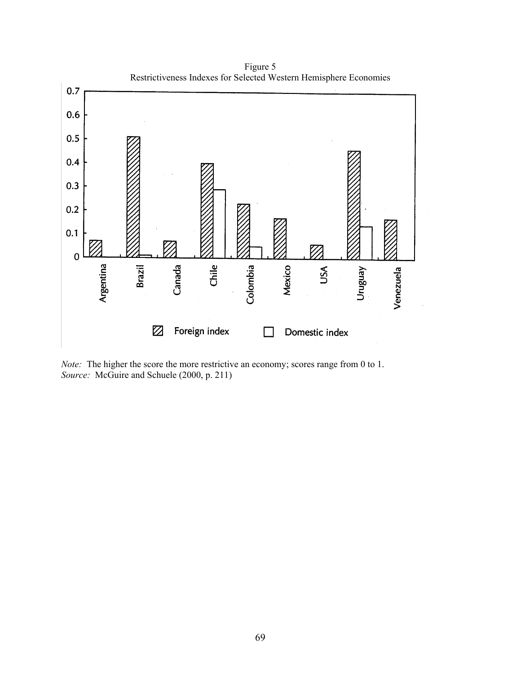Figure 5 Restrictiveness Indexes for Selected Western Hemisphere Economies



*Note:* The higher the score the more restrictive an economy; scores range from 0 to 1. *Source:* McGuire and Schuele (2000, p. 211)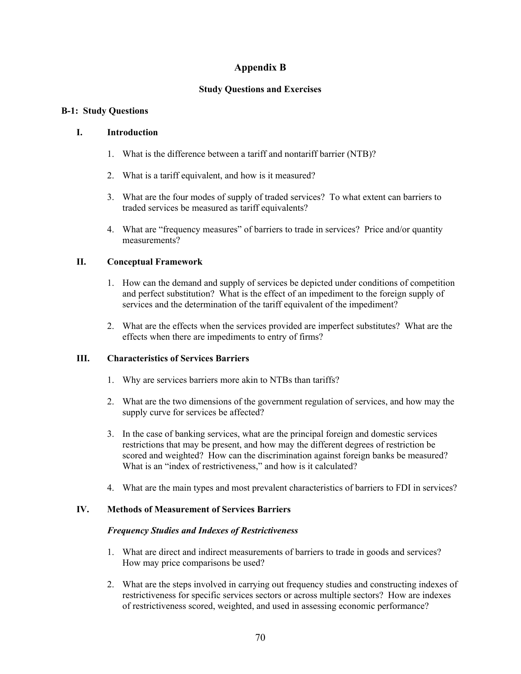# **Appendix B**

# **Study Questions and Exercises**

### **B-1: Study Questions**

### **I. Introduction**

- 1. What is the difference between a tariff and nontariff barrier (NTB)?
- 2. What is a tariff equivalent, and how is it measured?
- 3. What are the four modes of supply of traded services? To what extent can barriers to traded services be measured as tariff equivalents?
- 4. What are "frequency measures" of barriers to trade in services? Price and/or quantity measurements?

# **II. Conceptual Framework**

- 1. How can the demand and supply of services be depicted under conditions of competition and perfect substitution? What is the effect of an impediment to the foreign supply of services and the determination of the tariff equivalent of the impediment?
- 2. What are the effects when the services provided are imperfect substitutes? What are the effects when there are impediments to entry of firms?

### **III. Characteristics of Services Barriers**

- 1. Why are services barriers more akin to NTBs than tariffs?
- 2. What are the two dimensions of the government regulation of services, and how may the supply curve for services be affected?
- 3. In the case of banking services, what are the principal foreign and domestic services restrictions that may be present, and how may the different degrees of restriction be scored and weighted? How can the discrimination against foreign banks be measured? What is an "index of restrictiveness," and how is it calculated?
- 4. What are the main types and most prevalent characteristics of barriers to FDI in services?

### **IV. Methods of Measurement of Services Barriers**

### *Frequency Studies and Indexes of Restrictiveness*

- 1. What are direct and indirect measurements of barriers to trade in goods and services? How may price comparisons be used?
- 2. What are the steps involved in carrying out frequency studies and constructing indexes of restrictiveness for specific services sectors or across multiple sectors? How are indexes of restrictiveness scored, weighted, and used in assessing economic performance?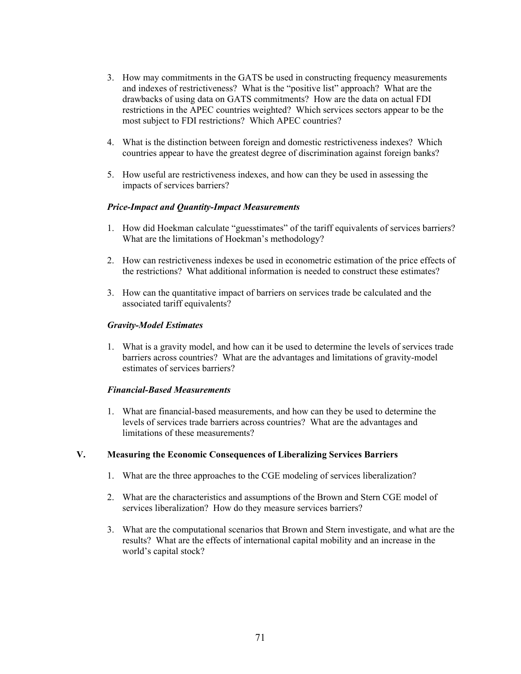- 3. How may commitments in the GATS be used in constructing frequency measurements and indexes of restrictiveness? What is the "positive list" approach? What are the drawbacks of using data on GATS commitments? How are the data on actual FDI restrictions in the APEC countries weighted? Which services sectors appear to be the most subject to FDI restrictions? Which APEC countries?
- 4. What is the distinction between foreign and domestic restrictiveness indexes? Which countries appear to have the greatest degree of discrimination against foreign banks?
- 5. How useful are restrictiveness indexes, and how can they be used in assessing the impacts of services barriers?

### *Price-Impact and Quantity-Impact Measurements*

- 1. How did Hoekman calculate "guesstimates" of the tariff equivalents of services barriers? What are the limitations of Hoekman's methodology?
- 2. How can restrictiveness indexes be used in econometric estimation of the price effects of the restrictions? What additional information is needed to construct these estimates?
- 3. How can the quantitative impact of barriers on services trade be calculated and the associated tariff equivalents?

### *Gravity-Model Estimates*

1. What is a gravity model, and how can it be used to determine the levels of services trade barriers across countries? What are the advantages and limitations of gravity-model estimates of services barriers?

### *Financial-Based Measurements*

1. What are financial-based measurements, and how can they be used to determine the levels of services trade barriers across countries? What are the advantages and limitations of these measurements?

### **V. Measuring the Economic Consequences of Liberalizing Services Barriers**

- 1. What are the three approaches to the CGE modeling of services liberalization?
- 2. What are the characteristics and assumptions of the Brown and Stern CGE model of services liberalization? How do they measure services barriers?
- 3. What are the computational scenarios that Brown and Stern investigate, and what are the results? What are the effects of international capital mobility and an increase in the world's capital stock?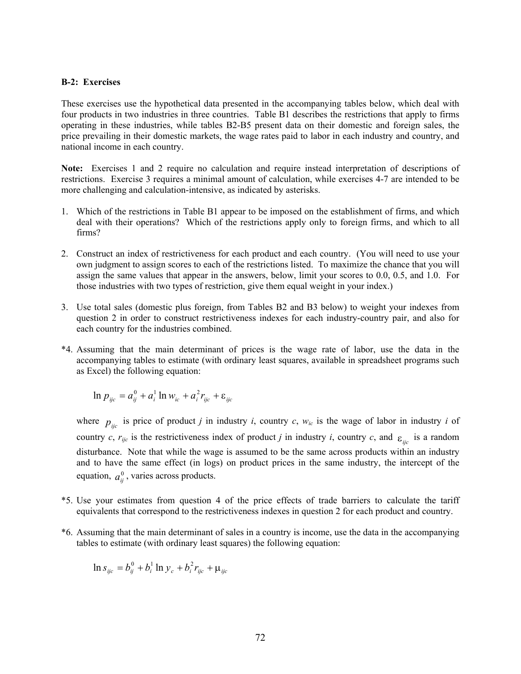#### **B-2: Exercises**

These exercises use the hypothetical data presented in the accompanying tables below, which deal with four products in two industries in three countries. Table B1 describes the restrictions that apply to firms operating in these industries, while tables B2-B5 present data on their domestic and foreign sales, the price prevailing in their domestic markets, the wage rates paid to labor in each industry and country, and national income in each country.

**Note:** Exercises 1 and 2 require no calculation and require instead interpretation of descriptions of restrictions. Exercise 3 requires a minimal amount of calculation, while exercises 4-7 are intended to be more challenging and calculation-intensive, as indicated by asterisks.

- 1. Which of the restrictions in Table B1 appear to be imposed on the establishment of firms, and which deal with their operations? Which of the restrictions apply only to foreign firms, and which to all firms?
- 2. Construct an index of restrictiveness for each product and each country. (You will need to use your own judgment to assign scores to each of the restrictions listed. To maximize the chance that you will assign the same values that appear in the answers, below, limit your scores to 0.0, 0.5, and 1.0. For those industries with two types of restriction, give them equal weight in your index.)
- 3. Use total sales (domestic plus foreign, from Tables B2 and B3 below) to weight your indexes from question 2 in order to construct restrictiveness indexes for each industry-country pair, and also for each country for the industries combined.
- \*4. Assuming that the main determinant of prices is the wage rate of labor, use the data in the accompanying tables to estimate (with ordinary least squares, available in spreadsheet programs such as Excel) the following equation:

$$
\ln p_{ijc} = a_{ij}^0 + a_i^1 \ln w_{ic} + a_i^2 r_{ijc} + \varepsilon_{ijc}
$$

where  $p_{ijc}$  is price of product *j* in industry *i*, country *c*,  $w_{ic}$  is the wage of labor in industry *i* of country *c*,  $r_{ijc}$  is the restrictiveness index of product *j* in industry *i*, country *c*, and  $\varepsilon_{ijc}$  is a random disturbance. Note that while the wage is assumed to be the same across products within an industry and to have the same effect (in logs) on product prices in the same industry, the intercept of the equation,  $a_{ij}^0$ , varies across products.

- \*5. Use your estimates from question 4 of the price effects of trade barriers to calculate the tariff equivalents that correspond to the restrictiveness indexes in question 2 for each product and country.
- \*6. Assuming that the main determinant of sales in a country is income, use the data in the accompanying tables to estimate (with ordinary least squares) the following equation:

$$
\ln s_{ijc} = b_{ij}^0 + b_i^1 \ln y_c + b_i^2 r_{ijc} + \mu_{ijc}
$$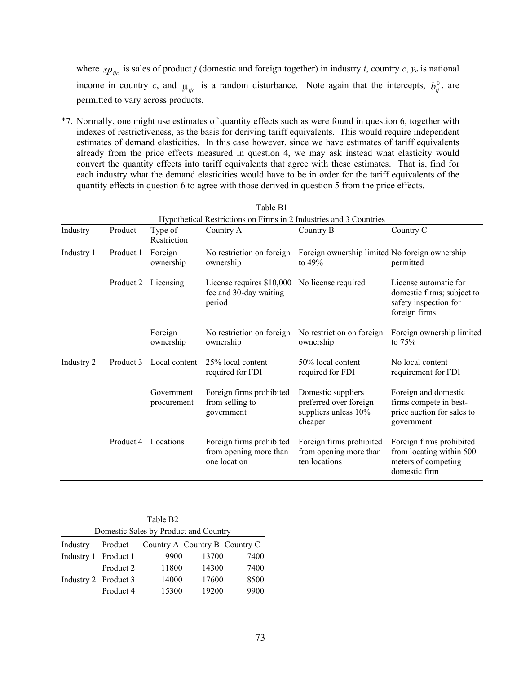where  $sp_{\text{inc}}$  is sales of product *j* (domestic and foreign together) in industry *i*, country *c*,  $y_c$  is national income in country *c*, and  $\mu_{ijc}$  is a random disturbance. Note again that the intercepts,  $b_{ij}^0$ , are permitted to vary across products.

\*7. Normally, one might use estimates of quantity effects such as were found in question 6, together with indexes of restrictiveness, as the basis for deriving tariff equivalents. This would require independent estimates of demand elasticities. In this case however, since we have estimates of tariff equivalents already from the price effects measured in question 4, we may ask instead what elasticity would convert the quantity effects into tariff equivalents that agree with these estimates. That is, find for each industry what the demand elasticities would have to be in order for the tariff equivalents of the quantity effects in question 6 to agree with those derived in question 5 from the price effects.

|            | Table B1<br>Hypothetical Restrictions on Firms in 2 Industries and 3 Countries |                           |                                                                    |                                                                                 |                                                                                                |  |  |
|------------|--------------------------------------------------------------------------------|---------------------------|--------------------------------------------------------------------|---------------------------------------------------------------------------------|------------------------------------------------------------------------------------------------|--|--|
| Industry   | Product                                                                        | Type of<br>Restriction    | Country A                                                          | Country B                                                                       | Country C                                                                                      |  |  |
| Industry 1 | Product 1                                                                      | Foreign<br>ownership      | No restriction on foreign<br>ownership                             | Foreign ownership limited No foreign ownership<br>to $49%$                      | permitted                                                                                      |  |  |
|            | Product 2                                                                      | Licensing                 | License requires \$10,000<br>fee and 30-day waiting<br>period      | No license required                                                             | License automatic for<br>domestic firms; subject to<br>safety inspection for<br>foreign firms. |  |  |
|            |                                                                                | Foreign<br>ownership      | No restriction on foreign<br>ownership                             | No restriction on foreign<br>ownership                                          | Foreign ownership limited<br>to $75%$                                                          |  |  |
| Industry 2 | Product 3                                                                      | Local content             | 25% local content<br>required for FDI                              | 50% local content<br>required for FDI                                           | No local content<br>requirement for FDI                                                        |  |  |
|            |                                                                                | Government<br>procurement | Foreign firms prohibited<br>from selling to<br>government          | Domestic suppliers<br>preferred over foreign<br>suppliers unless 10%<br>cheaper | Foreign and domestic<br>firms compete in best-<br>price auction for sales to<br>government     |  |  |
|            | Product 4                                                                      | Locations                 | Foreign firms prohibited<br>from opening more than<br>one location | Foreign firms prohibited<br>from opening more than<br>ten locations             | Foreign firms prohibited<br>from locating within 500<br>meters of competing<br>domestic firm   |  |  |

Table B2 Domestic Sales by Product and Country Industry Product Country A Country B Country C Industry 1 Product 1 9900 13700 7400 Product 2 11800 14300 7400 Industry 2 Product 3 14000 17600 8500 Product 4 15300 19200 9900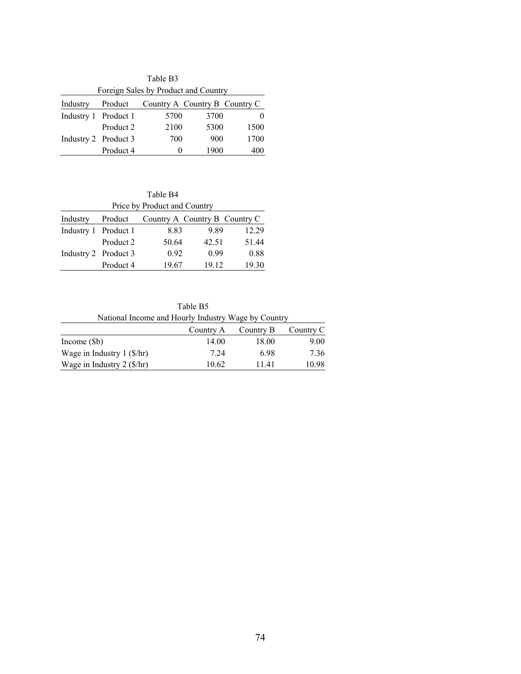| Table B3                                             |                                      |      |      |      |  |  |  |  |
|------------------------------------------------------|--------------------------------------|------|------|------|--|--|--|--|
|                                                      | Foreign Sales by Product and Country |      |      |      |  |  |  |  |
| Country A Country B Country C<br>Industry<br>Product |                                      |      |      |      |  |  |  |  |
| Industry 1 Product 1                                 |                                      | 5700 | 3700 |      |  |  |  |  |
|                                                      | Product 2                            | 2100 | 5300 | 1500 |  |  |  |  |
| Industry 2 Product 3                                 |                                      | 700  | 900  | 1700 |  |  |  |  |
|                                                      | Product 4                            |      | 1900 |      |  |  |  |  |

Table B4 Price by Product and Country

| Industry             | Product   | Country A Country B Country C |       |       |
|----------------------|-----------|-------------------------------|-------|-------|
| Industry 1 Product 1 |           | 8.83                          | 989   | 12.29 |
|                      | Product 2 | 50.64                         | 42.51 | 51 44 |
| Industry 2 Product 3 |           | 0.92                          | 0.99  | 0.88  |
|                      | Product 4 | 19.67                         | 19 12 | 19 30 |

Table B5

| National Income and Hourly Industry Wage by Country |           |           |           |  |  |
|-----------------------------------------------------|-----------|-----------|-----------|--|--|
|                                                     | Country A | Country B | Country C |  |  |
| Income $(\$b)$                                      | 14.00     | 18.00     | 9.00      |  |  |
| Wage in Industry $1$ (\$/hr)                        | 7.24      | 698       | 7.36      |  |  |
| Wage in Industry $2$ (\$/hr)                        | 10.62     | 1141      | 10.98     |  |  |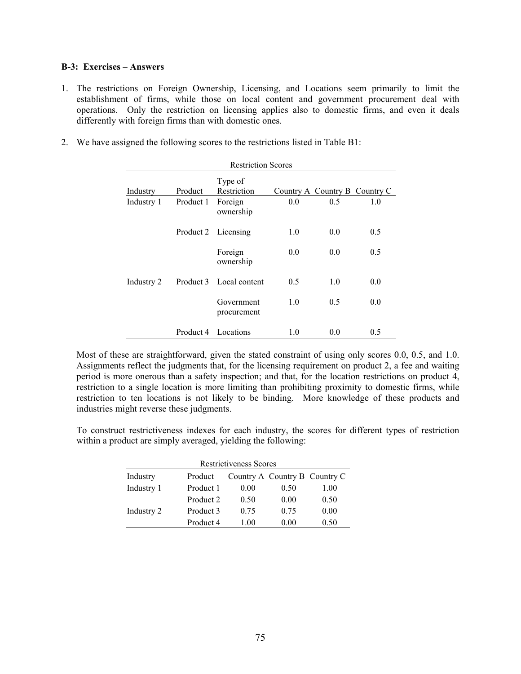#### **B-3: Exercises – Answers**

- 1. The restrictions on Foreign Ownership, Licensing, and Locations seem primarily to limit the establishment of firms, while those on local content and government procurement deal with operations. Only the restriction on licensing applies also to domestic firms, and even it deals differently with foreign firms than with domestic ones.
- 2. We have assigned the following scores to the restrictions listed in Table B1:

| <b>Restriction Scores</b> |           |                           |     |                               |     |  |
|---------------------------|-----------|---------------------------|-----|-------------------------------|-----|--|
| Industry                  | Product   | Type of<br>Restriction    |     | Country A Country B Country C |     |  |
| Industry 1                | Product 1 | Foreign<br>ownership      | 0.0 | 0.5                           | 1.0 |  |
|                           |           | Product 2 Licensing       | 1.0 | 0.0                           | 0.5 |  |
|                           |           | Foreign<br>ownership      | 0.0 | 0.0                           | 0.5 |  |
| Industry 2                |           | Product 3 Local content   | 0.5 | 1.0                           | 0.0 |  |
|                           |           | Government<br>procurement | 1.0 | 0.5                           | 0.0 |  |
|                           | Product 4 | Locations                 | 1.0 | 0.0                           | 0.5 |  |

Most of these are straightforward, given the stated constraint of using only scores 0.0, 0.5, and 1.0. Assignments reflect the judgments that, for the licensing requirement on product 2, a fee and waiting period is more onerous than a safety inspection; and that, for the location restrictions on product 4, restriction to a single location is more limiting than prohibiting proximity to domestic firms, while restriction to ten locations is not likely to be binding. More knowledge of these products and industries might reverse these judgments.

To construct restrictiveness indexes for each industry, the scores for different types of restriction within a product are simply averaged, yielding the following:

| <b>Restrictiveness Scores</b> |           |      |                               |      |  |  |
|-------------------------------|-----------|------|-------------------------------|------|--|--|
| Industry                      | Product   |      | Country A Country B Country C |      |  |  |
| Industry 1                    | Product 1 | 0.00 | 0.50                          | 1.00 |  |  |
|                               | Product 2 | 0.50 | 0.00                          | 0.50 |  |  |
| Industry 2                    | Product 3 | 0.75 | 0.75                          | 0.00 |  |  |
|                               | Product 4 | 100  | 0.00                          | 0.50 |  |  |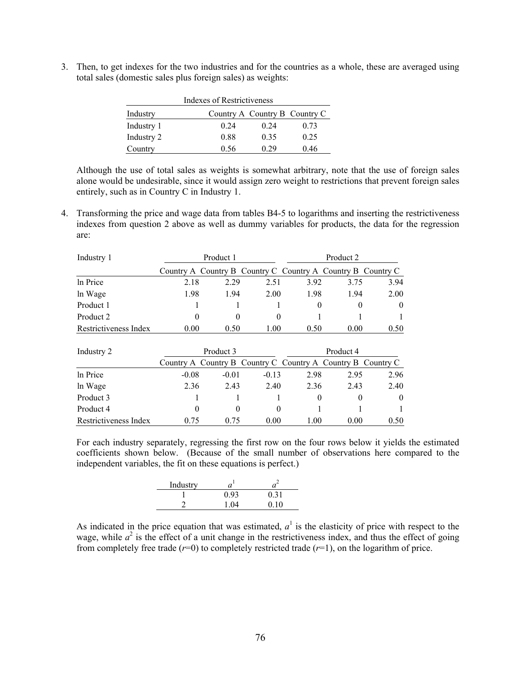3. Then, to get indexes for the two industries and for the countries as a whole, these are averaged using total sales (domestic sales plus foreign sales) as weights:

| Indexes of Restrictiveness |      |                               |      |  |  |  |
|----------------------------|------|-------------------------------|------|--|--|--|
| Industry                   |      | Country A Country B Country C |      |  |  |  |
| Industry 1                 | 0.24 | 0.24                          | 0.73 |  |  |  |
| Industry 2                 | 0.88 | 0.35                          | 0.25 |  |  |  |
| Country                    | 0.56 | 0.29                          | 0.46 |  |  |  |

Although the use of total sales as weights is somewhat arbitrary, note that the use of foreign sales alone would be undesirable, since it would assign zero weight to restrictions that prevent foreign sales entirely, such as in Country C in Industry 1.

4. Transforming the price and wage data from tables B4-5 to logarithms and inserting the restrictiveness indexes from question 2 above as well as dummy variables for products, the data for the regression are:

| Industry 1            |          | Product 1 |                                                             |      | Product 2 |          |  |
|-----------------------|----------|-----------|-------------------------------------------------------------|------|-----------|----------|--|
|                       |          |           | Country A Country B Country C Country A Country B Country C |      |           |          |  |
| In Price              | 2.18     | 2.29      | 2.51                                                        | 3.92 | 3.75      | 3.94     |  |
| ln Wage               | 1.98     | 194       | 2.00                                                        | 1.98 | 194       | 2.00     |  |
| Product 1             |          |           |                                                             |      |           | $\Omega$ |  |
| Product 2             | $\theta$ | $\theta$  | $\theta$                                                    |      |           |          |  |
| Restrictiveness Index | 0.00     | 0.50      | 1.00                                                        | 0.50 | 0.00      | 0.50     |  |

| Industry 2            |          | Product 3 |                                                             |      | Product 4 |          |  |
|-----------------------|----------|-----------|-------------------------------------------------------------|------|-----------|----------|--|
|                       |          |           | Country A Country B Country C Country A Country B Country C |      |           |          |  |
| In Price              | $-0.08$  | $-0.01$   | $-0.13$                                                     | 2.98 | 2.95      | 2.96     |  |
| In Wage               | 2.36     | 2.43      | 2.40                                                        | 2.36 | 2.43      | 2.40     |  |
| Product 3             |          |           |                                                             |      | $\theta$  | $\theta$ |  |
| Product 4             | $\theta$ | $\theta$  | $\theta$                                                    |      |           |          |  |
| Restrictiveness Index | 0.75     | 0.75      | 0.00                                                        | 1.00 | 0.00      | 0.50     |  |

For each industry separately, regressing the first row on the four rows below it yields the estimated coefficients shown below. (Because of the small number of observations here compared to the independent variables, the fit on these equations is perfect.)

As indicated in the price equation that was estimated,  $a<sup>1</sup>$  is the elasticity of price with respect to the wage, while  $a^2$  is the effect of a unit change in the restrictiveness index, and thus the effect of going from completely free trade  $(r=0)$  to completely restricted trade  $(r=1)$ , on the logarithm of price.